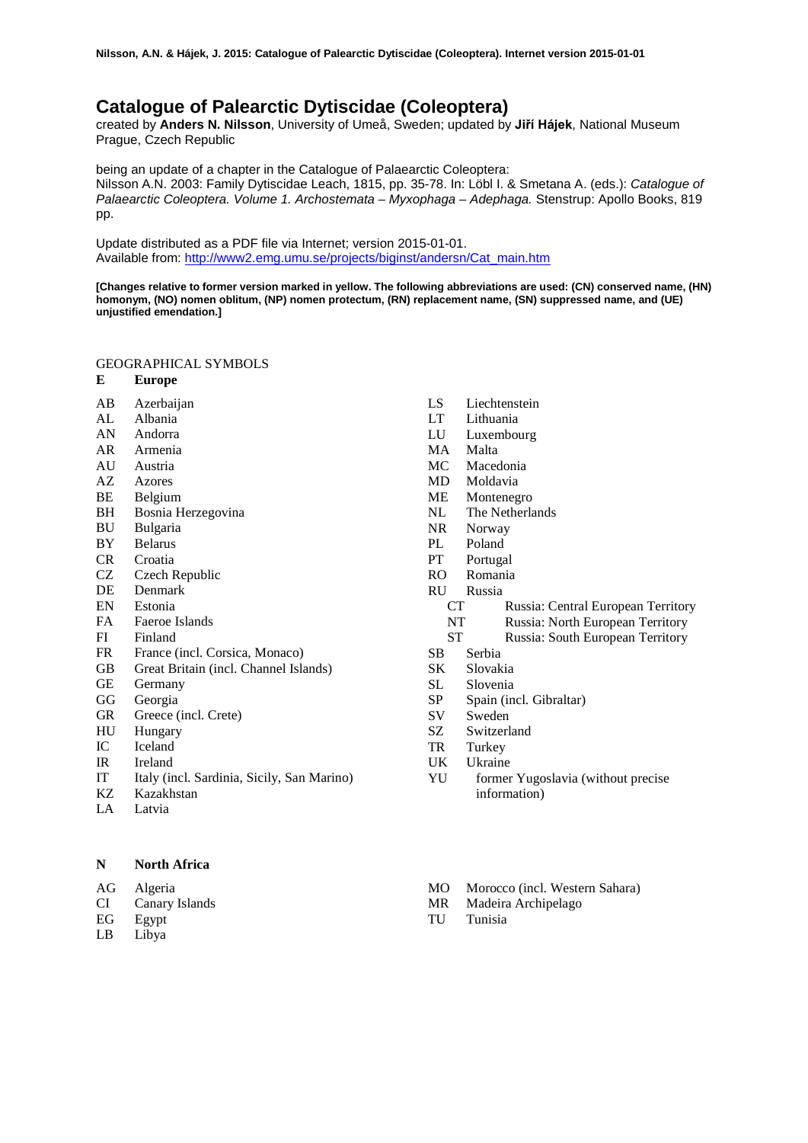# **Catalogue of Palearctic Dytiscidae (Coleoptera)**

created by **Anders N. Nilsson**, University of Umeå, Sweden; updated by **Jiří Hájek**, National Museum Prague, Czech Republic

being an update of a chapter in the Catalogue of Palaearctic Coleoptera:

Nilsson A.N. 2003: Family Dytiscidae Leach, 1815, pp. 35-78. In: Löbl I. & Smetana A. (eds.): *Catalogue of Palaearctic Coleoptera. Volume 1. Archostemata – Myxophaga – Adephaga.* Stenstrup: Apollo Books, 819 pp.

Update distributed as a PDF file via Internet; version 2015-01-01. Available from: [http://www2.emg.umu.se/projects/biginst/andersn/Cat\\_main.htm](http://www.emg.umu.se/biginst/andersn/Cat_main.htm)

**[Changes relative to former version marked in yellow. The following abbreviations are used: (CN) conserved name, (HN) homonym, (NO) nomen oblitum, (NP) nomen protectum, (RN) replacement name, (SN) suppressed name, and (UE) unjustified emendation.]**

# GEOGRAPHICAL SYMBOLS

- **E Europe**
- AB Azerbaijan
- AL Albania
- AN Andorra
- AR Armenia
- AU Austria<br>AZ Azores
- AZ Azores<br>BE Belgiur
- BE Belgium
- BH Bosnia Herzegovina<br>BU Bulgaria
- BU Bulgaria
- BY Belarus
- CR Croatia
- CZ Czech Republic
- DE Denmark
- EN Estonia<br>FA Faeroe
- Faeroe Islands
- FI Finland
- FR France (incl. Corsica, Monaco)<br>GB Great Britain (incl. Channel Isla
- Great Britain (incl. Channel Islands)
- GE Germany
- GG Georgia
- GR Greece (incl. Crete)
- HU Hungary
- IC Iceland
- IR Ireland
- IT Italy (incl. Sardinia, Sicily, San Marino)
- KZ Kazakhstan<br>LA Latvia
- Latvia

**N North Africa** 

AG Algeria

- CI Canary Islands
- EG Egypt
- LB Libya
- LS Liechtenstein
- LT Lithuania
- LU Luxembourg
- MA Malta
- MC Macedonia<br>MD Moldavia
- MD Moldavia<br>ME Monteneg
- ME Montenegro<br>NL The Netherla
- The Netherlands
- NR Norway
- PL Poland
- PT Portugal
- RO Romania
- RU Russia
	- CT Russia: Central European Territory<br>
	NT Russia: North European Territory
	- Russia: North European Territory
	- ST Russia: South European Territory
- SB Serbia
- SK Slovakia
- SL Slovenia
- SP Spain (incl. Gibraltar)
- SV Sweden
- SZ Switzerland
- TR Turkey
- UK Ukraine
- YU former Yugoslavia (without precise information)
- MO Morocco (incl. Western Sahara)
- MR Madeira Archipelago
- TU Tunisia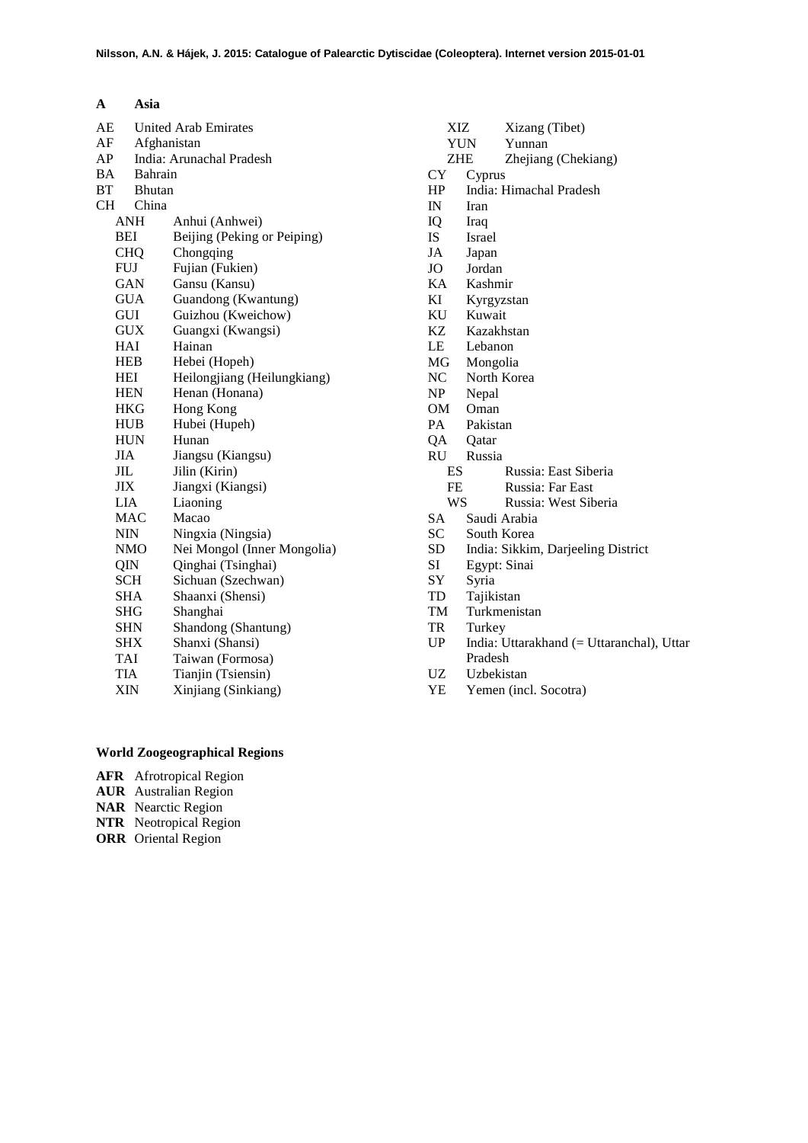| A          | Asia        |                             |
|------------|-------------|-----------------------------|
| AE         |             | <b>United Arab Emirates</b> |
| AF         | Afghanistan |                             |
| AP         |             | India: Arunachal Pradesh    |
| ВA         | Bahrain     |                             |
| ВT         | Bhutan      |                             |
| <b>CH</b>  | China       |                             |
|            | ANH         | Anhui (Anhwei)              |
| BEI        |             | Beijing (Peking or Peiping) |
| <b>CHQ</b> |             | Chongqing                   |
| <b>FUJ</b> |             | Fujian (Fukien)             |
|            | GAN         | Gansu (Kansu)               |
|            | <b>GUA</b>  | Guandong (Kwantung)         |
| GUI        |             | Guizhou (Kweichow)          |
|            | <b>GUX</b>  | Guangxi (Kwangsi)           |
| HAI        |             | Hainan                      |
| <b>HEB</b> |             | Hebei (Hopeh)               |
| HEI        |             | Heilongjiang (Heilungkiang) |
| <b>HEN</b> |             | Henan (Honana)              |
| <b>HKG</b> |             | Hong Kong                   |
| <b>HUB</b> |             | Hubei (Hupeh)               |
| <b>HUN</b> |             | Hunan                       |
| <b>JIA</b> |             | Jiangsu (Kiangsu)           |
| JIL        |             | Jilin (Kirin)               |
| <b>JIX</b> |             | Jiangxi (Kiangsi)           |
| LIA        |             | Liaoning                    |
| MAC        |             | Macao                       |
| <b>NIN</b> |             | Ningxia (Ningsia)           |
| <b>NMO</b> |             | Nei Mongol (Inner Mongolia) |
| QIN        |             | Qinghai (Tsinghai)          |
| <b>SCH</b> |             | Sichuan (Szechwan)          |
| SHA        |             | Shaanxi (Shensi)            |
| <b>SHG</b> |             | Shanghai                    |
| <b>SHN</b> |             | Shandong (Shantung)         |
| <b>SHX</b> |             | Shanxi (Shansi)             |
| TAI        |             | Taiwan (Formosa)            |
| TIA        |             | Tianjin (Tsiensin)          |
| XIN        |             | Xinjiang (Sinkiang)         |

# XIZ Xizang (Tibet)<br>YUN Yunnan Yunnan ZHE Zhejiang (Chekiang)<br>CY Cyprus CY Cyprus<br>HP India: H India: Himachal Pradesh IN Iran IQ Iraq IS Israel JA Japan JO Jordan<br>KA Kashm KA Kashmir KI Kyrgyzstan KU Kuwait KZ Kazakhstan LE Lebanon MG Mongolia<br>NC North Kor NC North Korea<br>NP Nepal NP Nepal OM Oman<br>PA Pakista Pakistan QA Qatar J Russia<br>ES Russia: East Siberia FE Russia: Far East<br>WS Russia: West Sib Russia: West Siberia SA Saudi Arabia SC South Korea<br>SD India: Sikkin SD India: Sikkim, Darjeeling District<br>SI Egypt: Sinai Egypt: Sinai SY Syria TD Tajikistan<br>TM Turkmenis Turkmenistan TR Turkey UP India: Uttarakhand (= Uttaranchal), Uttar Pradesh UZ Uzbekistan YE Yemen (incl. Socotra)

# **World Zoogeographical Regions**

- **AFR** Afrotropical Region
- **AUR** Australian Region
- **NAR** Nearctic Region
- **NTR** Neotropical Region
- **ORR** Oriental Region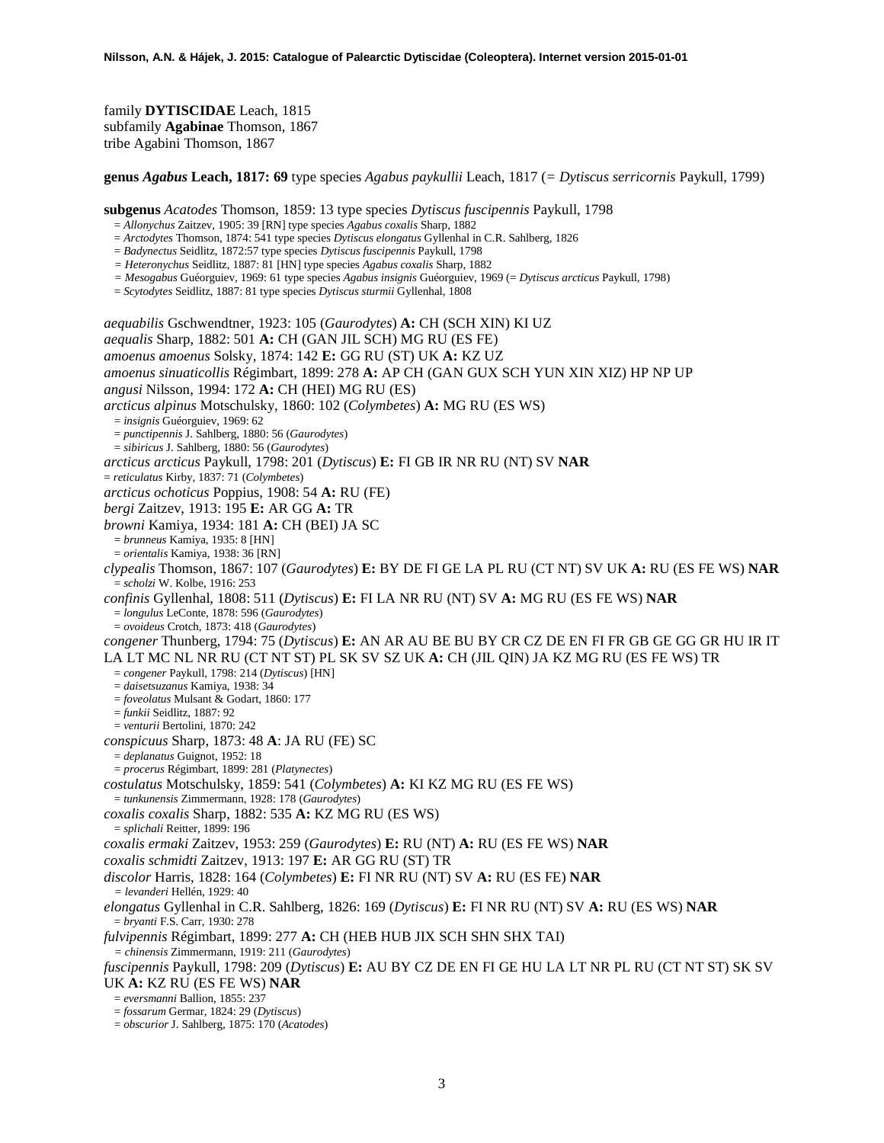family **DYTISCIDAE** Leach, 1815 subfamily **Agabinae** Thomson, 1867 tribe Agabini Thomson, 1867

**genus** *Agabus* **Leach, 1817: 69** type species *Agabus paykullii* Leach, 1817 (*= Dytiscus serricornis* Paykull, 1799)

**subgenus** *Acatodes* Thomson, 1859: 13 type species *Dytiscus fuscipennis* Paykull, 1798

- = *Allonychus* Zaitzev, 1905: 39 [RN] type species *Agabus coxalis* Sharp, 1882
- = *Arctodytes* Thomson, 1874: 541 type species *Dytiscus elongatus* Gyllenhal in C.R. Sahlberg, 1826
- = *Badynectus* Seidlitz, 1872:57 type species *Dytiscus fuscipennis* Paykull, 1798
- *= Heteronychus* Seidlitz, 1887: 81 [HN] type species *Agabus coxalis* Sharp, 1882
- *= Mesogabus* Guéorguiev, 1969: 61 type species *Agabus insignis* Guéorguiev, 1969 (= *Dytiscus arcticus* Paykull, 1798)
- = *Scytodytes* Seidlitz, 1887: 81 type species *Dytiscus sturmii* Gyllenhal, 1808

*aequabilis* Gschwendtner, 1923: 105 (*Gaurodytes*) **A:** CH (SCH XIN) KI UZ *aequalis* Sharp, 1882: 501 **A:** CH (GAN JIL SCH) MG RU (ES FE) *amoenus amoenus* Solsky, 1874: 142 **E:** GG RU (ST) UK **A:** KZ UZ *amoenus sinuaticollis* Régimbart, 1899: 278 **A:** AP CH (GAN GUX SCH YUN XIN XIZ) HP NP UP *angusi* Nilsson, 1994: 172 **A:** CH (HEI) MG RU (ES) *arcticus alpinus* Motschulsky, 1860: 102 (*Colymbetes*) **A:** MG RU (ES WS) = *insignis* Guéorguiev, 1969: 62 = *punctipennis* J. Sahlberg, 1880: 56 (*Gaurodytes*) = *sibiricus* J. Sahlberg, 1880: 56 (*Gaurodytes*) *arcticus arcticus* Paykull, 1798: 201 (*Dytiscus*) **E:** FI GB IR NR RU (NT) SV **NAR** = *reticulatus* Kirby, 1837: 71 (*Colymbetes*) *arcticus ochoticus* Poppius, 1908: 54 **A:** RU (FE) *bergi* Zaitzev, 1913: 195 **E:** AR GG **A:** TR *browni* Kamiya, 1934: 181 **A:** CH (BEI) JA SC = *brunneus* Kamiya, 1935: 8 [HN] = *orientalis* Kamiya, 1938: 36 [RN] *clypealis* Thomson, 1867: 107 (*Gaurodytes*) **E:** BY DE FI GE LA PL RU (CT NT) SV UK **A:** RU (ES FE WS) **NAR** = *scholzi* W. Kolbe, 1916: 253 *confinis* Gyllenhal, 1808: 511 (*Dytiscus*) **E:** FI LA NR RU (NT) SV **A:** MG RU (ES FE WS) **NAR** = *longulus* LeConte, 1878: 596 (*Gaurodytes*) = *ovoideus* Crotch, 1873: 418 (*Gaurodytes*) *congener* Thunberg, 1794: 75 (*Dytiscus*) **E:** AN AR AU BE BU BY CR CZ DE EN FI FR GB GE GG GR HU IR IT LA LT MC NL NR RU (CT NT ST) PL SK SV SZ UK **A:** CH (JIL QIN) JA KZ MG RU (ES FE WS) TR = *congener* Paykull, 1798: 214 (*Dytiscus*) [HN] = *daisetsuzanus* Kamiya, 1938: 34 = *foveolatus* Mulsant & Godart, 1860: 177 = *funkii* Seidlitz, 1887: 92 = *venturii* Bertolini, 1870: 242 *conspicuus* Sharp, 1873: 48 **A**: JA RU (FE) SC = *deplanatus* Guignot, 1952: 18 = *procerus* Régimbart, 1899: 281 (*Platynectes*) *costulatus* Motschulsky, 1859: 541 (*Colymbetes*) **A:** KI KZ MG RU (ES FE WS) = *tunkunensis* Zimmermann, 1928: 178 (*Gaurodytes*) *coxalis coxalis* Sharp, 1882: 535 **A:** KZ MG RU (ES WS) = *splichali* Reitter, 1899: 196 *coxalis ermaki* Zaitzev, 1953: 259 (*Gaurodytes*) **E:** RU (NT) **A:** RU (ES FE WS) **NAR** *coxalis schmidti* Zaitzev, 1913: 197 **E:** AR GG RU (ST) TR *discolor* Harris, 1828: 164 (*Colymbetes*) **E:** FI NR RU (NT) SV **A:** RU (ES FE) **NAR** *= levanderi* Hellén, 1929: 40 *elongatus* Gyllenhal in C.R. Sahlberg, 1826: 169 (*Dytiscus*) **E:** FI NR RU (NT) SV **A:** RU (ES WS) **NAR** = *bryanti* F.S. Carr, 1930: 278 *fulvipennis* Régimbart, 1899: 277 **A:** CH (HEB HUB JIX SCH SHN SHX TAI) *= chinensis* Zimmermann, 1919: 211 (*Gaurodytes*) *fuscipennis* Paykull, 1798: 209 (*Dytiscus*) **E:** AU BY CZ DE EN FI GE HU LA LT NR PL RU (CT NT ST) SK SV UK **A:** KZ RU (ES FE WS) **NAR** = *eversmanni* Ballion, 1855: 237 = *fossarum* Germar, 1824: 29 (*Dytiscus*)

= *obscurior* J. Sahlberg, 1875: 170 (*Acatodes*)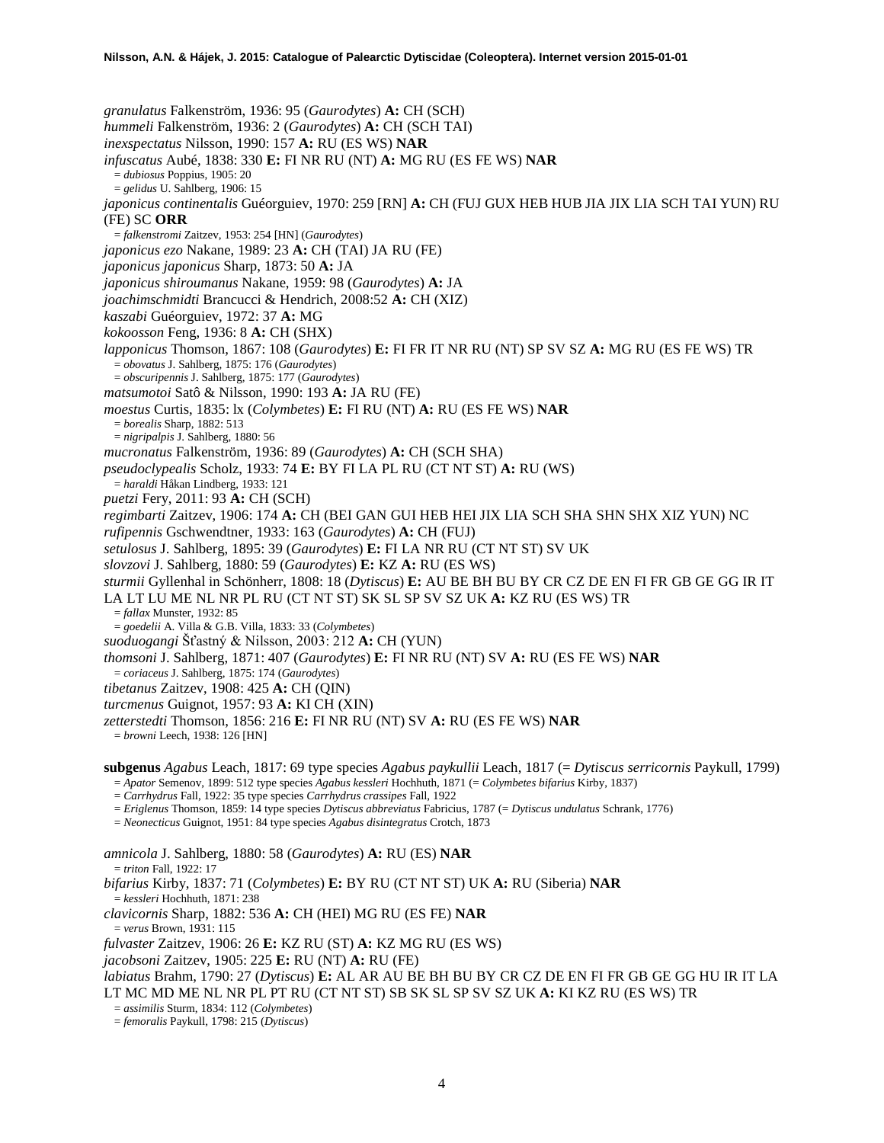*granulatus* Falkenström, 1936: 95 (*Gaurodytes*) **A:** CH (SCH) *hummeli* Falkenström, 1936: 2 (*Gaurodytes*) **A:** CH (SCH TAI) *inexspectatus* Nilsson, 1990: 157 **A:** RU (ES WS) **NAR** *infuscatus* Aubé, 1838: 330 **E:** FI NR RU (NT) **A:** MG RU (ES FE WS) **NAR** = *dubiosus* Poppius, 1905: 20 = *gelidus* U. Sahlberg, 1906: 15 *japonicus continentalis* Guéorguiev, 1970: 259 [RN] **A:** CH (FUJ GUX HEB HUB JIA JIX LIA SCH TAI YUN) RU (FE) SC **ORR** = *falkenstromi* Zaitzev, 1953: 254 [HN] (*Gaurodytes*) *japonicus ezo* Nakane, 1989: 23 **A:** CH (TAI) JA RU (FE) *japonicus japonicus* Sharp, 1873: 50 **A:** JA *japonicus shiroumanus* Nakane, 1959: 98 (*Gaurodytes*) **A:** JA *joachimschmidti* Brancucci & Hendrich, 2008:52 **A:** CH (XIZ) *kaszabi* Guéorguiev, 1972: 37 **A:** MG *kokoosson* Feng, 1936: 8 **A:** CH (SHX) *lapponicus* Thomson, 1867: 108 (*Gaurodytes*) **E:** FI FR IT NR RU (NT) SP SV SZ **A:** MG RU (ES FE WS) TR = *obovatus* J. Sahlberg, 1875: 176 (*Gaurodytes*) = *obscuripennis* J. Sahlberg, 1875: 177 (*Gaurodytes*) *matsumotoi* Satô & Nilsson, 1990: 193 **A:** JA RU (FE) *moestus* Curtis, 1835: lx (*Colymbetes*) **E:** FI RU (NT) **A:** RU (ES FE WS) **NAR** = *borealis* Sharp, 1882: 513 = *nigripalpis* J. Sahlberg, 1880: 56 *mucronatus* Falkenström, 1936: 89 (*Gaurodytes*) **A:** CH (SCH SHA) *pseudoclypealis* Scholz, 1933: 74 **E:** BY FI LA PL RU (CT NT ST) **A:** RU (WS) = *haraldi* Håkan Lindberg, 1933: 121 *puetzi* Fery, 2011: 93 **A:** CH (SCH) *regimbarti* Zaitzev, 1906: 174 **A:** CH (BEI GAN GUI HEB HEI JIX LIA SCH SHA SHN SHX XIZ YUN) NC *rufipennis* Gschwendtner, 1933: 163 (*Gaurodytes*) **A:** CH (FUJ) *setulosus* J. Sahlberg, 1895: 39 (*Gaurodytes*) **E:** FI LA NR RU (CT NT ST) SV UK *slovzovi* J. Sahlberg, 1880: 59 (*Gaurodytes*) **E:** KZ **A:** RU (ES WS) *sturmii* Gyllenhal in Schönherr, 1808: 18 (*Dytiscus*) **E:** AU BE BH BU BY CR CZ DE EN FI FR GB GE GG IR IT LA LT LU ME NL NR PL RU (CT NT ST) SK SL SP SV SZ UK **A:** KZ RU (ES WS) TR = *fallax* Munster, 1932: 85 = *goedelii* A. Villa & G.B. Villa, 1833: 33 (*Colymbetes*) *suoduogangi* Šťastný & Nilsson, 2003: 212 **A:** CH (YUN) *thomsoni* J. Sahlberg, 1871: 407 (*Gaurodytes*) **E:** FI NR RU (NT) SV **A:** RU (ES FE WS) **NAR** = *coriaceus* J. Sahlberg, 1875: 174 (*Gaurodytes*) *tibetanus* Zaitzev, 1908: 425 **A:** CH (QIN) *turcmenus* Guignot, 1957: 93 **A:** KI CH (XIN) *zetterstedti* Thomson, 1856: 216 **E:** FI NR RU (NT) SV **A:** RU (ES FE WS) **NAR** = *browni* Leech, 1938: 126 [HN] **subgenus** *Agabus* Leach, 1817: 69 type species *Agabus paykullii* Leach, 1817 (= *Dytiscus serricornis* Paykull, 1799) = *Apator* Semenov, 1899: 512 type species *Agabus kessleri* Hochhuth, 1871 (= *Colymbetes bifarius* Kirby, 1837) = *Carrhydrus* Fall, 1922: 35 type species *Carrhydrus crassipes* Fall, 1922

= *Eriglenus* Thomson, 1859: 14 type species *Dytiscus abbreviatus* Fabricius, 1787 (= *Dytiscus undulatus* Schrank, 1776)

= *Neonecticus* Guignot, 1951: 84 type species *Agabus disintegratus* Crotch, 1873

*amnicola* J. Sahlberg, 1880: 58 (*Gaurodytes*) **A:** RU (ES) **NAR**

= *triton* Fall, 1922: 17

*bifarius* Kirby, 1837: 71 (*Colymbetes*) **E:** BY RU (CT NT ST) UK **A:** RU (Siberia) **NAR**

= *kessleri* Hochhuth, 1871: 238

*clavicornis* Sharp, 1882: 536 **A:** CH (HEI) MG RU (ES FE) **NAR**

= *verus* Brown, 1931: 115

*fulvaster* Zaitzev, 1906: 26 **E:** KZ RU (ST) **A:** KZ MG RU (ES WS)

*jacobsoni* Zaitzev, 1905: 225 **E:** RU (NT) **A:** RU (FE)

*labiatus* Brahm, 1790: 27 (*Dytiscus*) **E:** AL AR AU BE BH BU BY CR CZ DE EN FI FR GB GE GG HU IR IT LA LT MC MD ME NL NR PL PT RU (CT NT ST) SB SK SL SP SV SZ UK **A:** KI KZ RU (ES WS) TR

= *assimilis* Sturm, 1834: 112 (*Colymbetes*)

= *femoralis* Paykull, 1798: 215 (*Dytiscus*)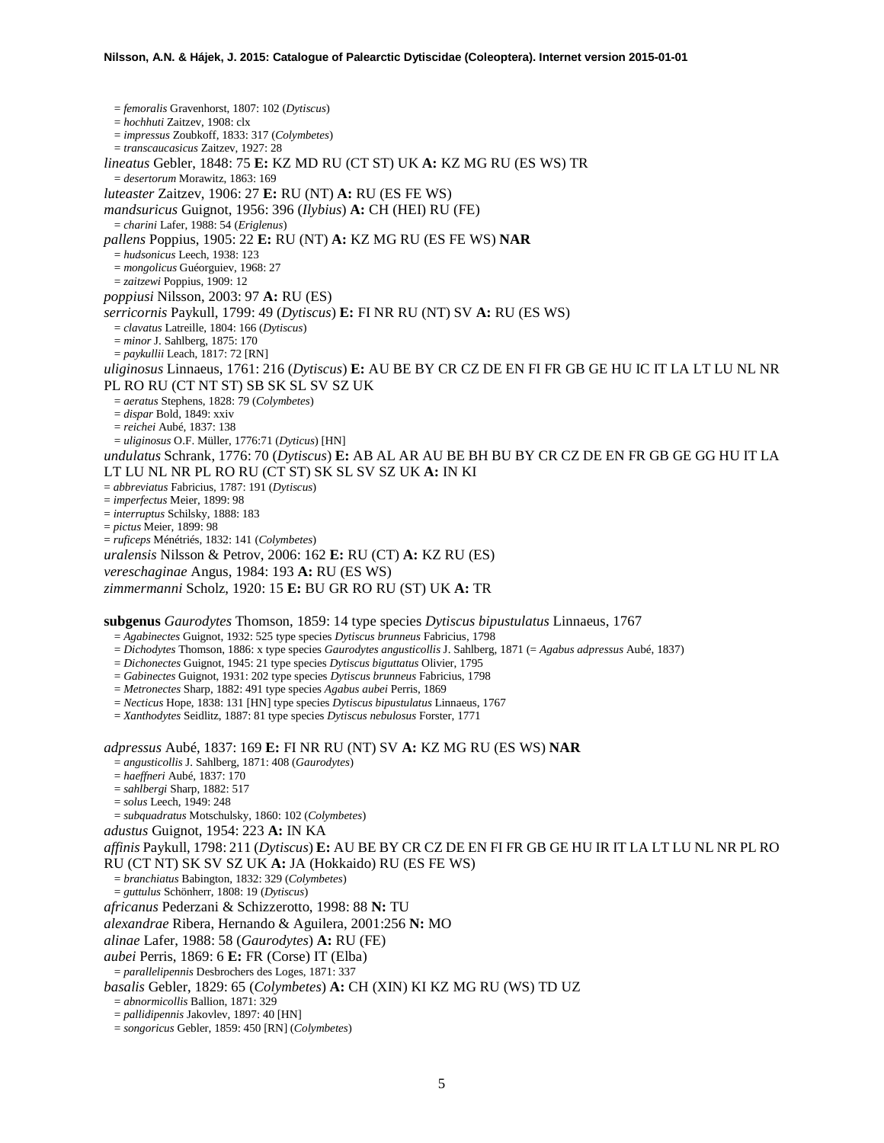= *femoralis* Gravenhorst, 1807: 102 (*Dytiscus*) = *hochhuti* Zaitzev, 1908: clx = *impressus* Zoubkoff, 1833: 317 (*Colymbetes*) = *transcaucasicus* Zaitzev, 1927: 28 *lineatus* Gebler, 1848: 75 **E:** KZ MD RU (CT ST) UK **A:** KZ MG RU (ES WS) TR = *desertorum* Morawitz, 1863: 169 *luteaster* Zaitzev, 1906: 27 **E:** RU (NT) **A:** RU (ES FE WS) *mandsuricus* Guignot, 1956: 396 (*Ilybius*) **A:** CH (HEI) RU (FE) = *charini* Lafer, 1988: 54 (*Eriglenus*) *pallens* Poppius, 1905: 22 **E:** RU (NT) **A:** KZ MG RU (ES FE WS) **NAR** = *hudsonicus* Leech, 1938: 123 = *mongolicus* Guéorguiev, 1968: 27 = *zaitzewi* Poppius, 1909: 12 *poppiusi* Nilsson, 2003: 97 **A:** RU (ES) *serricornis* Paykull, 1799: 49 (*Dytiscus*) **E:** FI NR RU (NT) SV **A:** RU (ES WS) = *clavatus* Latreille, 1804: 166 (*Dytiscus*) = *minor* J. Sahlberg, 1875: 170 = *paykullii* Leach, 1817: 72 [RN] *uliginosus* Linnaeus, 1761: 216 (*Dytiscus*) **E:** AU BE BY CR CZ DE EN FI FR GB GE HU IC IT LA LT LU NL NR PL RO RU (CT NT ST) SB SK SL SV SZ UK = *aeratus* Stephens, 1828: 79 (*Colymbetes*) = *dispar* Bold, 1849: xxiv = *reichei* Aubé, 1837: 138 = *uliginosus* O.F. Müller, 1776:71 (*Dyticus*) [HN] *undulatus* Schrank, 1776: 70 (*Dytiscus*) **E:** AB AL AR AU BE BH BU BY CR CZ DE EN FR GB GE GG HU IT LA LT LU NL NR PL RO RU (CT ST) SK SL SV SZ UK **A:** IN KI = *abbreviatus* Fabricius, 1787: 191 (*Dytiscus*) = *imperfectus* Meier, 1899: 98 = *interruptus* Schilsky, 1888: 183 = *pictus* Meier, 1899: 98 = *ruficeps* Ménétriés, 1832: 141 (*Colymbetes*) *uralensis* Nilsson & Petrov, 2006: 162 **E:** RU (CT) **A:** KZ RU (ES) *vereschaginae* Angus, 1984: 193 **A:** RU (ES WS) *zimmermanni* Scholz, 1920: 15 **E:** BU GR RO RU (ST) UK **A:** TR **subgenus** *Gaurodytes* Thomson, 1859: 14 type species *Dytiscus bipustulatus* Linnaeus, 1767 = *Agabinectes* Guignot, 1932: 525 type species *Dytiscus brunneus* Fabricius, 1798 = *Dichodytes* Thomson, 1886: x type species *Gaurodytes angusticollis* J. Sahlberg, 1871 (= *Agabus adpressus* Aubé, 1837) = *Dichonectes* Guignot, 1945: 21 type species *Dytiscus biguttatus* Olivier, 1795 = *Gabinectes* Guignot, 1931: 202 type species *Dytiscus brunneus* Fabricius, 1798 = *Metronectes* Sharp, 1882: 491 type species *Agabus aubei* Perris, 1869 = *Necticus* Hope, 1838: 131 [HN] type species *Dytiscus bipustulatus* Linnaeus, 1767 = *Xanthodytes* Seidlitz, 1887: 81 type species *Dytiscus nebulosus* Forster, 1771 *adpressus* Aubé, 1837: 169 **E:** FI NR RU (NT) SV **A:** KZ MG RU (ES WS) **NAR** = *angusticollis* J. Sahlberg, 1871: 408 (*Gaurodytes*) = *haeffneri* Aubé, 1837: 170 = *sahlbergi* Sharp, 1882: 517 = *solus* Leech, 1949: 248 = *subquadratus* Motschulsky, 1860: 102 (*Colymbetes*) *adustus* Guignot, 1954: 223 **A:** IN KA *affinis* Paykull, 1798: 211 (*Dytiscus*) **E:** AU BE BY CR CZ DE EN FI FR GB GE HU IR IT LA LT LU NL NR PL RO RU (CT NT) SK SV SZ UK **A:** JA (Hokkaido) RU (ES FE WS) = *branchiatus* Babington, 1832: 329 (*Colymbetes*) = *guttulus* Schönherr, 1808: 19 (*Dytiscus*) *africanus* Pederzani & Schizzerotto, 1998: 88 **N:** TU *alexandrae* Ribera, Hernando & Aguilera, 2001:256 **N:** MO *alinae* Lafer, 1988: 58 (*Gaurodytes*) **A:** RU (FE) *aubei* Perris, 1869: 6 **E:** FR (Corse) IT (Elba) = *parallelipennis* Desbrochers des Loges, 1871: 337 *basalis* Gebler, 1829: 65 (*Colymbetes*) **A:** CH (XIN) KI KZ MG RU (WS) TD UZ = *abnormicollis* Ballion, 1871: 329 = *pallidipennis* Jakovlev, 1897: 40 [HN]

= *songoricus* Gebler, 1859: 450 [RN] (*Colymbetes*)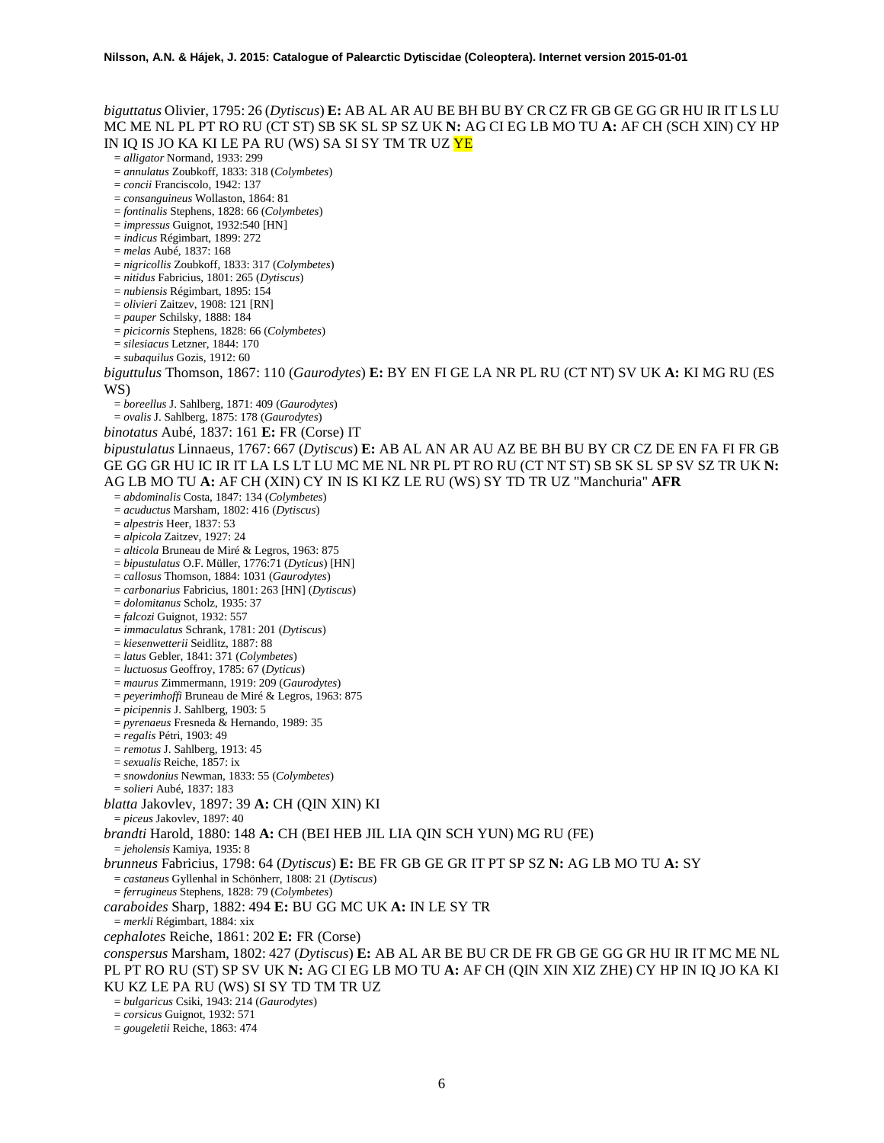## *biguttatus* Olivier, 1795: 26 (*Dytiscus*) **E:** AB AL AR AU BE BH BU BY CR CZ FR GB GE GG GR HU IR IT LS LU MC ME NL PL PT RO RU (CT ST) SB SK SL SP SZ UK **N:** AG CI EG LB MO TU **A:** AF CH (SCH XIN) CY HP IN IQ IS JO KA KI LE PA RU (WS) SA SI SY TM TR UZ YE

- = *alligator* Normand, 1933: 299
- = *annulatus* Zoubkoff, 1833: 318 (*Colymbetes*)
- = *concii* Franciscolo, 1942: 137
- = *consanguineus* Wollaston, 1864: 81
- = *fontinalis* Stephens, 1828: 66 (*Colymbetes*)
- = *impressus* Guignot, 1932:540 [HN]
- = *indicus* Régimbart, 1899: 272
- = *melas* Aubé, 1837: 168
- = *nigricollis* Zoubkoff, 1833: 317 (*Colymbetes*)
- = *nitidus* Fabricius, 1801: 265 (*Dytiscus*)
- = *nubiensis* Régimbart, 1895: 154
- = *olivieri* Zaitzev, 1908: 121 [RN]
- = *pauper* Schilsky, 1888: 184
- = *picicornis* Stephens, 1828: 66 (*Colymbetes*)
- = *silesiacus* Letzner, 1844: 170
- = *subaquilus* Gozis, 1912: 60

*biguttulus* Thomson, 1867: 110 (*Gaurodytes*) **E:** BY EN FI GE LA NR PL RU (CT NT) SV UK **A:** KI MG RU (ES WS)

- = *boreellus* J. Sahlberg, 1871: 409 (*Gaurodytes*)
- = *ovalis* J. Sahlberg, 1875: 178 (*Gaurodytes*)
- *binotatus* Aubé, 1837: 161 **E:** FR (Corse) IT

*bipustulatus* Linnaeus, 1767: 667 (*Dytiscus*) **E:** AB AL AN AR AU AZ BE BH BU BY CR CZ DE EN FA FI FR GB GE GG GR HU IC IR IT LA LS LT LU MC ME NL NR PL PT RO RU (CT NT ST) SB SK SL SP SV SZ TR UK **N:**  AG LB MO TU **A:** AF CH (XIN) CY IN IS KI KZ LE RU (WS) SY TD TR UZ "Manchuria" **AFR**

- = *abdominalis* Costa, 1847: 134 (*Colymbetes*)
- = *acuductus* Marsham, 1802: 416 (*Dytiscus*)
- = *alpestris* Heer, 1837: 53
- = *alpicola* Zaitzev, 1927: 24
- = *alticola* Bruneau de Miré & Legros, 1963: 875
- = *bipustulatus* O.F. Müller, 1776:71 (*Dyticus*) [HN] = *callosus* Thomson, 1884: 1031 (*Gaurodytes*)
- 
- = *carbonarius* Fabricius, 1801: 263 [HN] (*Dytiscus*)
- = *dolomitanus* Scholz, 1935: 37
- = *falcozi* Guignot, 1932: 557
- = *immaculatus* Schrank, 1781: 201 (*Dytiscus*)
- = *kiesenwetterii* Seidlitz, 1887: 88
- = *latus* Gebler, 1841: 371 (*Colymbetes*)
- = *luctuosus* Geoffroy, 1785: 67 (*Dyticus*)
- = *maurus* Zimmermann, 1919: 209 (*Gaurodytes*)
- = *peyerimhoffi* Bruneau de Miré & Legros, 1963: 875
- = *picipennis* J. Sahlberg, 1903: 5
- = *pyrenaeus* Fresneda & Hernando, 1989: 35
- = *regalis* Pétri, 1903: 49
- = *remotus* J. Sahlberg, 1913: 45
- = *sexualis* Reiche, 1857: ix
- = *snowdonius* Newman, 1833: 55 (*Colymbetes*)
- = *solieri* Aubé, 1837: 183

*blatta* Jakovlev, 1897: 39 **A:** CH (QIN XIN) KI

= *piceus* Jakovlev, 1897: 40

*brandti* Harold, 1880: 148 **A:** CH (BEI HEB JIL LIA QIN SCH YUN) MG RU (FE)

= *jeholensis* Kamiya, 1935: 8

*brunneus* Fabricius, 1798: 64 (*Dytiscus*) **E:** BE FR GB GE GR IT PT SP SZ **N:** AG LB MO TU **A:** SY

- = *castaneus* Gyllenhal in Schönherr, 1808: 21 (*Dytiscus*)
- = *ferrugineus* Stephens, 1828: 79 (*Colymbetes*)
- *caraboides* Sharp, 1882: 494 **E:** BU GG MC UK **A:** IN LE SY TR
- = *merkli* Régimbart, 1884: xix
- *cephalotes* Reiche, 1861: 202 **E:** FR (Corse)
- *conspersus* Marsham, 1802: 427 (*Dytiscus*) **E:** AB AL AR BE BU CR DE FR GB GE GG GR HU IR IT MC ME NL PL PT RO RU (ST) SP SV UK **N:** AG CI EG LB MO TU **A:** AF CH (QIN XIN XIZ ZHE) CY HP IN IQ JO KA KI KU KZ LE PA RU (WS) SI SY TD TM TR UZ
- = *bulgaricus* Csiki, 1943: 214 (*Gaurodytes*)
- = *corsicus* Guignot, 1932: 571
- = *gougeletii* Reiche, 1863: 474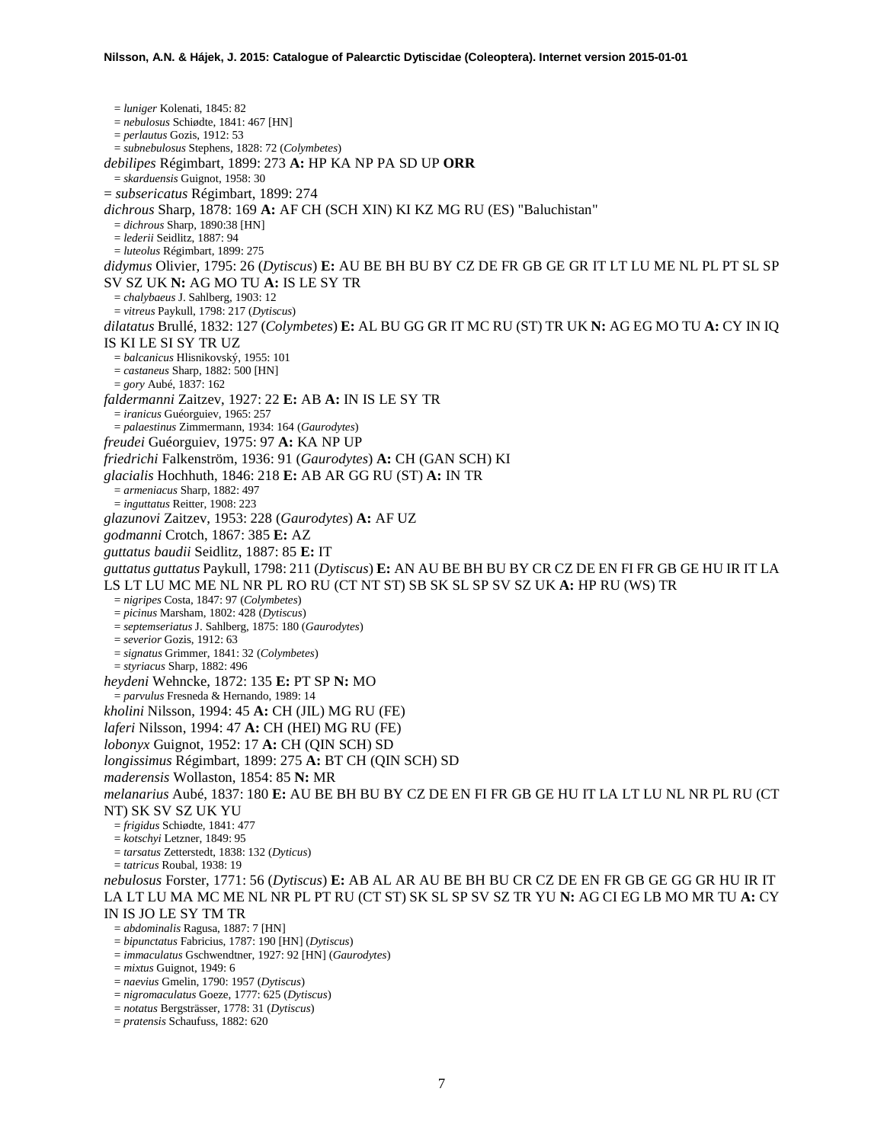= *luniger* Kolenati, 1845: 82 = *nebulosus* Schiødte, 1841: 467 [HN] = *perlautus* Gozis, 1912: 53 = *subnebulosus* Stephens, 1828: 72 (*Colymbetes*) *debilipes* Régimbart, 1899: 273 **A:** HP KA NP PA SD UP **ORR** = *skarduensis* Guignot, 1958: 30 = *subsericatus* Régimbart, 1899: 274 *dichrous* Sharp, 1878: 169 **A:** AF CH (SCH XIN) KI KZ MG RU (ES) "Baluchistan" = *dichrous* Sharp, 1890:38 [HN] = *lederii* Seidlitz, 1887: 94 = *luteolus* Régimbart, 1899: 275 *didymus* Olivier, 1795: 26 (*Dytiscus*) **E:** AU BE BH BU BY CZ DE FR GB GE GR IT LT LU ME NL PL PT SL SP SV SZ UK **N:** AG MO TU **A:** IS LE SY TR = *chalybaeus* J. Sahlberg, 1903: 12 = *vitreus* Paykull, 1798: 217 (*Dytiscus*) *dilatatus* Brullé, 1832: 127 (*Colymbetes*) **E:** AL BU GG GR IT MC RU (ST) TR UK **N:** AG EG MO TU **A:** CY IN IQ IS KI LE SI SY TR UZ = *balcanicus* Hlisnikovský, 1955: 101 = *castaneus* Sharp, 1882: 500 [HN] = *gory* Aubé, 1837: 162 *faldermanni* Zaitzev, 1927: 22 **E:** AB **A:** IN IS LE SY TR = *iranicus* Guéorguiev, 1965: 257 = *palaestinus* Zimmermann, 1934: 164 (*Gaurodytes*) *freudei* Guéorguiev, 1975: 97 **A:** KA NP UP *friedrichi* Falkenström, 1936: 91 (*Gaurodytes*) **A:** CH (GAN SCH) KI *glacialis* Hochhuth, 1846: 218 **E:** AB AR GG RU (ST) **A:** IN TR = *armeniacus* Sharp, 1882: 497 = *inguttatus* Reitter, 1908: 223 *glazunovi* Zaitzev, 1953: 228 (*Gaurodytes*) **A:** AF UZ *godmanni* Crotch, 1867: 385 **E:** AZ *guttatus baudii* Seidlitz, 1887: 85 **E:** IT *guttatus guttatus* Paykull, 1798: 211 (*Dytiscus*) **E:** AN AU BE BH BU BY CR CZ DE EN FI FR GB GE HU IR IT LA LS LT LU MC ME NL NR PL RO RU (CT NT ST) SB SK SL SP SV SZ UK **A:** HP RU (WS) TR = *nigripes* Costa, 1847: 97 (*Colymbetes*) = *picinus* Marsham, 1802: 428 (*Dytiscus*) = *septemseriatus* J. Sahlberg, 1875: 180 (*Gaurodytes*) = *severior* Gozis, 1912: 63 = *signatus* Grimmer, 1841: 32 (*Colymbetes*) = *styriacus* Sharp, 1882: 496 *heydeni* Wehncke, 1872: 135 **E:** PT SP **N:** MO = *parvulus* Fresneda & Hernando, 1989: 14 *kholini* Nilsson, 1994: 45 **A:** CH (JIL) MG RU (FE) *laferi* Nilsson, 1994: 47 **A:** CH (HEI) MG RU (FE) *lobonyx* Guignot, 1952: 17 **A:** CH (QIN SCH) SD *longissimus* Régimbart, 1899: 275 **A:** BT CH (QIN SCH) SD *maderensis* Wollaston, 1854: 85 **N:** MR *melanarius* Aubé, 1837: 180 **E:** AU BE BH BU BY CZ DE EN FI FR GB GE HU IT LA LT LU NL NR PL RU (CT NT) SK SV SZ UK YU = *frigidus* Schiødte, 1841: 477 = *kotschyi* Letzner, 1849: 95 = *tarsatus* Zetterstedt, 1838: 132 (*Dyticus*) = *tatricus* Roubal, 1938: 19 *nebulosus* Forster, 1771: 56 (*Dytiscus*) **E:** AB AL AR AU BE BH BU CR CZ DE EN FR GB GE GG GR HU IR IT LA LT LU MA MC ME NL NR PL PT RU (CT ST) SK SL SP SV SZ TR YU **N:** AG CI EG LB MO MR TU **A:** CY IN IS JO LE SY TM TR = *abdominalis* Ragusa, 1887: 7 [HN] = *bipunctatus* Fabricius, 1787: 190 [HN] (*Dytiscus*) = *immaculatus* Gschwendtner, 1927: 92 [HN] (*Gaurodytes*) = *mixtus* Guignot, 1949: 6 = *naevius* Gmelin, 1790: 1957 (*Dytiscus*) = *nigromaculatus* Goeze, 1777: 625 (*Dytiscus*)

- = *notatus* Bergsträsser, 1778: 31 (*Dytiscus*)
- = *pratensis* Schaufuss, 1882: 620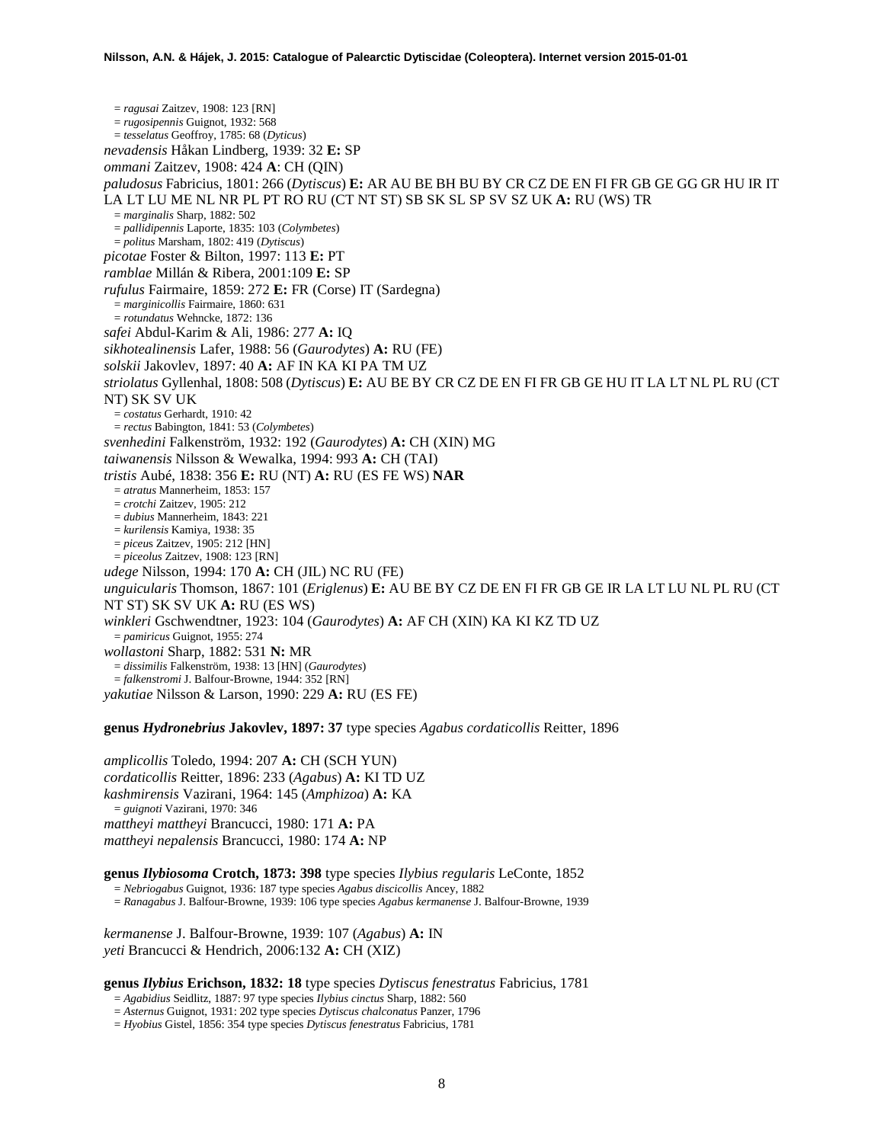= *ragusai* Zaitzev, 1908: 123 [RN] = *rugosipennis* Guignot, 1932: 568 = *tesselatus* Geoffroy, 1785: 68 (*Dyticus*) *nevadensis* Håkan Lindberg, 1939: 32 **E:** SP *ommani* Zaitzev, 1908: 424 **A**: CH (QIN) *paludosus* Fabricius, 1801: 266 (*Dytiscus*) **E:** AR AU BE BH BU BY CR CZ DE EN FI FR GB GE GG GR HU IR IT LA LT LU ME NL NR PL PT RO RU (CT NT ST) SB SK SL SP SV SZ UK **A:** RU (WS) TR = *marginalis* Sharp, 1882: 502 = *pallidipennis* Laporte, 1835: 103 (*Colymbetes*) = *politus* Marsham, 1802: 419 (*Dytiscus*) *picotae* Foster & Bilton, 1997: 113 **E:** PT *ramblae* Millán & Ribera, 2001:109 **E:** SP *rufulus* Fairmaire, 1859: 272 **E:** FR (Corse) IT (Sardegna) = *marginicollis* Fairmaire, 1860: 631 = *rotundatus* Wehncke, 1872: 136 *safei* Abdul-Karim & Ali, 1986: 277 **A:** IQ *sikhotealinensis* Lafer, 1988: 56 (*Gaurodytes*) **A:** RU (FE) *solskii* Jakovlev, 1897: 40 **A:** AF IN KA KI PA TM UZ *striolatus* Gyllenhal, 1808: 508 (*Dytiscus*) **E:** AU BE BY CR CZ DE EN FI FR GB GE HU IT LA LT NL PL RU (CT NT) SK SV UK = *costatus* Gerhardt, 1910: 42 = *rectus* Babington, 1841: 53 (*Colymbetes*) *svenhedini* Falkenström, 1932: 192 (*Gaurodytes*) **A:** CH (XIN) MG *taiwanensis* Nilsson & Wewalka, 1994: 993 **A:** CH (TAI) *tristis* Aubé, 1838: 356 **E:** RU (NT) **A:** RU (ES FE WS) **NAR** = *atratus* Mannerheim, 1853: 157 = *crotchi* Zaitzev, 1905: 212 = *dubius* Mannerheim, 1843: 221 = *kurilensis* Kamiya, 1938: 35 = *piceu*s Zaitzev, 1905: 212 [HN] = *piceolus* Zaitzev, 1908: 123 [RN] *udege* Nilsson, 1994: 170 **A:** CH (JIL) NC RU (FE) *unguicularis* Thomson, 1867: 101 (*Eriglenus*) **E:** AU BE BY CZ DE EN FI FR GB GE IR LA LT LU NL PL RU (CT NT ST) SK SV UK **A:** RU (ES WS) *winkleri* Gschwendtner, 1923: 104 (*Gaurodytes*) **A:** AF CH (XIN) KA KI KZ TD UZ = *pamiricus* Guignot, 1955: 274 *wollastoni* Sharp, 1882: 531 **N:** MR = *dissimilis* Falkenström, 1938: 13 [HN] (*Gaurodytes*) = *falkenstromi* J. Balfour-Browne, 1944: 352 [RN] *yakutiae* Nilsson & Larson, 1990: 229 **A:** RU (ES FE)

**genus** *Hydronebrius* **Jakovlev, 1897: 37** type species *Agabus cordaticollis* Reitter, 1896

*amplicollis* Toledo, 1994: 207 **A:** CH (SCH YUN) *cordaticollis* Reitter, 1896: 233 (*Agabus*) **A:** KI TD UZ *kashmirensis* Vazirani, 1964: 145 (*Amphizoa*) **A:** KA = *guignoti* Vazirani, 1970: 346 *mattheyi mattheyi* Brancucci, 1980: 171 **A:** PA *mattheyi nepalensis* Brancucci, 1980: 174 **A:** NP

**genus** *Ilybiosoma* **Crotch, 1873: 398** type species *Ilybius regularis* LeConte, 1852

= *Nebriogabus* Guignot, 1936: 187 type species *Agabus discicollis* Ancey, 1882

= *Ranagabus* J. Balfour-Browne, 1939: 106 type species *Agabus kermanense* J. Balfour-Browne, 1939

*kermanense* J. Balfour-Browne, 1939: 107 (*Agabus*) **A:** IN *yeti* Brancucci & Hendrich, 2006:132 **A:** CH (XIZ)

## **genus** *Ilybius* **Erichson, 1832: 18** type species *Dytiscus fenestratus* Fabricius, 1781

= *Agabidius* Seidlitz, 1887: 97 type species *Ilybius cinctus* Sharp, 1882: 560

= *Asternus* Guignot, 1931: 202 type species *Dytiscus chalconatus* Panzer, 1796

= *Hyobius* Gistel, 1856: 354 type species *Dytiscus fenestratus* Fabricius, 1781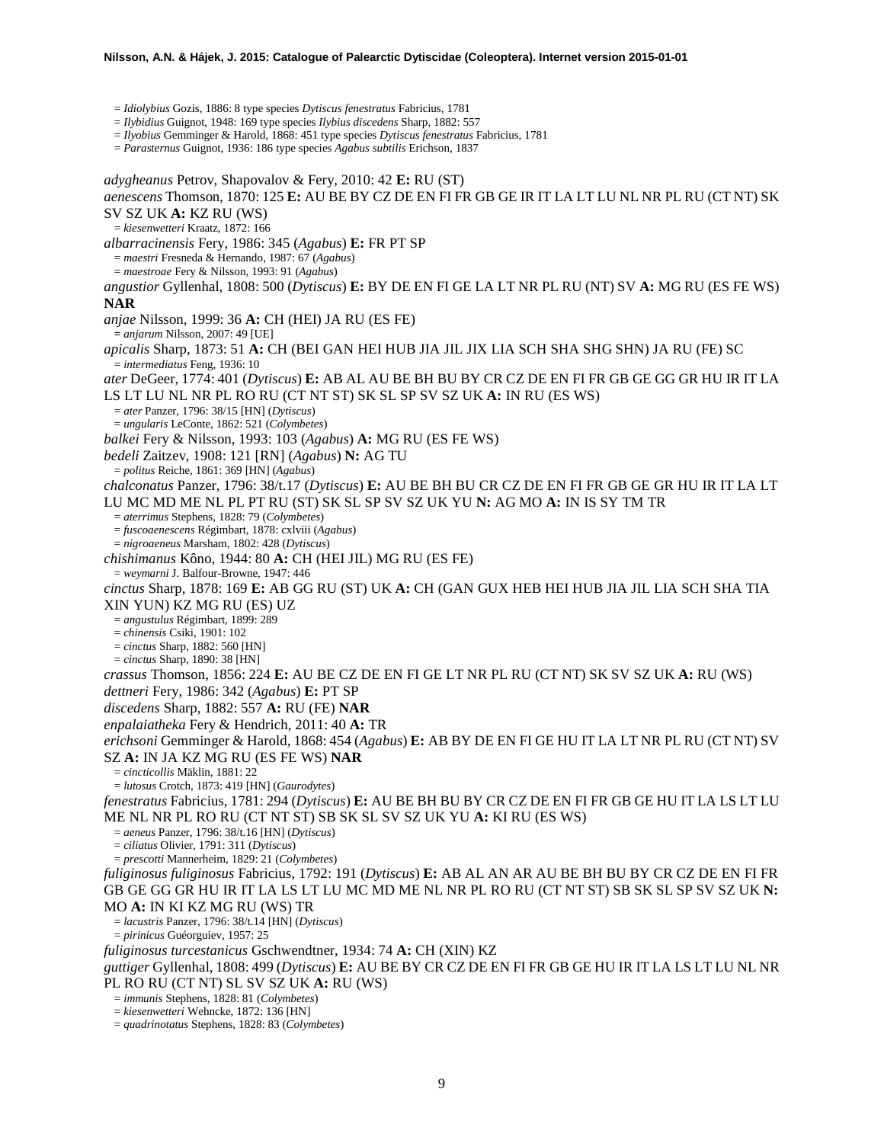= *Idiolybius* Gozis, 1886: 8 type species *Dytiscus fenestratus* Fabricius, 1781

= *Ilybidius* Guignot, 1948: 169 type species *Ilybius discedens* Sharp, 1882: 557

= *Ilyobius* Gemminger & Harold, 1868: 451 type species *Dytiscus fenestratus* Fabricius, 1781

= *Parasternus* Guignot, 1936: 186 type species *Agabus subtilis* Erichson, 1837

*adygheanus* Petrov, Shapovalov & Fery, 2010: 42 **E:** RU (ST) *aenescens* Thomson, 1870: 125 **E:** AU BE BY CZ DE EN FI FR GB GE IR IT LA LT LU NL NR PL RU (CT NT) SK SV SZ UK **A:** KZ RU (WS) = *kiesenwetteri* Kraatz, 1872: 166 *albarracinensis* Fery, 1986: 345 (*Agabus*) **E:** FR PT SP = *maestri* Fresneda & Hernando, 1987: 67 (*Agabus*) = *maestroae* Fery & Nilsson, 1993: 91 (*Agabus*) *angustior* Gyllenhal, 1808: 500 (*Dytiscus*) **E:** BY DE EN FI GE LA LT NR PL RU (NT) SV **A:** MG RU (ES FE WS) **NAR** *anjae* Nilsson, 1999: 36 **A:** CH (HEI) JA RU (ES FE) **=** *anjarum* Nilsson, 2007: 49 [UE] *apicalis* Sharp, 1873: 51 **A:** CH (BEI GAN HEI HUB JIA JIL JIX LIA SCH SHA SHG SHN) JA RU (FE) SC = *intermediatus* Feng, 1936: 10 *ater* DeGeer, 1774: 401 (*Dytiscus*) **E:** AB AL AU BE BH BU BY CR CZ DE EN FI FR GB GE GG GR HU IR IT LA LS LT LU NL NR PL RO RU (CT NT ST) SK SL SP SV SZ UK **A:** IN RU (ES WS) = *ater* Panzer, 1796: 38/15 [HN] (*Dytiscus*) = *ungularis* LeConte, 1862: 521 (*Colymbetes*) *balkei* Fery & Nilsson, 1993: 103 (*Agabus*) **A:** MG RU (ES FE WS) *bedeli* Zaitzev, 1908: 121 [RN] (*Agabus*) **N:** AG TU = *politus* Reiche, 1861: 369 [HN] (*Agabus*) *chalconatus* Panzer, 1796: 38/t.17 (*Dytiscus*) **E:** AU BE BH BU CR CZ DE EN FI FR GB GE GR HU IR IT LA LT LU MC MD ME NL PL PT RU (ST) SK SL SP SV SZ UK YU **N:** AG MO **A:** IN IS SY TM TR = *aterrimus* Stephens, 1828: 79 (*Colymbetes*) = *fuscoaenescens* Régimbart, 1878: cxlviii (*Agabus*) = *nigroaeneus* Marsham, 1802: 428 (*Dytiscus*) *chishimanus* Kôno, 1944: 80 **A:** CH (HEI JIL) MG RU (ES FE) = *weymarni* J. Balfour-Browne, 1947: 446 *cinctus* Sharp, 1878: 169 **E:** AB GG RU (ST) UK **A:** CH (GAN GUX HEB HEI HUB JIA JIL LIA SCH SHA TIA XIN YUN) KZ MG RU (ES) UZ = *angustulus* Régimbart, 1899: 289 = *chinensis* Csiki, 1901: 102 = *cinctus* Sharp, 1882: 560 [HN] = *cinctus* Sharp, 1890: 38 [HN] *crassus* Thomson, 1856: 224 **E:** AU BE CZ DE EN FI GE LT NR PL RU (CT NT) SK SV SZ UK **A:** RU (WS) *dettneri* Fery, 1986: 342 (*Agabus*) **E:** PT SP *discedens* Sharp, 1882: 557 **A:** RU (FE) **NAR** *enpalaiatheka* Fery & Hendrich, 2011: 40 **A:** TR *erichsoni* Gemminger & Harold, 1868: 454 (*Agabus*) **E:** AB BY DE EN FI GE HU IT LA LT NR PL RU (CT NT) SV SZ **A:** IN JA KZ MG RU (ES FE WS) **NAR** = *cincticollis* Mäklin, 1881: 22 = *lutosus* Crotch, 1873: 419 [HN] (*Gaurodytes*) *fenestratus* Fabricius, 1781: 294 (*Dytiscus*) **E:** AU BE BH BU BY CR CZ DE EN FI FR GB GE HU IT LA LS LT LU ME NL NR PL RO RU (CT NT ST) SB SK SL SV SZ UK YU **A:** KI RU (ES WS) = *aeneus* Panzer, 1796: 38/t.16 [HN] (*Dytiscus*) = *ciliatus* Olivier, 1791: 311 (*Dytiscus*) = *prescotti* Mannerheim, 1829: 21 (*Colymbetes*) *fuliginosus fuliginosus* Fabricius, 1792: 191 (*Dytiscus*) **E:** AB AL AN AR AU BE BH BU BY CR CZ DE EN FI FR GB GE GG GR HU IR IT LA LS LT LU MC MD ME NL NR PL RO RU (CT NT ST) SB SK SL SP SV SZ UK **N:**   $=$  *lacustris* Panzer, 1796: 38/t.14 [HN] (*Dytiscus*) = *pirinicus* Guéorguiev, 1957: 25 *fuliginosus turcestanicus* Gschwendtner, 1934: 74 **A:** CH (XIN) KZ *guttiger* Gyllenhal, 1808: 499 (*Dytiscus*) **E:** AU BE BY CR CZ DE EN FI FR GB GE HU IR IT LA LS LT LU NL NR PL RO RU (CT NT) SL SV SZ UK **A:** RU (WS) = *immunis* Stephens, 1828: 81 (*Colymbetes*)  $= kiesenwetteri$  Wehncke, 1872; 136 [HN]

= *quadrinotatus* Stephens, 1828: 83 (*Colymbetes*)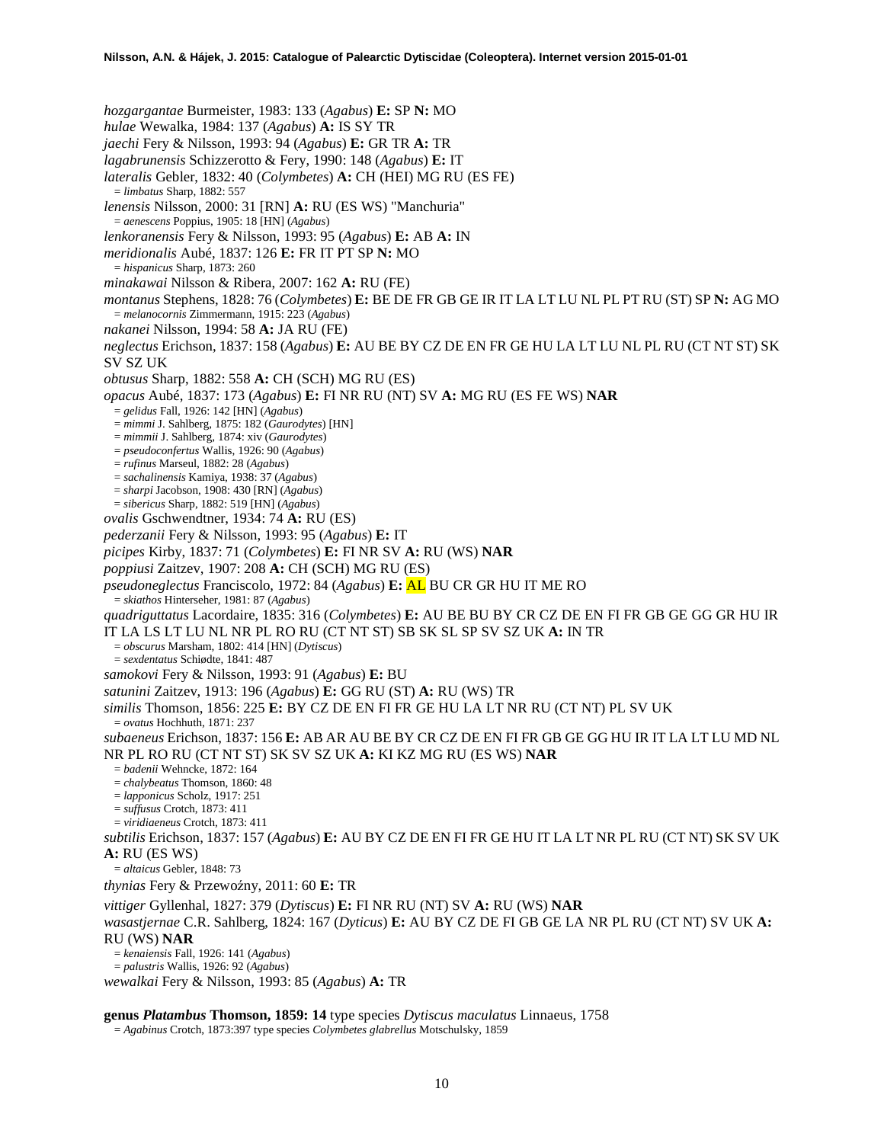*hozgargantae* Burmeister, 1983: 133 (*Agabus*) **E:** SP **N:** MO *hulae* Wewalka, 1984: 137 (*Agabus*) **A:** IS SY TR *jaechi* Fery & Nilsson, 1993: 94 (*Agabus*) **E:** GR TR **A:** TR *lagabrunensis* Schizzerotto & Fery, 1990: 148 (*Agabus*) **E:** IT *lateralis* Gebler, 1832: 40 (*Colymbetes*) **A:** CH (HEI) MG RU (ES FE) = *limbatus* Sharp, 1882: 557 *lenensis* Nilsson, 2000: 31 [RN] **A:** RU (ES WS) "Manchuria" = *aenescens* Poppius, 1905: 18 [HN] (*Agabus*) *lenkoranensis* Fery & Nilsson, 1993: 95 (*Agabus*) **E:** AB **A:** IN *meridionalis* Aubé, 1837: 126 **E:** FR IT PT SP **N:** MO = *hispanicus* Sharp, 1873: 260 *minakawai* Nilsson & Ribera, 2007: 162 **A:** RU (FE) *montanus* Stephens, 1828: 76 (*Colymbetes*) **E:** BE DE FR GB GE IR IT LA LT LU NL PL PT RU (ST) SP **N:** AG MO = *melanocornis* Zimmermann, 1915: 223 (*Agabus*) *nakanei* Nilsson, 1994: 58 **A:** JA RU (FE) *neglectus* Erichson, 1837: 158 (*Agabus*) **E:** AU BE BY CZ DE EN FR GE HU LA LT LU NL PL RU (CT NT ST) SK SV SZ UK *obtusus* Sharp, 1882: 558 **A:** CH (SCH) MG RU (ES) *opacus* Aubé, 1837: 173 (*Agabus*) **E:** FI NR RU (NT) SV **A:** MG RU (ES FE WS) **NAR** = *gelidus* Fall, 1926: 142 [HN] (*Agabus*) = *mimmi* J. Sahlberg, 1875: 182 (*Gaurodytes*) [HN] = *mimmii* J. Sahlberg, 1874: xiv (*Gaurodytes*) = *pseudoconfertus* Wallis, 1926: 90 (*Agabus*) = *rufinus* Marseul, 1882: 28 (*Agabus*) = *sachalinensis* Kamiya, 1938: 37 (*Agabus*) = *sharpi* Jacobson, 1908: 430 [RN] (*Agabus*) = *sibericus* Sharp, 1882: 519 [HN] (*Agabus*) *ovalis* Gschwendtner, 1934: 74 **A:** RU (ES) *pederzanii* Fery & Nilsson, 1993: 95 (*Agabus*) **E:** IT *picipes* Kirby, 1837: 71 (*Colymbetes*) **E:** FI NR SV **A:** RU (WS) **NAR** *poppiusi* Zaitzev, 1907: 208 **A:** CH (SCH) MG RU (ES) *pseudoneglectus* Franciscolo, 1972: 84 (*Agabus*) **E:** AL BU CR GR HU IT ME RO = *skiathos* Hinterseher, 1981: 87 (*Agabus*) *quadriguttatus* Lacordaire, 1835: 316 (*Colymbetes*) **E:** AU BE BU BY CR CZ DE EN FI FR GB GE GG GR HU IR IT LA LS LT LU NL NR PL RO RU (CT NT ST) SB SK SL SP SV SZ UK **A:** IN TR = *obscurus* Marsham, 1802: 414 [HN] (*Dytiscus*) = *sexdentatus* Schiødte, 1841: 487 *samokovi* Fery & Nilsson, 1993: 91 (*Agabus*) **E:** BU *satunini* Zaitzev, 1913: 196 (*Agabus*) **E:** GG RU (ST) **A:** RU (WS) TR *similis* Thomson, 1856: 225 **E:** BY CZ DE EN FI FR GE HU LA LT NR RU (CT NT) PL SV UK = *ovatus* Hochhuth, 1871: 237 *subaeneus* Erichson, 1837: 156 **E:** AB AR AU BE BY CR CZ DE EN FI FR GB GE GG HU IR IT LA LT LU MD NL NR PL RO RU (CT NT ST) SK SV SZ UK **A:** KI KZ MG RU (ES WS) **NAR** = *badenii* Wehncke, 1872: 164 = *chalybeatus* Thomson, 1860: 48 = *lapponicus* Scholz, 1917: 251 = *suffusus* Crotch, 1873: 411 = *viridiaeneus* Crotch, 1873: 411 *subtilis* Erichson, 1837: 157 (*Agabus*) **E:** AU BY CZ DE EN FI FR GE HU IT LA LT NR PL RU (CT NT) SK SV UK **A:** RU (ES WS) = *altaicus* Gebler, 1848: 73 *thynias* Fery & Przewoźny, 2011: 60 E: TR *vittiger* Gyllenhal, 1827: 379 (*Dytiscus*) **E:** FI NR RU (NT) SV **A:** RU (WS) **NAR** *wasastjernae* C.R. Sahlberg, 1824: 167 (*Dyticus*) **E:** AU BY CZ DE FI GB GE LA NR PL RU (CT NT) SV UK **A:**  RU (WS) **NAR** = *kenaiensis* Fall, 1926: 141 (*Agabus*) = *palustris* Wallis, 1926: 92 (*Agabus*) *wewalkai* Fery & Nilsson, 1993: 85 (*Agabus*) **A:** TR

**genus** *Platambus* **Thomson, 1859: 14** type species *Dytiscus maculatus* Linnaeus, 1758

= *Agabinus* Crotch, 1873:397 type species *Colymbetes glabrellus* Motschulsky, 1859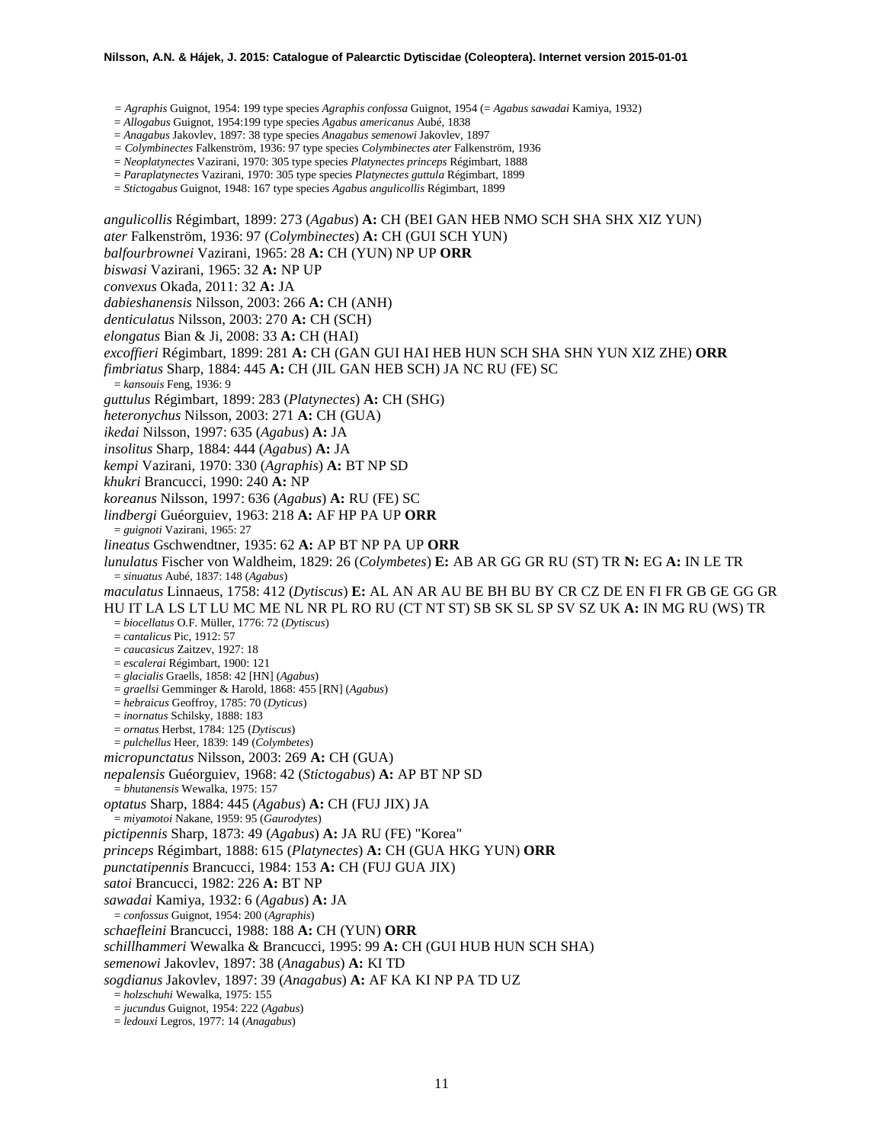#### **Nilsson, A.N. & Hájek, J. 2015: Catalogue of Palearctic Dytiscidae (Coleoptera). Internet version 2015-01-01**

*= Agraphis* Guignot, 1954: 199 type species *Agraphis confossa* Guignot, 1954 (= *Agabus sawadai* Kamiya, 1932)

= *Allogabus* Guignot, 1954:199 type species *Agabus americanus* Aubé, 1838

= *Anagabus* Jakovlev, 1897: 38 type species *Anagabus semenowi* Jakovlev, 1897

*= Colymbinectes* Falkenström, 1936: 97 type species *Colymbinectes ater* Falkenström, 1936

= *Neoplatynectes* Vazirani, 1970: 305 type species *Platynectes princeps* Régimbart, 1888

= *Paraplatynectes* Vazirani, 1970: 305 type species *Platynectes guttula* Régimbart, 1899

= *Stictogabus* Guignot, 1948: 167 type species *Agabus angulicollis* Régimbart, 1899

*angulicollis* Régimbart, 1899: 273 (*Agabus*) **A:** CH (BEI GAN HEB NMO SCH SHA SHX XIZ YUN) *ater* Falkenström, 1936: 97 (*Colymbinectes*) **A:** CH (GUI SCH YUN) *balfourbrownei* Vazirani, 1965: 28 **A:** CH (YUN) NP UP **ORR** *biswasi* Vazirani, 1965: 32 **A:** NP UP *convexus* Okada, 2011: 32 **A:** JA *dabieshanensis* Nilsson, 2003: 266 **A:** CH (ANH) *denticulatus* Nilsson, 2003: 270 **A:** CH (SCH) *elongatus* Bian & Ji, 2008: 33 **A:** CH (HAI) *excoffieri* Régimbart, 1899: 281 **A:** CH (GAN GUI HAI HEB HUN SCH SHA SHN YUN XIZ ZHE) **ORR** *fimbriatus* Sharp, 1884: 445 **A:** CH (JIL GAN HEB SCH) JA NC RU (FE) SC = *kansouis* Feng, 1936: 9 *guttulus* Régimbart, 1899: 283 (*Platynectes*) **A:** CH (SHG) *heteronychus* Nilsson, 2003: 271 **A:** CH (GUA) *ikedai* Nilsson, 1997: 635 (*Agabus*) **A:** JA *insolitus* Sharp, 1884: 444 (*Agabus*) **A:** JA *kempi* Vazirani, 1970: 330 (*Agraphis*) **A:** BT NP SD *khukri* Brancucci, 1990: 240 **A:** NP *koreanus* Nilsson, 1997: 636 (*Agabus*) **A:** RU (FE) SC *lindbergi* Guéorguiev, 1963: 218 **A:** AF HP PA UP **ORR** = *guignoti* Vazirani, 1965: 27 *lineatus* Gschwendtner, 1935: 62 **A:** AP BT NP PA UP **ORR** *lunulatus* Fischer von Waldheim, 1829: 26 (*Colymbetes*) **E:** AB AR GG GR RU (ST) TR **N:** EG **A:** IN LE TR = *sinuatus* Aubé, 1837: 148 (*Agabus*) *maculatus* Linnaeus, 1758: 412 (*Dytiscus*) **E:** AL AN AR AU BE BH BU BY CR CZ DE EN FI FR GB GE GG GR HU IT LA LS LT LU MC ME NL NR PL RO RU (CT NT ST) SB SK SL SP SV SZ UK **A:** IN MG RU (WS) TR = *biocellatus* O.F. Müller, 1776: 72 (*Dytiscus*) = *cantalicus* Pic, 1912: 57 = *caucasicus* Zaitzev, 1927: 18 = *escalerai* Régimbart, 1900: 121 = *glacialis* Graells, 1858: 42 [HN] (*Agabus*) = *graellsi* Gemminger & Harold, 1868: 455 [RN] (*Agabus*) = *hebraicus* Geoffroy, 1785: 70 (*Dyticus*) = *inornatus* Schilsky, 1888: 183 = *ornatus* Herbst, 1784: 125 (*Dytiscus*) = *pulchellus* Heer, 1839: 149 (*Colymbetes*) *micropunctatus* Nilsson, 2003: 269 **A:** CH (GUA) *nepalensis* Guéorguiev, 1968: 42 (*Stictogabus*) **A:** AP BT NP SD = *bhutanensis* Wewalka, 1975: 157 *optatus* Sharp, 1884: 445 (*Agabus*) **A:** CH (FUJ JIX) JA = *miyamotoi* Nakane, 1959: 95 (*Gaurodytes*) *pictipennis* Sharp, 1873: 49 (*Agabus*) **A:** JA RU (FE) "Korea" *princeps* Régimbart, 1888: 615 (*Platynectes*) **A:** CH (GUA HKG YUN) **ORR** *punctatipennis* Brancucci, 1984: 153 **A:** CH (FUJ GUA JIX) *satoi* Brancucci, 1982: 226 **A:** BT NP *sawadai* Kamiya, 1932: 6 (*Agabus*) **A:** JA = *confossus* Guignot, 1954: 200 (*Agraphis*) *schaefleini* Brancucci, 1988: 188 **A:** CH (YUN) **ORR** *schillhammeri* Wewalka & Brancucci, 1995: 99 **A:** CH (GUI HUB HUN SCH SHA) *semenowi* Jakovlev, 1897: 38 (*Anagabus*) **A:** KI TD *sogdianus* Jakovlev, 1897: 39 (*Anagabus*) **A:** AF KA KI NP PA TD UZ = *holzschuhi* Wewalka, 1975: 155 = *jucundus* Guignot, 1954: 222 (*Agabus*) = *ledouxi* Legros, 1977: 14 (*Anagabus*)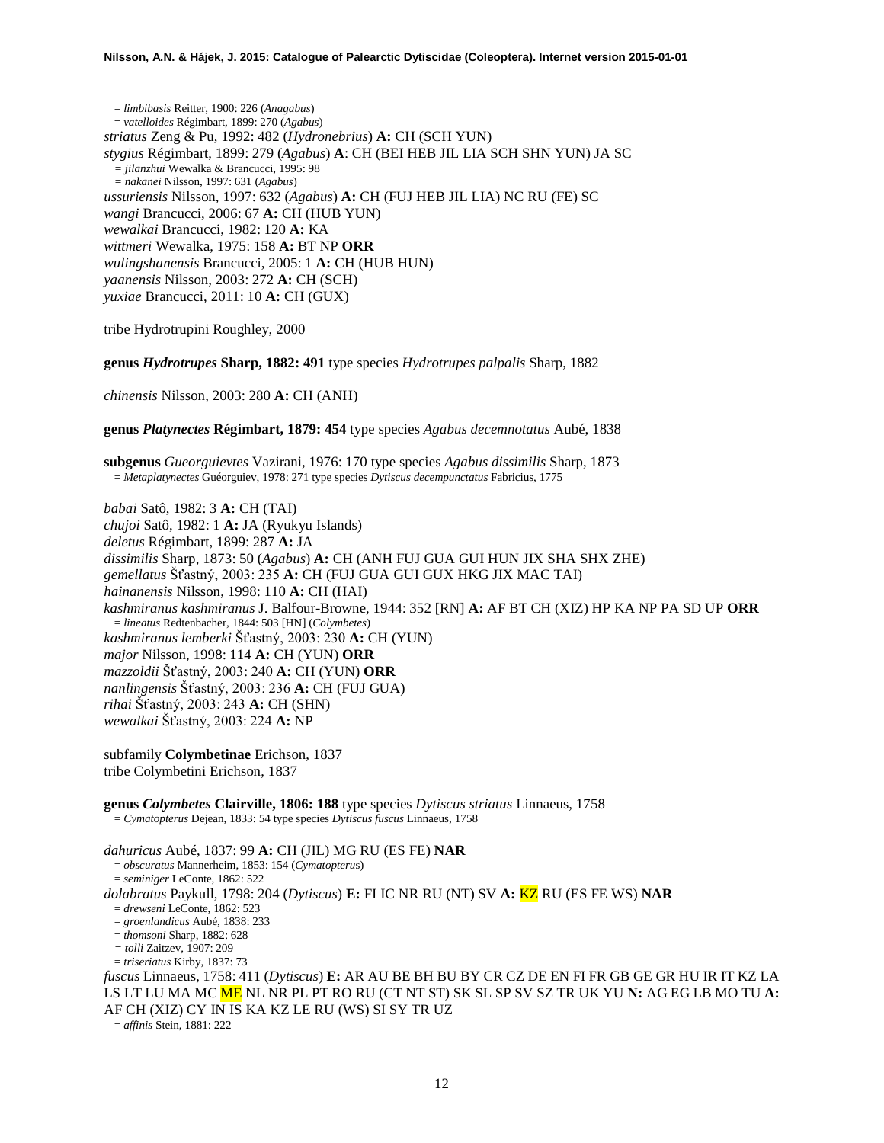= *limbibasis* Reitter, 1900: 226 (*Anagabus*) = *vatelloides* Régimbart, 1899: 270 (*Agabus*) *striatus* Zeng & Pu, 1992: 482 (*Hydronebrius*) **A:** CH (SCH YUN) *stygius* Régimbart, 1899: 279 (*Agabus*) **A**: CH (BEI HEB JIL LIA SCH SHN YUN) JA SC *= jilanzhui* Wewalka & Brancucci, 1995: 98 *= nakanei* Nilsson, 1997: 631 (*Agabus*) *ussuriensis* Nilsson, 1997: 632 (*Agabus*) **A:** CH (FUJ HEB JIL LIA) NC RU (FE) SC *wangi* Brancucci, 2006: 67 **A:** CH (HUB YUN) *wewalkai* Brancucci, 1982: 120 **A:** KA *wittmeri* Wewalka, 1975: 158 **A:** BT NP **ORR** *wulingshanensis* Brancucci, 2005: 1 **A:** CH (HUB HUN) *yaanensis* Nilsson, 2003: 272 **A:** CH (SCH) *yuxiae* Brancucci, 2011: 10 **A:** CH (GUX)

tribe Hydrotrupini Roughley, 2000

**genus** *Hydrotrupes* **Sharp, 1882: 491** type species *Hydrotrupes palpalis* Sharp, 1882

*chinensis* Nilsson, 2003: 280 **A:** CH (ANH)

**genus** *Platynectes* **Régimbart, 1879: 454** type species *Agabus decemnotatus* Aubé, 1838

**subgenus** *Gueorguievtes* Vazirani, 1976: 170 type species *Agabus dissimilis* Sharp, 1873 = *Metaplatynectes* Guéorguiev, 1978: 271 type species *Dytiscus decempunctatus* Fabricius, 1775

*babai* Satô, 1982: 3 **A:** CH (TAI) *chujoi* Satô, 1982: 1 **A:** JA (Ryukyu Islands) *deletus* Régimbart, 1899: 287 **A:** JA *dissimilis* Sharp, 1873: 50 (*Agabus*) **A:** CH (ANH FUJ GUA GUI HUN JIX SHA SHX ZHE) *gemellatus* Šťastný, 2003: 235 **A:** CH (FUJ GUA GUI GUX HKG JIX MAC TAI) *hainanensis* Nilsson, 1998: 110 **A:** CH (HAI) *kashmiranus kashmiranus* J. Balfour-Browne, 1944: 352 [RN] **A:** AF BT CH (XIZ) HP KA NP PA SD UP **ORR** = *lineatus* Redtenbacher, 1844: 503 [HN] (*Colymbetes*) *kashmiranus lemberki* Šťastný, 2003: 230 **A:** CH (YUN) *major* Nilsson, 1998: 114 **A:** CH (YUN) **ORR** *mazzoldii* Šťastný, 2003: 240 **A:** CH (YUN) **ORR** *nanlingensis* Šťastný, 2003: 236 **A:** CH (FUJ GUA) *rihai* Šťastný, 2003: 243 **A:** CH (SHN) *wewalkai* Šťastný, 2003: 224 **A:** NP

subfamily **Colymbetinae** Erichson, 1837 tribe Colymbetini Erichson, 1837

**genus** *Colymbetes* **Clairville, 1806: 188** type species *Dytiscus striatus* Linnaeus, 1758 = *Cymatopterus* Dejean, 1833: 54 type species *Dytiscus fuscus* Linnaeus, 1758

*dahuricus* Aubé, 1837: 99 **A:** CH (JIL) MG RU (ES FE) **NAR**

= *obscuratus* Mannerheim, 1853: 154 (*Cymatopteru*s)

= *seminiger* LeConte, 1862: 522

*dolabratus* Paykull, 1798: 204 (*Dytiscus*) **E:** FI IC NR RU (NT) SV **A:** KZ RU (ES FE WS) **NAR**

= *drewseni* LeConte, 1862: 523

= *groenlandicus* Aubé, 1838: 233

= *thomsoni* Sharp, 1882: 628

*= tolli* Zaitzev, 1907: 209 = *triseriatus* Kirby, 1837: 73

*fuscus* Linnaeus, 1758: 411 (*Dytiscus*) **E:** AR AU BE BH BU BY CR CZ DE EN FI FR GB GE GR HU IR IT KZ LA LS LT LU MA MC ME NL NR PL PT RO RU (CT NT ST) SK SL SP SV SZ TR UK YU **N:** AG EG LB MO TU **A:**  AF CH (XIZ) CY IN IS KA KZ LE RU (WS) SI SY TR UZ

= *affinis* Stein, 1881: 222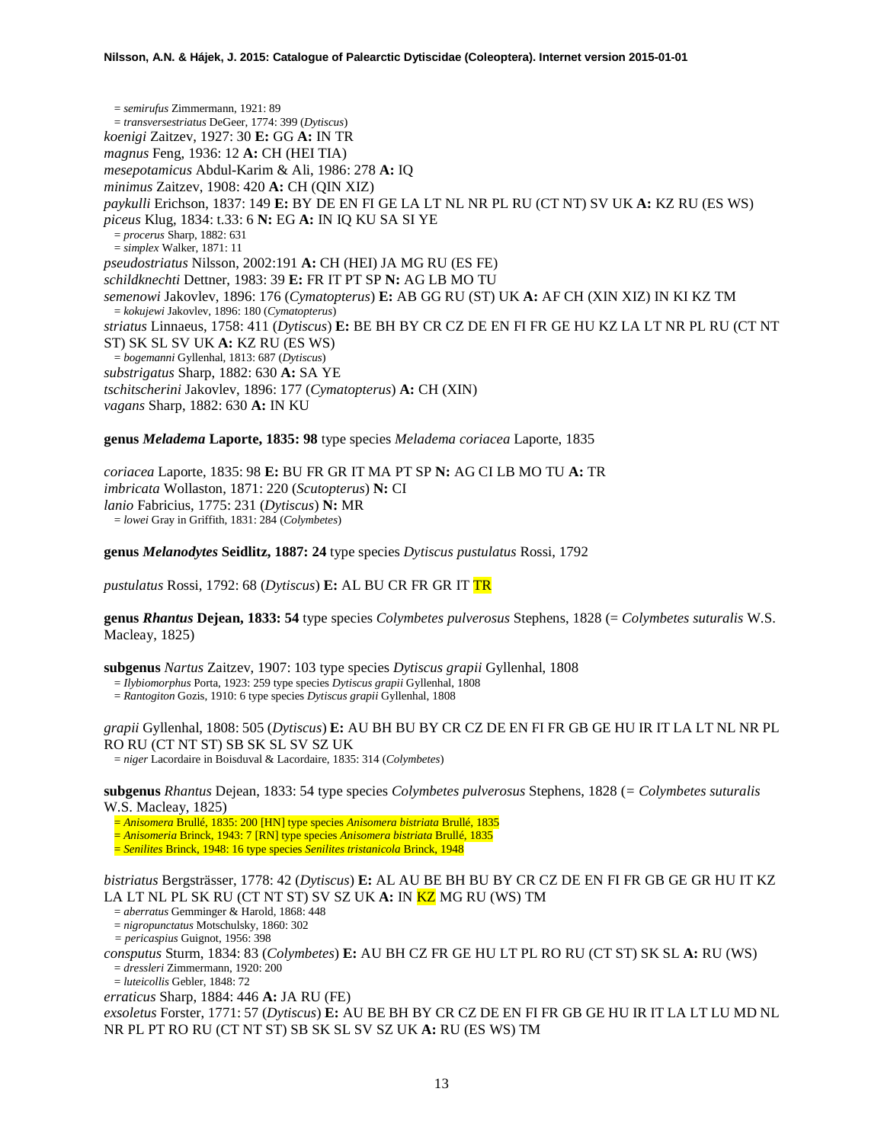= *semirufus* Zimmermann, 1921: 89 = *transversestriatus* DeGeer, 1774: 399 (*Dytiscus*) *koenigi* Zaitzev, 1927: 30 **E:** GG **A:** IN TR *magnus* Feng, 1936: 12 **A:** CH (HEI TIA) *mesepotamicus* Abdul-Karim & Ali, 1986: 278 **A:** IQ *minimus* Zaitzev, 1908: 420 **A:** CH (QIN XIZ) *paykulli* Erichson, 1837: 149 **E:** BY DE EN FI GE LA LT NL NR PL RU (CT NT) SV UK **A:** KZ RU (ES WS) *piceus* Klug, 1834: t.33: 6 **N:** EG **A:** IN IQ KU SA SI YE = *procerus* Sharp, 1882: 631 = *simplex* Walker, 1871: 11 *pseudostriatus* Nilsson, 2002:191 **A:** CH (HEI) JA MG RU (ES FE) *schildknechti* Dettner, 1983: 39 **E:** FR IT PT SP **N:** AG LB MO TU *semenowi* Jakovlev, 1896: 176 (*Cymatopterus*) **E:** AB GG RU (ST) UK **A:** AF CH (XIN XIZ) IN KI KZ TM = *kokujewi* Jakovlev, 1896: 180 (*Cymatopterus*) *striatus* Linnaeus, 1758: 411 (*Dytiscus*) **E:** BE BH BY CR CZ DE EN FI FR GE HU KZ LA LT NR PL RU (CT NT ST) SK SL SV UK **A:** KZ RU (ES WS) = *bogemanni* Gyllenhal, 1813: 687 (*Dytiscus*) *substrigatus* Sharp, 1882: 630 **A:** SA YE *tschitscherini* Jakovlev, 1896: 177 (*Cymatopterus*) **A:** CH (XIN) *vagans* Sharp, 1882: 630 **A:** IN KU

#### **genus** *Meladema* **Laporte, 1835: 98** type species *Meladema coriacea* Laporte, 1835

*coriacea* Laporte, 1835: 98 **E:** BU FR GR IT MA PT SP **N:** AG CI LB MO TU **A:** TR *imbricata* Wollaston, 1871: 220 (*Scutopterus*) **N:** CI *lanio* Fabricius, 1775: 231 (*Dytiscus*) **N:** MR = *lowei* Gray in Griffith, 1831: 284 (*Colymbetes*)

#### **genus** *Melanodytes* **Seidlitz, 1887: 24** type species *Dytiscus pustulatus* Rossi, 1792

*pustulatus* Rossi, 1792: 68 (*Dytiscus*) **E:** AL BU CR FR GR IT TR

**genus** *Rhantus* **Dejean, 1833: 54** type species *Colymbetes pulverosus* Stephens, 1828 (= *Colymbetes suturalis* W.S. Macleay, 1825)

**subgenus** *Nartus* Zaitzev, 1907: 103 type species *Dytiscus grapii* Gyllenhal, 1808 = *Ilybiomorphus* Porta, 1923: 259 type species *Dytiscus grapii* Gyllenhal, 1808

= *Rantogiton* Gozis, 1910: 6 type species *Dytiscus grapii* Gyllenhal, 1808

*grapii* Gyllenhal, 1808: 505 (*Dytiscus*) **E:** AU BH BU BY CR CZ DE EN FI FR GB GE HU IR IT LA LT NL NR PL RO RU (CT NT ST) SB SK SL SV SZ UK

= *niger* Lacordaire in Boisduval & Lacordaire, 1835: 314 (*Colymbetes*)

**subgenus** *Rhantus* Dejean, 1833: 54 type species *Colymbetes pulverosus* Stephens, 1828 (*= Colymbetes suturalis* W.S. Macleay, 1825)

= *Anisomera* Brullé, 1835: 200 [HN] type species *Anisomera bistriata* Brullé, 1835

= *Anisomeria* Brinck, 1943: 7 [RN] type species *Anisomera bistriata* Brullé, 1835

= *Senilites* Brinck, 1948: 16 type species *Senilites tristanicola* Brinck, 1948

*bistriatus* Bergsträsser, 1778: 42 (*Dytiscus*) **E:** AL AU BE BH BU BY CR CZ DE EN FI FR GB GE GR HU IT KZ LA LT NL PL SK RU (CT NT ST) SV SZ UK **A:** IN <mark>KZ</mark> MG RU (WS) TM = *aberratus* Gemminger & Harold, 1868: 448

= *nigropunctatus* Motschulsky, 1860: 302

*= pericaspius* Guignot, 1956: 398

*consputus* Sturm, 1834: 83 (*Colymbetes*) **E:** AU BH CZ FR GE HU LT PL RO RU (CT ST) SK SL **A:** RU (WS) = *dressleri* Zimmermann, 1920: 200

= *luteicollis* Gebler, 1848: 72

*erraticus* Sharp, 1884: 446 **A:** JA RU (FE)

*exsoletus* Forster, 1771: 57 (*Dytiscus*) **E:** AU BE BH BY CR CZ DE EN FI FR GB GE HU IR IT LA LT LU MD NL NR PL PT RO RU (CT NT ST) SB SK SL SV SZ UK **A:** RU (ES WS) TM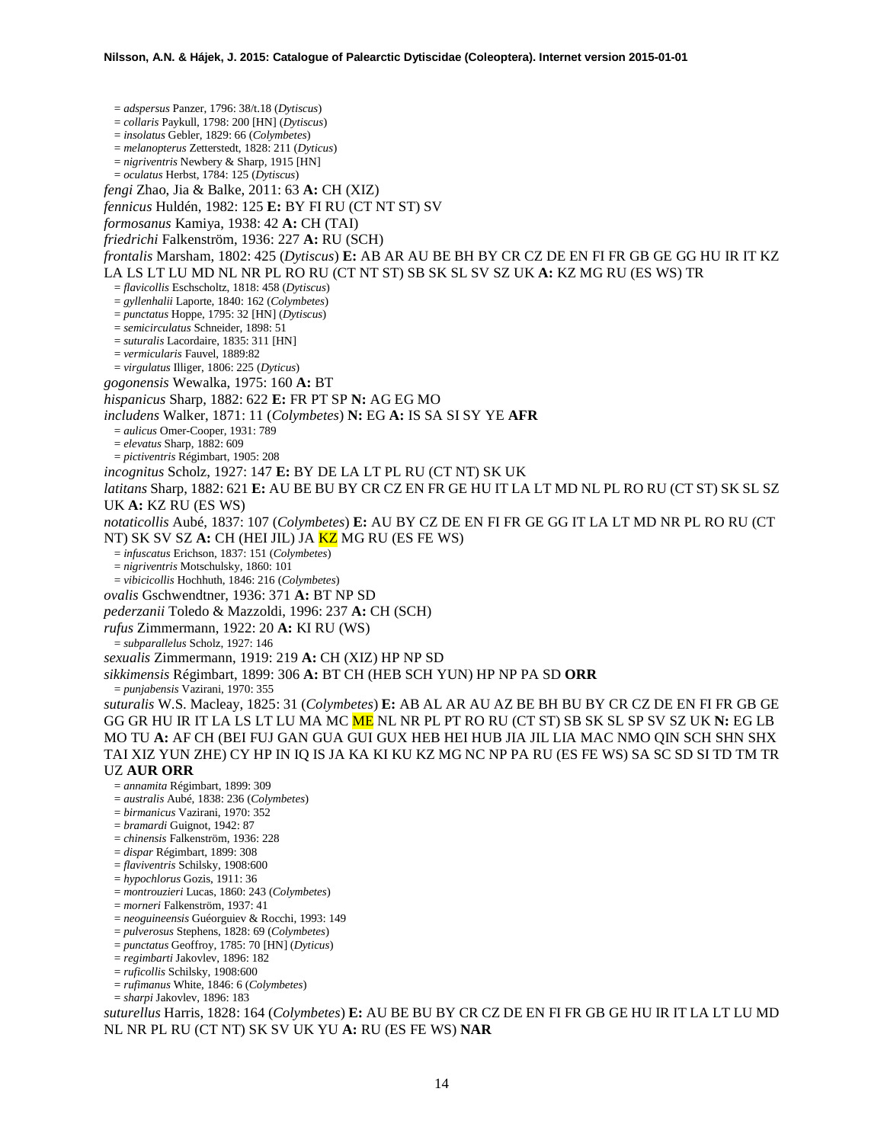= *adspersus* Panzer, 1796: 38/t.18 (*Dytiscus*) = *collaris* Paykull, 1798: 200 [HN] (*Dytiscus*) = *insolatus* Gebler, 1829: 66 (*Colymbetes*) = *melanopterus* Zetterstedt, 1828: 211 (*Dyticus*) = *nigriventris* Newbery & Sharp, 1915 [HN] = *oculatus* Herbst, 1784: 125 (*Dytiscus*) *fengi* Zhao, Jia & Balke, 2011: 63 **A:** CH (XIZ) *fennicus* Huldén, 1982: 125 **E:** BY FI RU (CT NT ST) SV *formosanus* Kamiya, 1938: 42 **A:** CH (TAI) *friedrichi* Falkenström, 1936: 227 **A:** RU (SCH) *frontalis* Marsham, 1802: 425 (*Dytiscus*) **E:** AB AR AU BE BH BY CR CZ DE EN FI FR GB GE GG HU IR IT KZ LA LS LT LU MD NL NR PL RO RU (CT NT ST) SB SK SL SV SZ UK **A:** KZ MG RU (ES WS) TR = *flavicollis* Eschscholtz, 1818: 458 (*Dytiscus*) = *gyllenhalii* Laporte, 1840: 162 (*Colymbetes*) = *punctatus* Hoppe, 1795: 32 [HN] (*Dytiscus*) = *semicirculatus* Schneider, 1898: 51 = *suturalis* Lacordaire, 1835: 311 [HN] = *vermicularis* Fauvel, 1889:82 = *virgulatus* Illiger, 1806: 225 (*Dyticus*) *gogonensis* Wewalka, 1975: 160 **A:** BT *hispanicus* Sharp, 1882: 622 **E:** FR PT SP **N:** AG EG MO *includens* Walker, 1871: 11 (*Colymbetes*) **N:** EG **A:** IS SA SI SY YE **AFR** = *aulicus* Omer-Cooper, 1931: 789 = *elevatus* Sharp, 1882: 609 = *pictiventris* Régimbart, 1905: 208 *incognitus* Scholz, 1927: 147 **E:** BY DE LA LT PL RU (CT NT) SK UK *latitans* Sharp, 1882: 621 **E:** AU BE BU BY CR CZ EN FR GE HU IT LA LT MD NL PL RO RU (CT ST) SK SL SZ UK **A:** KZ RU (ES WS) *notaticollis* Aubé, 1837: 107 (*Colymbetes*) **E:** AU BY CZ DE EN FI FR GE GG IT LA LT MD NR PL RO RU (CT NT) SK SV SZ **A:** CH (HEI JIL) JA KZ MG RU (ES FE WS) = *infuscatus* Erichson, 1837: 151 (*Colymbetes*) = *nigriventris* Motschulsky, 1860: 101 = *vibicicollis* Hochhuth, 1846: 216 (*Colymbetes*) *ovalis* Gschwendtner, 1936: 371 **A:** BT NP SD *pederzanii* Toledo & Mazzoldi, 1996: 237 **A:** CH (SCH) *rufus* Zimmermann, 1922: 20 **A:** KI RU (WS) = *subparallelus* Scholz, 1927: 146 *sexualis* Zimmermann, 1919: 219 **A:** CH (XIZ) HP NP SD *sikkimensis* Régimbart, 1899: 306 **A:** BT CH (HEB SCH YUN) HP NP PA SD **ORR** = *punjabensis* Vazirani, 1970: 355 *suturalis* W.S. Macleay, 1825: 31 (*Colymbetes*) **E:** AB AL AR AU AZ BE BH BU BY CR CZ DE EN FI FR GB GE GG GR HU IR IT LA LS LT LU MA MC ME NL NR PL PT RO RU (CT ST) SB SK SL SP SV SZ UK **N:** EG LB MO TU **A:** AF CH (BEI FUJ GAN GUA GUI GUX HEB HEI HUB JIA JIL LIA MAC NMO QIN SCH SHN SHX TAI XIZ YUN ZHE) CY HP IN IQ IS JA KA KI KU KZ MG NC NP PA RU (ES FE WS) SA SC SD SI TD TM TR UZ **AUR ORR** = *annamita* Régimbart, 1899: 309 = *australis* Aubé, 1838: 236 (*Colymbetes*) = *birmanicus* Vazirani, 1970: 352 = *bramardi* Guignot, 1942: 87 = *chinensis* Falkenström, 1936: 228 = *dispar* Régimbart, 1899: 308 = *flaviventris* Schilsky, 1908:600 = *hypochlorus* Gozis, 1911: 36 = *montrouzieri* Lucas, 1860: 243 (*Colymbetes*) = *morneri* Falkenström, 1937: 41 = *neoguineensis* Guéorguiev & Rocchi, 1993: 149 = *pulverosus* Stephens, 1828: 69 (*Colymbetes*) = *punctatus* Geoffroy, 1785: 70 [HN] (*Dyticus*) = *regimbarti* Jakovlev, 1896: 182 = *ruficollis* Schilsky, 1908:600 = *rufimanus* White, 1846: 6 (*Colymbetes*)

= *sharpi* Jakovlev, 1896: 183

*suturellus* Harris, 1828: 164 (*Colymbetes*) **E:** AU BE BU BY CR CZ DE EN FI FR GB GE HU IR IT LA LT LU MD NL NR PL RU (CT NT) SK SV UK YU **A:** RU (ES FE WS) **NAR**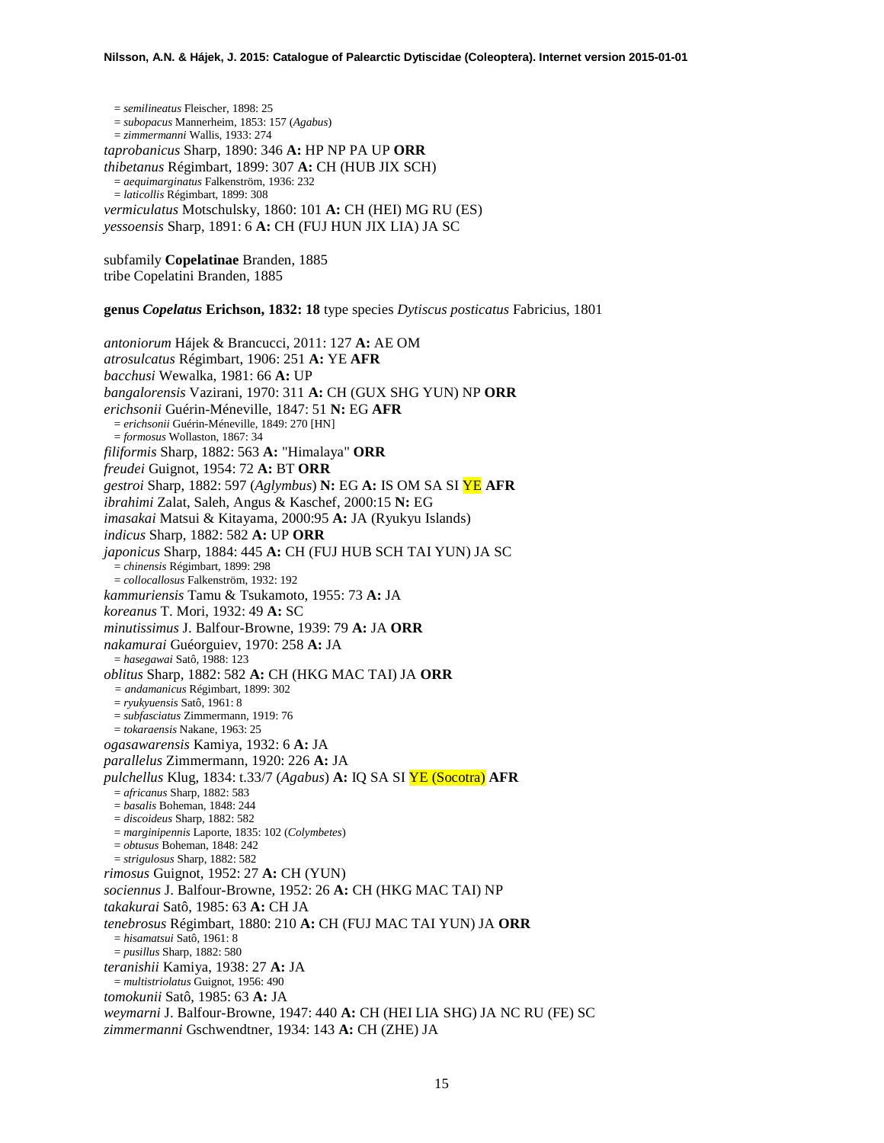= *semilineatus* Fleischer, 1898: 25 = *subopacus* Mannerheim, 1853: 157 (*Agabus*) = *zimmermanni* Wallis, 1933: 274 *taprobanicus* Sharp, 1890: 346 **A:** HP NP PA UP **ORR** *thibetanus* Régimbart, 1899: 307 **A:** CH (HUB JIX SCH) = *aequimarginatus* Falkenström, 1936: 232 = *laticollis* Régimbart, 1899: 308 *vermiculatus* Motschulsky, 1860: 101 **A:** CH (HEI) MG RU (ES) *yessoensis* Sharp, 1891: 6 **A:** CH (FUJ HUN JIX LIA) JA SC

subfamily **Copelatinae** Branden, 1885 tribe Copelatini Branden, 1885

**genus** *Copelatus* **Erichson, 1832: 18** type species *Dytiscus posticatus* Fabricius, 1801

*antoniorum* Hájek & Brancucci, 2011: 127 **A:** AE OM *atrosulcatus* Régimbart, 1906: 251 **A:** YE **AFR** *bacchusi* Wewalka, 1981: 66 **A:** UP *bangalorensis* Vazirani, 1970: 311 **A:** CH (GUX SHG YUN) NP **ORR** *erichsonii* Guérin-Méneville, 1847: 51 **N:** EG **AFR** = *erichsonii* Guérin-Méneville, 1849: 270 [HN] = *formosus* Wollaston, 1867: 34 *filiformis* Sharp, 1882: 563 **A:** "Himalaya" **ORR** *freudei* Guignot, 1954: 72 **A:** BT **ORR** *gestroi* Sharp, 1882: 597 (*Aglymbus*) **N:** EG **A:** IS OM SA SI YE **AFR** *ibrahimi* Zalat, Saleh, Angus & Kaschef, 2000:15 **N:** EG *imasakai* Matsui & Kitayama, 2000:95 **A:** JA (Ryukyu Islands) *indicus* Sharp, 1882: 582 **A:** UP **ORR** *japonicus* Sharp, 1884: 445 **A:** CH (FUJ HUB SCH TAI YUN) JA SC = *chinensis* Régimbart, 1899: 298 = *collocallosus* Falkenström, 1932: 192 *kammuriensis* Tamu & Tsukamoto, 1955: 73 **A:** JA *koreanus* T. Mori, 1932: 49 **A:** SC *minutissimus* J. Balfour-Browne, 1939: 79 **A:** JA **ORR** *nakamurai* Guéorguiev, 1970: 258 **A:** JA = *hasegawai* Satô, 1988: 123 *oblitus* Sharp, 1882: 582 **A:** CH (HKG MAC TAI) JA **ORR** *= andamanicus* Régimbart, 1899: 302 = *ryukyuensis* Satô, 1961: 8 = *subfasciatus* Zimmermann, 1919: 76 = *tokaraensis* Nakane, 1963: 25 *ogasawarensis* Kamiya, 1932: 6 **A:** JA *parallelus* Zimmermann, 1920: 226 **A:** JA *pulchellus* Klug, 1834: t.33/7 (*Agabus*) **A:** IQ SA SI YE (Socotra) **AFR** = *africanus* Sharp, 1882: 583 = *basalis* Boheman, 1848: 244 = *discoideus* Sharp, 1882: 582 = *marginipennis* Laporte, 1835: 102 (*Colymbetes*) = *obtusus* Boheman, 1848: 242 = *strigulosus* Sharp, 1882: 582 *rimosus* Guignot, 1952: 27 **A:** CH (YUN) *sociennus* J. Balfour-Browne, 1952: 26 **A:** CH (HKG MAC TAI) NP *takakurai* Satô, 1985: 63 **A:** CH JA *tenebrosus* Régimbart, 1880: 210 **A:** CH (FUJ MAC TAI YUN) JA **ORR** = *hisamatsui* Satô, 1961: 8 = *pusillus* Sharp, 1882: 580 *teranishii* Kamiya, 1938: 27 **A:** JA = *multistriolatus* Guignot, 1956: 490 *tomokunii* Satô, 1985: 63 **A:** JA *weymarni* J. Balfour-Browne, 1947: 440 **A:** CH (HEI LIA SHG) JA NC RU (FE) SC *zimmermanni* Gschwendtner, 1934: 143 **A:** CH (ZHE) JA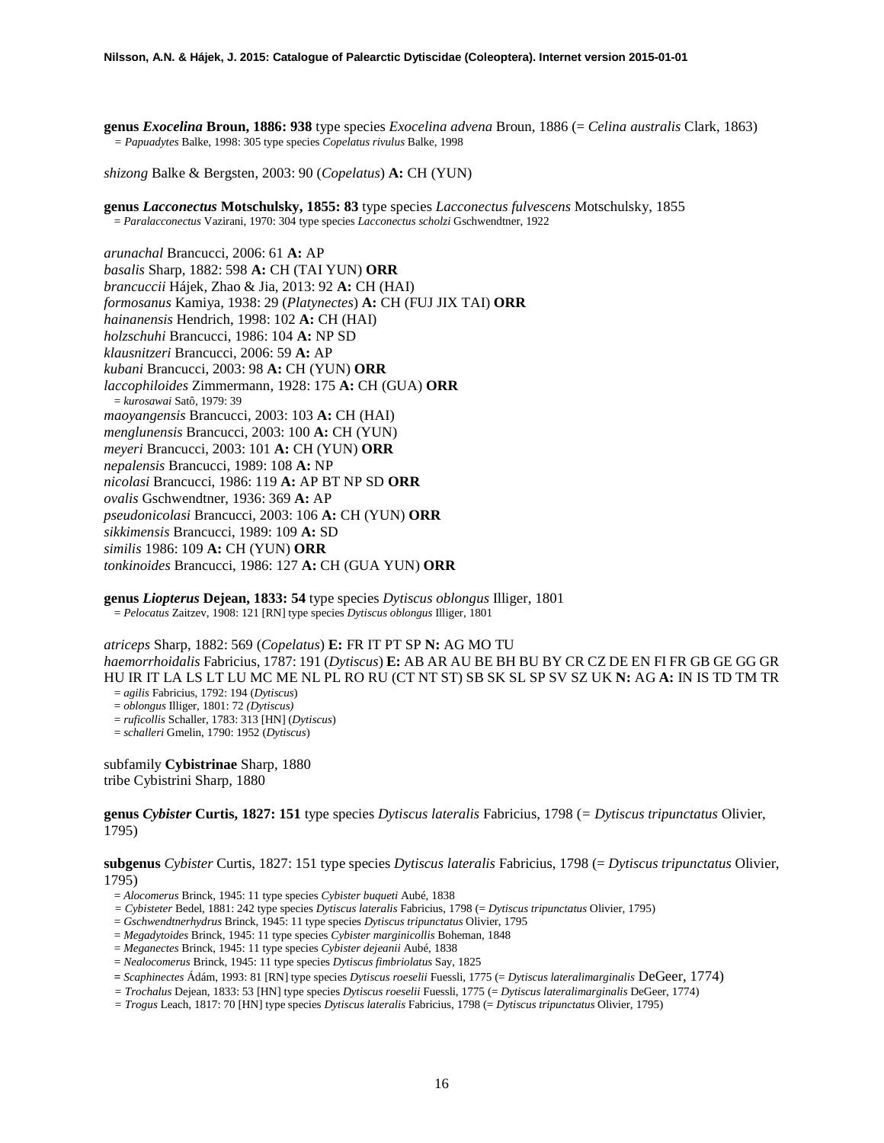**genus** *Exocelina* **Broun, 1886: 938** type species *Exocelina advena* Broun, 1886 (= *Celina australis* Clark, 1863) *= Papuadytes* Balke, 1998: 305 type species *Copelatus rivulus* Balke, 1998

*shizong* Balke & Bergsten, 2003: 90 (*Copelatus*) **A:** CH (YUN)

**genus** *Lacconectus* **Motschulsky, 1855: 83** type species *Lacconectus fulvescens* Motschulsky, 1855 = *Paralacconectus* Vazirani, 1970: 304 type species *Lacconectus scholzi* Gschwendtner, 1922

*arunachal* Brancucci, 2006: 61 **A:** AP *basalis* Sharp, 1882: 598 **A:** CH (TAI YUN) **ORR** *brancuccii* Hájek, Zhao & Jia, 2013: 92 **A:** CH (HAI) *formosanus* Kamiya, 1938: 29 (*Platynectes*) **A:** CH (FUJ JIX TAI) **ORR** *hainanensis* Hendrich, 1998: 102 **A:** CH (HAI) *holzschuhi* Brancucci, 1986: 104 **A:** NP SD *klausnitzeri* Brancucci, 2006: 59 **A:** AP *kubani* Brancucci, 2003: 98 **A:** CH (YUN) **ORR** *laccophiloides* Zimmermann, 1928: 175 **A:** CH (GUA) **ORR** = *kurosawai* Satô, 1979: 39 *maoyangensis* Brancucci, 2003: 103 **A:** CH (HAI) *menglunensis* Brancucci, 2003: 100 **A:** CH (YUN) *meyeri* Brancucci, 2003: 101 **A:** CH (YUN) **ORR** *nepalensis* Brancucci, 1989: 108 **A:** NP *nicolasi* Brancucci, 1986: 119 **A:** AP BT NP SD **ORR** *ovalis* Gschwendtner, 1936: 369 **A:** AP *pseudonicolasi* Brancucci, 2003: 106 **A:** CH (YUN) **ORR** *sikkimensis* Brancucci, 1989: 109 **A:** SD *similis* 1986: 109 **A:** CH (YUN) **ORR** *tonkinoides* Brancucci, 1986: 127 **A:** CH (GUA YUN) **ORR**

**genus** *Liopterus* **Dejean, 1833: 54** type species *Dytiscus oblongus* Illiger, 1801 = *Pelocatus* Zaitzev, 1908: 121 [RN] type species *Dytiscus oblongus* Illiger, 1801

*atriceps* Sharp, 1882: 569 (*Copelatus*) **E:** FR IT PT SP **N:** AG MO TU *haemorrhoidalis* Fabricius, 1787: 191 (*Dytiscus*) **E:** AB AR AU BE BH BU BY CR CZ DE EN FI FR GB GE GG GR HU IR IT LA LS LT LU MC ME NL PL RO RU (CT NT ST) SB SK SL SP SV SZ UK **N:** AG **A:** IN IS TD TM TR

= *agilis* Fabricius, 1792: 194 (*Dytiscus*) = *oblongus* Illiger, 1801: 72 *(Dytiscus)*

= *ruficollis* Schaller, 1783: 313 [HN] (*Dytiscus*) = *schalleri* Gmelin, 1790: 1952 (*Dytiscus*)

subfamily **Cybistrinae** Sharp, 1880 tribe Cybistrini Sharp, 1880

**genus** *Cybister* **Curtis, 1827: 151** type species *Dytiscus lateralis* Fabricius, 1798 (*= Dytiscus tripunctatus* Olivier, 1795)

**subgenus** *Cybister* Curtis, 1827: 151 type species *Dytiscus lateralis* Fabricius, 1798 (= *Dytiscus tripunctatus* Olivier, 1795)

- = *Alocomerus* Brinck, 1945: 11 type species *Cybister buqueti* Aubé, 1838
- *= Cybisteter* Bedel, 1881: 242 type species *Dytiscus lateralis* Fabricius, 1798 (= *Dytiscus tripunctatus* Olivier, 1795)
- = *Gschwendtnerhydrus* Brinck, 1945: 11 type species *Dytiscus tripunctatus* Olivier, 1795
- = *Megadytoides* Brinck, 1945: 11 type species *Cybister marginicollis* Boheman, 1848
- = *Meganectes* Brinck, 1945: 11 type species *Cybister dejeanii* Aubé, 1838
- = *Nealocomerus* Brinck, 1945: 11 type species *Dytiscus fimbriolatus* Say, 1825
- **=** *Scaphinectes* Ádám, 1993: 81 [RN] type species *Dytiscus roeselii* Fuessli, 1775 (= *Dytiscus lateralimarginalis* DeGeer, 1774)
- *= Trochalus* Dejean, 1833: 53 [HN] type species *Dytiscus roeselii* Fuessli, 1775 (= *Dytiscus lateralimarginalis* DeGeer, 1774)
- *= Trogus* Leach, 1817: 70 [HN] type species *Dytiscus lateralis* Fabricius, 1798 (= *Dytiscus tripunctatus* Olivier, 1795)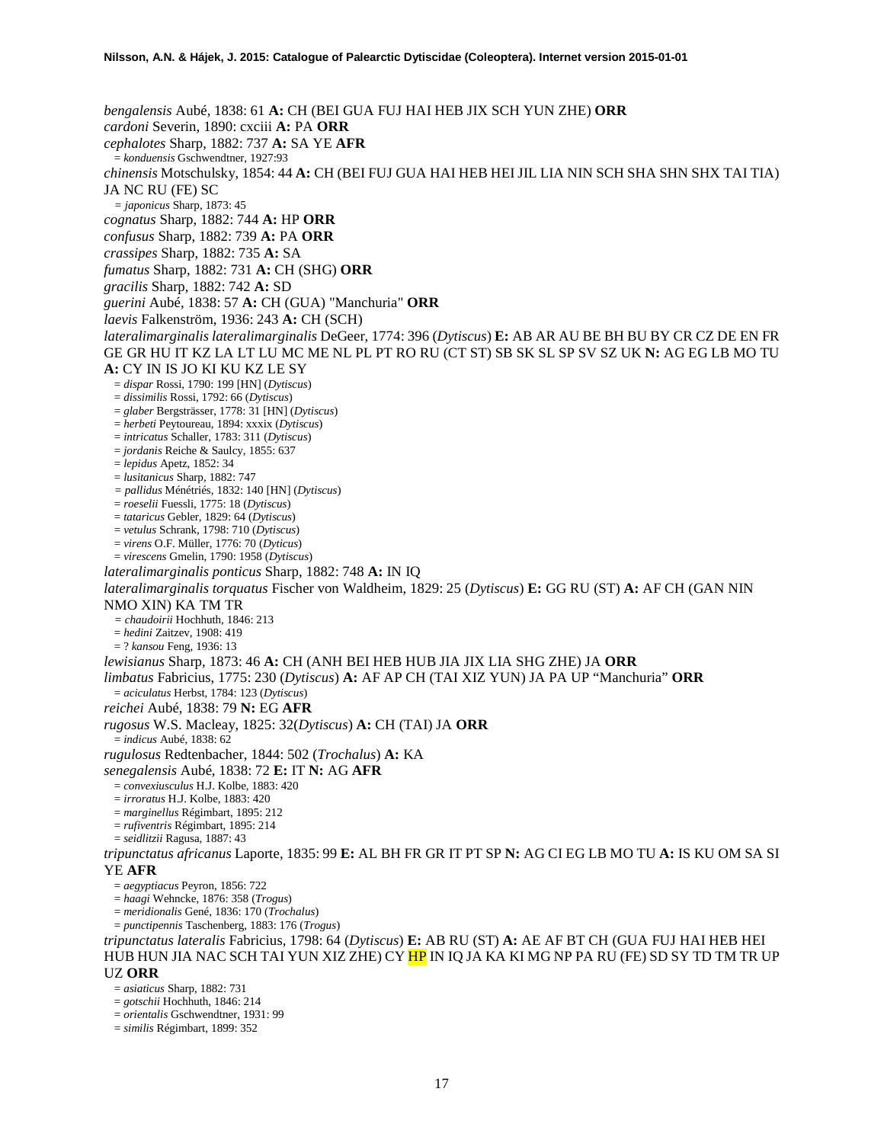*bengalensis* Aubé, 1838: 61 **A:** CH (BEI GUA FUJ HAI HEB JIX SCH YUN ZHE) **ORR** *cardoni* Severin, 1890: cxciii **A:** PA **ORR** *cephalotes* Sharp, 1882: 737 **A:** SA YE **AFR** = *konduensis* Gschwendtner, 1927:93 *chinensis* Motschulsky, 1854: 44 **A:** CH (BEI FUJ GUA HAI HEB HEI JIL LIA NIN SCH SHA SHN SHX TAI TIA) JA NC RU (FE) SC *= japonicus* Sharp, 1873: 45 *cognatus* Sharp, 1882: 744 **A:** HP **ORR** *confusus* Sharp, 1882: 739 **A:** PA **ORR** *crassipes* Sharp, 1882: 735 **A:** SA *fumatus* Sharp, 1882: 731 **A:** CH (SHG) **ORR** *gracilis* Sharp, 1882: 742 **A:** SD *guerini* Aubé, 1838: 57 **A:** CH (GUA) "Manchuria" **ORR** *laevis* Falkenström, 1936: 243 **A:** CH (SCH) *lateralimarginalis lateralimarginalis* DeGeer, 1774: 396 (*Dytiscus*) **E:** AB AR AU BE BH BU BY CR CZ DE EN FR GE GR HU IT KZ LA LT LU MC ME NL PL PT RO RU (CT ST) SB SK SL SP SV SZ UK **N:** AG EG LB MO TU **A:** CY IN IS JO KI KU KZ LE SY = *dispar* Rossi, 1790: 199 [HN] (*Dytiscus*) = *dissimilis* Rossi, 1792: 66 (*Dytiscus*) = *glaber* Bergsträsser, 1778: 31 [HN] (*Dytiscus*) = *herbeti* Peytoureau, 1894: xxxix (*Dytiscus*) = *intricatus* Schaller, 1783: 311 (*Dytiscus*) = *jordanis* Reiche & Saulcy, 1855: 637 = *lepidus* Apetz, 1852: 34 = *lusitanicus* Sharp, 1882: 747 *= pallidus* Ménétriés, 1832: 140 [HN] (*Dytiscus*) = *roeselii* Fuessli, 1775: 18 (*Dytiscus*) = *tataricus* Gebler, 1829: 64 (*Dytiscus*) = *vetulus* Schrank, 1798: 710 (*Dytiscus*) = *virens* O.F. Müller, 1776: 70 (*Dyticus*) = *virescens* Gmelin, 1790: 1958 (*Dytiscus*) *lateralimarginalis ponticus* Sharp, 1882: 748 **A:** IN IQ *lateralimarginalis torquatus* Fischer von Waldheim, 1829: 25 (*Dytiscus*) **E:** GG RU (ST) **A:** AF CH (GAN NIN NMO XIN) KA TM TR *= chaudoirii* Hochhuth, 1846: 213 = *hedini* Zaitzev, 1908: 419 = ? *kansou* Feng, 1936: 13 *lewisianus* Sharp, 1873: 46 **A:** CH (ANH BEI HEB HUB JIA JIX LIA SHG ZHE) JA **ORR** *limbatus* Fabricius, 1775: 230 (*Dytiscus*) **A:** AF AP CH (TAI XIZ YUN) JA PA UP "Manchuria" **ORR** = *aciculatus* Herbst, 1784: 123 (*Dytiscus*) *reichei* Aubé, 1838: 79 **N:** EG **AFR** *rugosus* W.S. Macleay, 1825: 32(*Dytiscus*) **A:** CH (TAI) JA **ORR** = *indicus* Aubé, 1838: 62 *rugulosus* Redtenbacher, 1844: 502 (*Trochalus*) **A:** KA *senegalensis* Aubé, 1838: 72 **E:** IT **N:** AG **AFR** = *convexiusculus* H.J. Kolbe, 1883: 420 = *irroratus* H.J. Kolbe, 1883: 420 = *marginellus* Régimbart, 1895: 212 = *rufiventris* Régimbart, 1895: 214 = *seidlitzii* Ragusa, 1887: 43 *tripunctatus africanus* Laporte, 1835: 99 **E:** AL BH FR GR IT PT SP **N:** AG CI EG LB MO TU **A:** IS KU OM SA SI YE **AFR** = *aegyptiacus* Peyron, 1856: 722 = *haagi* Wehncke, 1876: 358 (*Trogus*) = *meridionalis* Gené, 1836: 170 (*Trochalus*) = *punctipennis* Taschenberg, 1883: 176 (*Trogus*) *tripunctatus lateralis* Fabricius, 1798: 64 (*Dytiscus*) **E:** AB RU (ST) **A:** AE AF BT CH (GUA FUJ HAI HEB HEI HUB HUN JIA NAC SCH TAI YUN XIZ ZHE) CY <mark>HP</mark> IN IO JA KA KI MG NP PA RU (FE) SD SY TD TM TR UP UZ **ORR** = *asiaticus* Sharp, 1882: 731 = *gotschii* Hochhuth, 1846: 214

- = *orientalis* Gschwendtner, 1931: 99
- = *similis* Régimbart, 1899: 352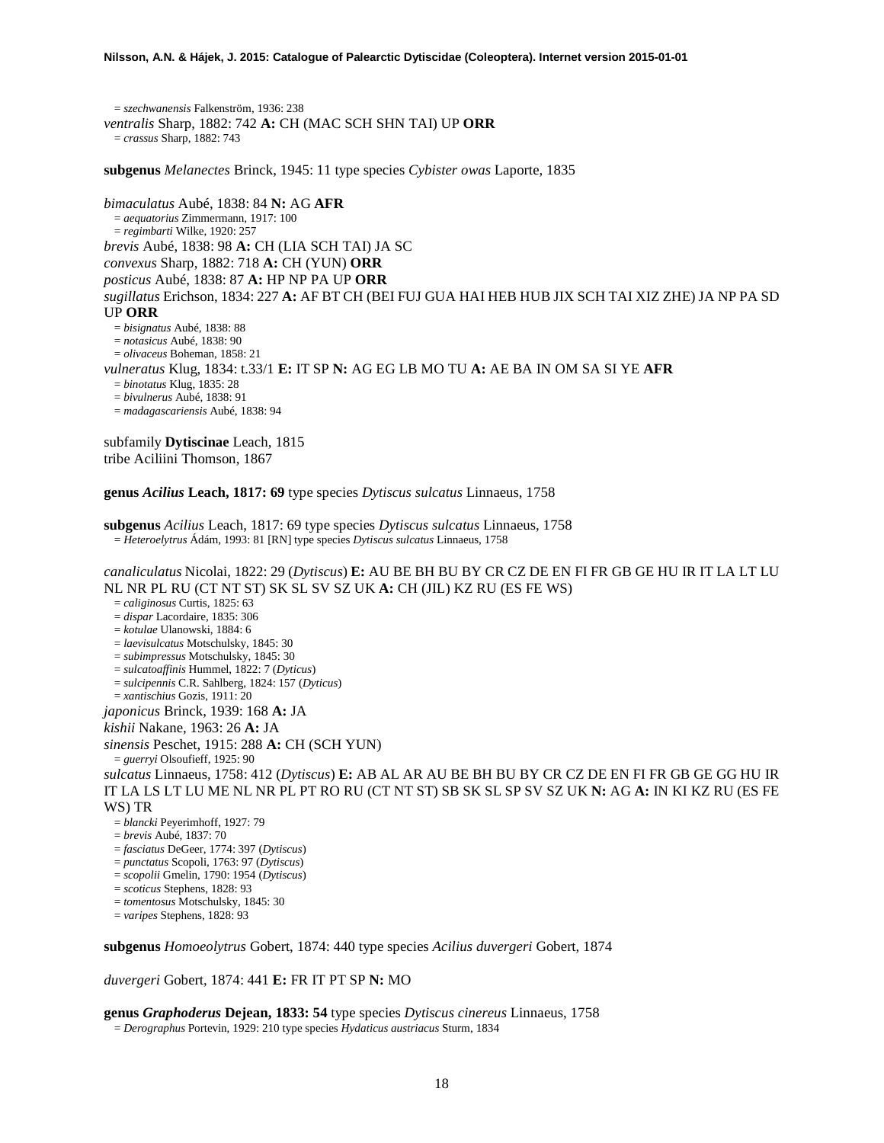= *szechwanensis* Falkenström, 1936: 238 *ventralis* Sharp, 1882: 742 **A:** CH (MAC SCH SHN TAI) UP **ORR** = *crassus* Sharp, 1882: 743

**subgenus** *Melanectes* Brinck, 1945: 11 type species *Cybister owas* Laporte, 1835

*bimaculatus* Aubé, 1838: 84 **N:** AG **AFR** = *aequatorius* Zimmermann, 1917: 100 = *regimbarti* Wilke, 1920: 257 *brevis* Aubé, 1838: 98 **A:** CH (LIA SCH TAI) JA SC *convexus* Sharp, 1882: 718 **A:** CH (YUN) **ORR** *posticus* Aubé, 1838: 87 **A:** HP NP PA UP **ORR** *sugillatus* Erichson, 1834: 227 **A:** AF BT CH (BEI FUJ GUA HAI HEB HUB JIX SCH TAI XIZ ZHE) JA NP PA SD UP **ORR** = *bisignatus* Aubé, 1838: 88 = *notasicus* Aubé, 1838: 90 = *olivaceus* Boheman, 1858: 21 *vulneratus* Klug, 1834: t.33/1 **E:** IT SP **N:** AG EG LB MO TU **A:** AE BA IN OM SA SI YE **AFR** = *binotatus* Klug, 1835: 28 = *bivulnerus* Aubé, 1838: 91 = *madagascariensis* Aubé, 1838: 94

subfamily **Dytiscinae** Leach, 1815 tribe Aciliini Thomson, 1867

**genus** *Acilius* **Leach, 1817: 69** type species *Dytiscus sulcatus* Linnaeus, 1758

**subgenus** *Acilius* Leach, 1817: 69 type species *Dytiscus sulcatus* Linnaeus, 1758 = *Heteroelytrus* Ádám, 1993: 81 [RN] type species *Dytiscus sulcatus* Linnaeus, 1758

*canaliculatus* Nicolai, 1822: 29 (*Dytiscus*) **E:** AU BE BH BU BY CR CZ DE EN FI FR GB GE HU IR IT LA LT LU NL NR PL RU (CT NT ST) SK SL SV SZ UK **A:** CH (JIL) KZ RU (ES FE WS)

= *caliginosus* Curtis, 1825: 63

= *dispar* Lacordaire, 1835: 306

= *kotulae* Ulanowski, 1884: 6

= *laevisulcatus* Motschulsky, 1845: 30 = *subimpressus* Motschulsky, 1845: 30

= *sulcatoaffinis* Hummel, 1822: 7 (*Dyticus*)

= *sulcipennis* C.R. Sahlberg, 1824: 157 (*Dyticus*)

= *xantischius* Gozis, 1911: 20

*japonicus* Brinck, 1939: 168 **A:** JA

*kishii* Nakane, 1963: 26 **A:** JA

*sinensis* Peschet, 1915: 288 **A:** CH (SCH YUN)

= *guerryi* Olsoufieff, 1925: 90

*sulcatus* Linnaeus, 1758: 412 (*Dytiscus*) **E:** AB AL AR AU BE BH BU BY CR CZ DE EN FI FR GB GE GG HU IR IT LA LS LT LU ME NL NR PL PT RO RU (CT NT ST) SB SK SL SP SV SZ UK **N:** AG **A:** IN KI KZ RU (ES FE WS) TR

- = *blancki* Peyerimhoff, 1927: 79
- = *brevis* Aubé, 1837: 70
- = *fasciatus* DeGeer, 1774: 397 (*Dytiscus*)
- = *punctatus* Scopoli, 1763: 97 (*Dytiscus*)
- = *scopolii* Gmelin, 1790: 1954 (*Dytiscus*)

= *scoticus* Stephens, 1828: 93

= *tomentosus* Motschulsky, 1845: 30

= *varipes* Stephens, 1828: 93

**subgenus** *Homoeolytrus* Gobert, 1874: 440 type species *Acilius duvergeri* Gobert, 1874

*duvergeri* Gobert, 1874: 441 **E:** FR IT PT SP **N:** MO

**genus** *Graphoderus* **Dejean, 1833: 54** type species *Dytiscus cinereus* Linnaeus, 1758

= *Derographus* Portevin, 1929: 210 type species *Hydaticus austriacus* Sturm, 1834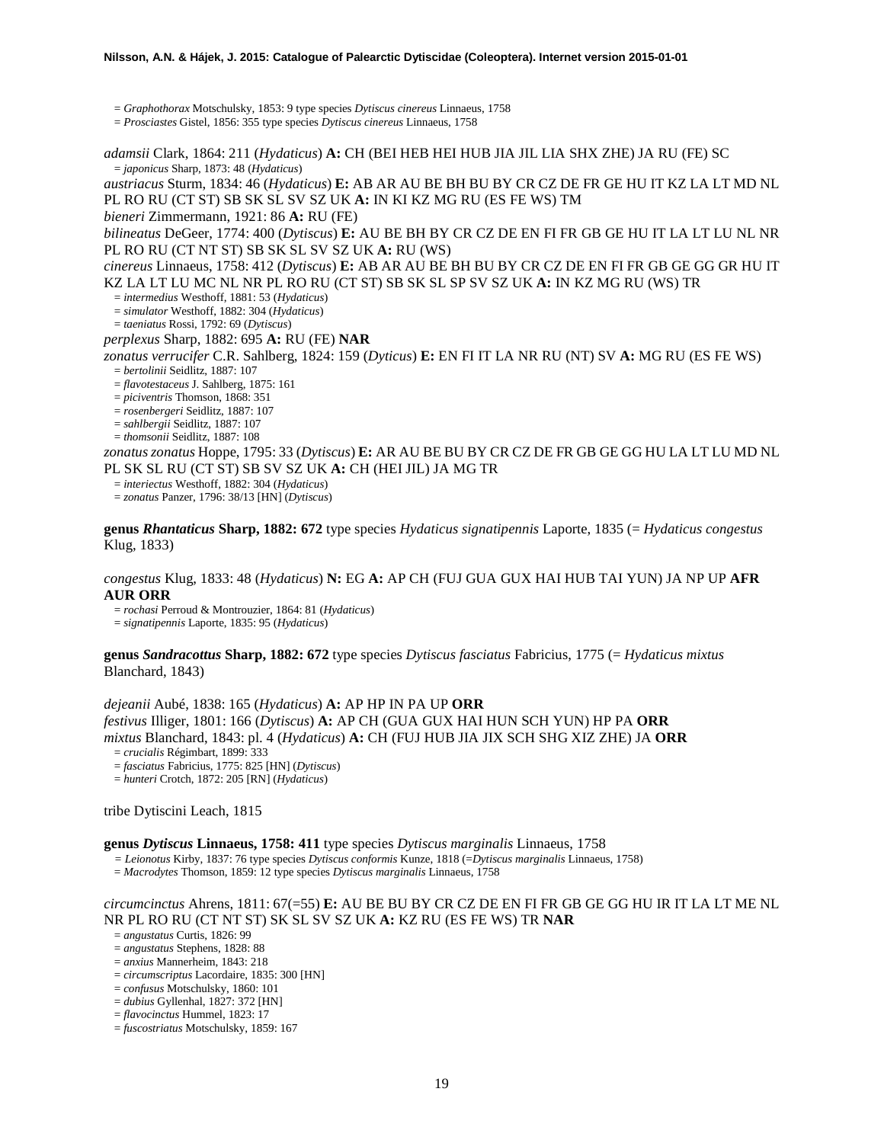= *Graphothorax* Motschulsky, 1853: 9 type species *Dytiscus cinereus* Linnaeus, 1758

= *Prosciastes* Gistel, 1856: 355 type species *Dytiscus cinereus* Linnaeus, 1758

*adamsii* Clark, 1864: 211 (*Hydaticus*) **A:** CH (BEI HEB HEI HUB JIA JIL LIA SHX ZHE) JA RU (FE) SC = *japonicus* Sharp, 1873: 48 (*Hydaticus*)

*austriacus* Sturm, 1834: 46 (*Hydaticus*) **E:** AB AR AU BE BH BU BY CR CZ DE FR GE HU IT KZ LA LT MD NL PL RO RU (CT ST) SB SK SL SV SZ UK **A:** IN KI KZ MG RU (ES FE WS) TM

*bieneri* Zimmermann, 1921: 86 **A:** RU (FE)

*bilineatus* DeGeer, 1774: 400 (*Dytiscus*) **E:** AU BE BH BY CR CZ DE EN FI FR GB GE HU IT LA LT LU NL NR PL RO RU (CT NT ST) SB SK SL SV SZ UK **A:** RU (WS)

*cinereus* Linnaeus, 1758: 412 (*Dytiscus*) **E:** AB AR AU BE BH BU BY CR CZ DE EN FI FR GB GE GG GR HU IT KZ LA LT LU MC NL NR PL RO RU (CT ST) SB SK SL SP SV SZ UK **A:** IN KZ MG RU (WS) TR = *intermedius* Westhoff, 1881: 53 (*Hydaticus*)

= *simulator* Westhoff, 1882: 304 (*Hydaticus*)

= *taeniatus* Rossi, 1792: 69 (*Dytiscus*)

### *perplexus* Sharp, 1882: 695 **A:** RU (FE) **NAR**

*zonatus verrucifer* C.R. Sahlberg, 1824: 159 (*Dyticus*) **E:** EN FI IT LA NR RU (NT) SV **A:** MG RU (ES FE WS) = *bertolinii* Seidlitz, 1887: 107

= *flavotestaceus* J. Sahlberg, 1875: 161

= *piciventris* Thomson, 1868: 351

= *rosenbergeri* Seidlitz, 1887: 107

= *sahlbergii* Seidlitz, 1887: 107

= *thomsonii* Seidlitz, 1887: 108

*zonatus zonatus* Hoppe, 1795: 33 (*Dytiscus*) **E:** AR AU BE BU BY CR CZ DE FR GB GE GG HU LA LT LU MD NL PL SK SL RU (CT ST) SB SV SZ UK **A:** CH (HEI JIL) JA MG TR

= *interiectus* Westhoff, 1882: 304 (*Hydaticus*)

= *zonatus* Panzer, 1796: 38/13 [HN] (*Dytiscus*)

**genus** *Rhantaticus* **Sharp, 1882: 672** type species *Hydaticus signatipennis* Laporte, 1835 (= *Hydaticus congestus*  Klug, 1833)

### *congestus* Klug, 1833: 48 (*Hydaticus*) **N:** EG **A:** AP CH (FUJ GUA GUX HAI HUB TAI YUN) JA NP UP **AFR AUR ORR**

= *rochasi* Perroud & Montrouzier, 1864: 81 (*Hydaticus*)

= *signatipennis* Laporte, 1835: 95 (*Hydaticus*)

#### **genus** *Sandracottus* **Sharp, 1882: 672** type species *Dytiscus fasciatus* Fabricius, 1775 (= *Hydaticus mixtus* Blanchard, 1843)

*dejeanii* Aubé, 1838: 165 (*Hydaticus*) **A:** AP HP IN PA UP **ORR** *festivus* Illiger, 1801: 166 (*Dytiscus*) **A:** AP CH (GUA GUX HAI HUN SCH YUN) HP PA **ORR** *mixtus* Blanchard, 1843: pl. 4 (*Hydaticus*) **A:** CH (FUJ HUB JIA JIX SCH SHG XIZ ZHE) JA **ORR** = *crucialis* Régimbart, 1899: 333

= *fasciatus* Fabricius, 1775: 825 [HN] (*Dytiscus*)

= *hunteri* Crotch, 1872: 205 [RN] (*Hydaticus*)

tribe Dytiscini Leach, 1815

#### **genus** *Dytiscus* **Linnaeus, 1758: 411** type species *Dytiscus marginalis* Linnaeus, 1758

*= Leionotus* Kirby, 1837: 76 type species *Dytiscus conformis* Kunze, 1818 (=*Dytiscus marginalis* Linnaeus, 1758)

= *Macrodytes* Thomson, 1859: 12 type species *Dytiscus marginalis* Linnaeus, 1758

# *circumcinctus* Ahrens, 1811: 67(=55) **E:** AU BE BU BY CR CZ DE EN FI FR GB GE GG HU IR IT LA LT ME NL NR PL RO RU (CT NT ST) SK SL SV SZ UK **A:** KZ RU (ES FE WS) TR **NAR**

= *angustatus* Curtis, 1826: 99

= *angustatus* Stephens, 1828: 88

= *anxius* Mannerheim, 1843: 218

= *circumscriptus* Lacordaire, 1835: 300 [HN]

= *confusus* Motschulsky, 1860: 101

= *dubius* Gyllenhal, 1827: 372 [HN]

= *flavocinctus* Hummel, 1823: 17

<sup>=</sup> *fuscostriatus* Motschulsky, 1859: 167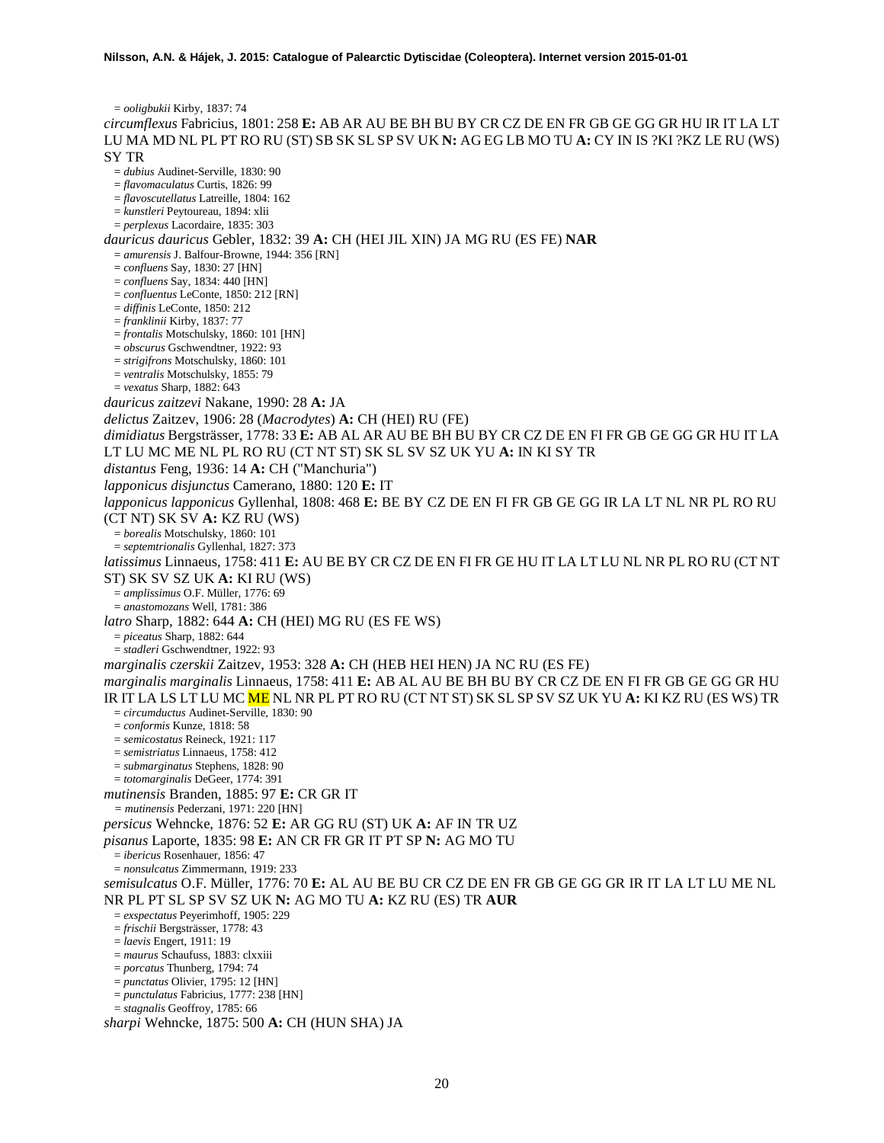= *ooligbukii* Kirby, 1837: 74 *circumflexus* Fabricius, 1801: 258 **E:** AB AR AU BE BH BU BY CR CZ DE EN FR GB GE GG GR HU IR IT LA LT LU MA MD NL PL PT RO RU (ST) SB SK SL SP SV UK **N:** AG EG LB MO TU **A:** CY IN IS ?KI ?KZ LE RU (WS) SY TR = *dubius* Audinet-Serville, 1830: 90 = *flavomaculatus* Curtis, 1826: 99 = *flavoscutellatus* Latreille, 1804: 162 = *kunstleri* Peytoureau, 1894: xlii = *perplexus* Lacordaire, 1835: 303 *dauricus dauricus* Gebler, 1832: 39 **A:** CH (HEI JIL XIN) JA MG RU (ES FE) **NAR** = *amurensis* J. Balfour-Browne, 1944: 356 [RN] = *confluens* Say, 1830: 27 [HN] = *confluens* Say, 1834: 440 [HN] = *confluentus* LeConte, 1850: 212 [RN] = *diffinis* LeConte, 1850: 212 = *franklinii* Kirby, 1837: 77 = *frontalis* Motschulsky, 1860: 101 [HN] = *obscurus* Gschwendtner, 1922: 93 = *strigifrons* Motschulsky, 1860: 101 = *ventralis* Motschulsky, 1855: 79 = *vexatus* Sharp, 1882: 643 *dauricus zaitzevi* Nakane, 1990: 28 **A:** JA *delictus* Zaitzev, 1906: 28 (*Macrodytes*) **A:** CH (HEI) RU (FE) *dimidiatus* Bergsträsser, 1778: 33 **E:** AB AL AR AU BE BH BU BY CR CZ DE EN FI FR GB GE GG GR HU IT LA LT LU MC ME NL PL RO RU (CT NT ST) SK SL SV SZ UK YU **A:** IN KI SY TR *distantus* Feng, 1936: 14 **A:** CH ("Manchuria") *lapponicus disjunctus* Camerano, 1880: 120 **E:** IT *lapponicus lapponicus* Gyllenhal, 1808: 468 **E:** BE BY CZ DE EN FI FR GB GE GG IR LA LT NL NR PL RO RU (CT NT) SK SV **A:** KZ RU (WS) = *borealis* Motschulsky, 1860: 101 = *septemtrionalis* Gyllenhal, 1827: 373 *latissimus* Linnaeus, 1758: 411 **E:** AU BE BY CR CZ DE EN FI FR GE HU IT LA LT LU NL NR PL RO RU (CT NT ST) SK SV SZ UK **A:** KI RU (WS) = *amplissimus* O.F. Müller, 1776: 69 = *anastomozans* Well, 1781: 386 *latro* Sharp, 1882: 644 **A:** CH (HEI) MG RU (ES FE WS) = *piceatus* Sharp, 1882: 644 = *stadleri* Gschwendtner, 1922: 93 *marginalis czerskii* Zaitzev, 1953: 328 **A:** CH (HEB HEI HEN) JA NC RU (ES FE) *marginalis marginalis* Linnaeus, 1758: 411 **E:** AB AL AU BE BH BU BY CR CZ DE EN FI FR GB GE GG GR HU IR IT LA LS LT LU MC ME NL NR PL PT RO RU (CT NT ST) SK SL SP SV SZ UK YU **A:** KI KZ RU (ES WS) TR = *circumductus* Audinet-Serville, 1830: 90 = *conformis* Kunze, 1818: 58 = *semicostatus* Reineck, 1921: 117 = *semistriatus* Linnaeus, 1758: 412 = *submarginatus* Stephens, 1828: 90 = *totomarginalis* DeGeer, 1774: 391 *mutinensis* Branden, 1885: 97 **E:** CR GR IT *= mutinensis* Pederzani, 1971: 220 [HN] *persicus* Wehncke, 1876: 52 **E:** AR GG RU (ST) UK **A:** AF IN TR UZ *pisanus* Laporte, 1835: 98 **E:** AN CR FR GR IT PT SP **N:** AG MO TU = *ibericus* Rosenhauer, 1856: 47 = *nonsulcatus* Zimmermann, 1919: 233 *semisulcatus* O.F. Müller, 1776: 70 **E:** AL AU BE BU CR CZ DE EN FR GB GE GG GR IR IT LA LT LU ME NL NR PL PT SL SP SV SZ UK **N:** AG MO TU **A:** KZ RU (ES) TR **AUR** = *exspectatus* Peyerimhoff, 1905: 229 = *frischii* Bergsträsser, 1778: 43 = *laevis* Engert, 1911: 19 = *maurus* Schaufuss, 1883: clxxiii = *porcatus* Thunberg, 1794: 74 = *punctatus* Olivier, 1795: 12 [HN] = *punctulatus* Fabricius, 1777: 238 [HN] = *stagnalis* Geoffroy, 1785: 66 *sharpi* Wehncke, 1875: 500 **A:** CH (HUN SHA) JA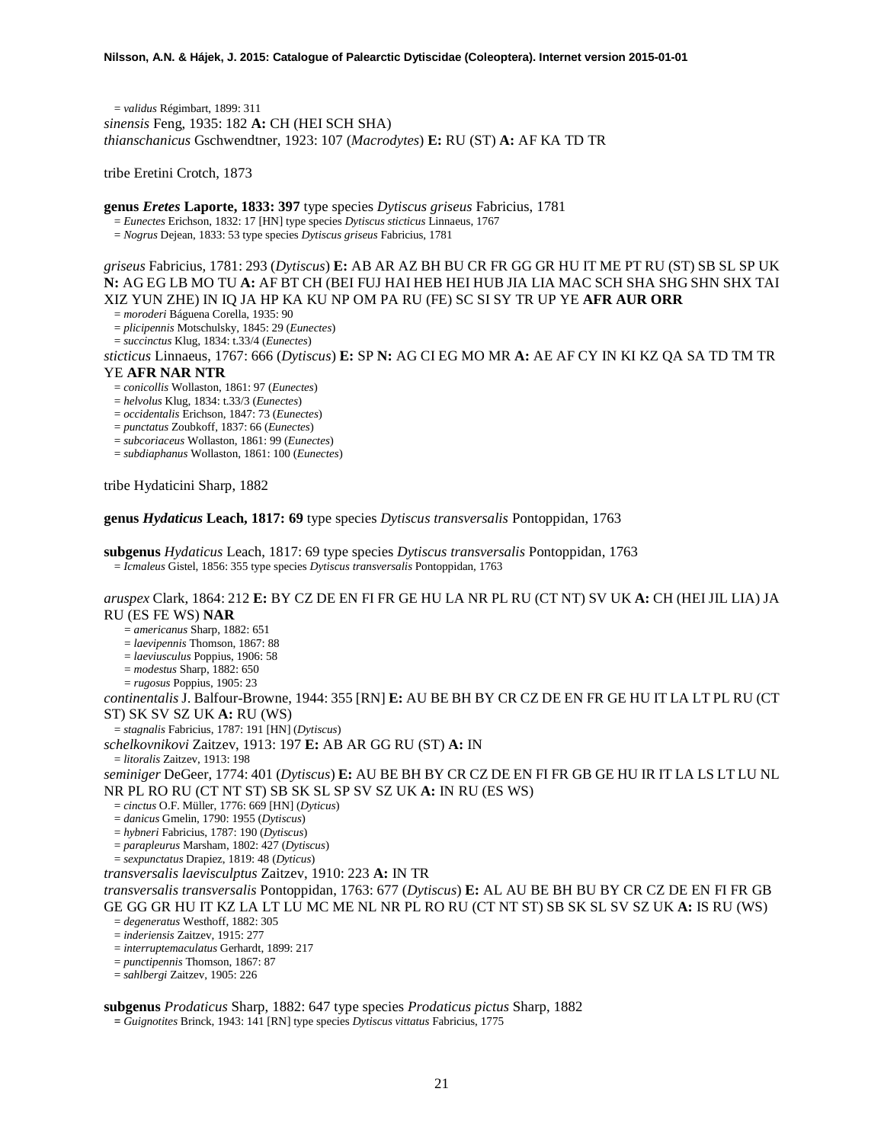= *validus* Régimbart, 1899: 311 *sinensis* Feng, 1935: 182 **A:** CH (HEI SCH SHA) *thianschanicus* Gschwendtner, 1923: 107 (*Macrodytes*) **E:** RU (ST) **A:** AF KA TD TR

tribe Eretini Crotch, 1873

**genus** *Eretes* **Laporte, 1833: 397** type species *Dytiscus griseus* Fabricius, 1781 = *Eunectes* Erichson, 1832: 17 [HN] type species *Dytiscus sticticus* Linnaeus, <sup>1767</sup>

= *Nogrus* Dejean, 1833: 53 type species *Dytiscus griseus* Fabricius, 1781

*griseus* Fabricius, 1781: 293 (*Dytiscus*) **E:** AB AR AZ BH BU CR FR GG GR HU IT ME PT RU (ST) SB SL SP UK **N:** AG EG LB MO TU **A:** AF BT CH (BEI FUJ HAI HEB HEI HUB JIA LIA MAC SCH SHA SHG SHN SHX TAI XIZ YUN ZHE) IN IQ JA HP KA KU NP OM PA RU (FE) SC SI SY TR UP YE **AFR AUR ORR**

= *moroderi* Báguena Corella, 1935: 90

= *plicipennis* Motschulsky, 1845: 29 (*Eunectes*)

= *succinctus* Klug, 1834: t.33/4 (*Eunectes*)

*sticticus* Linnaeus, 1767: 666 (*Dytiscus*) **E:** SP **N:** AG CI EG MO MR **A:** AE AF CY IN KI KZ QA SA TD TM TR YE **AFR NAR NTR**

= *conicollis* Wollaston, 1861: 97 (*Eunectes*)

= *helvolus* Klug, 1834: t.33/3 (*Eunectes*)

= *occidentalis* Erichson, 1847: 73 (*Eunectes*)

= *punctatus* Zoubkoff, 1837: 66 (*Eunectes*)

= *subcoriaceus* Wollaston, 1861: 99 (*Eunectes*)

= *subdiaphanus* Wollaston, 1861: 100 (*Eunectes*)

tribe Hydaticini Sharp, 1882

**genus** *Hydaticus* **Leach, 1817: 69** type species *Dytiscus transversalis* Pontoppidan, 1763

**subgenus** *Hydaticus* Leach, 1817: 69 type species *Dytiscus transversalis* Pontoppidan, 1763 = *Icmaleus* Gistel, 1856: 355 type species *Dytiscus transversalis* Pontoppidan, 1763

*aruspex* Clark, 1864: 212 **E:** BY CZ DE EN FI FR GE HU LA NR PL RU (CT NT) SV UK **A:** CH (HEI JIL LIA) JA RU (ES FE WS) **NAR**

= *americanus* Sharp, 1882: 651

= *laevipennis* Thomson, 1867: 88

= *laeviusculus* Poppius, 1906: 58

= *modestus* Sharp, 1882: 650

= *rugosus* Poppius, 1905: 23

*continentalis* J. Balfour-Browne, 1944: 355 [RN] **E:** AU BE BH BY CR CZ DE EN FR GE HU IT LA LT PL RU (CT ST) SK SV SZ UK **A:** RU (WS)

= *stagnalis* Fabricius, 1787: 191 [HN] (*Dytiscus*)

*schelkovnikovi* Zaitzev, 1913: 197 **E:** AB AR GG RU (ST) **A:** IN

= *litoralis* Zaitzev, 1913: 198

*seminiger* DeGeer, 1774: 401 (*Dytiscus*) **E:** AU BE BH BY CR CZ DE EN FI FR GB GE HU IR IT LA LS LT LU NL NR PL RO RU (CT NT ST) SB SK SL SP SV SZ UK **A:** IN RU (ES WS)

= *cinctus* O.F. Müller, 1776: 669 [HN] (*Dyticus*)

= *danicus* Gmelin, 1790: 1955 (*Dytiscus*)

= *hybneri* Fabricius, 1787: 190 (*Dytiscus*)

= *parapleurus* Marsham, 1802: 427 (*Dytiscus*)

= *sexpunctatus* Drapiez, 1819: 48 (*Dyticus*)

*transversalis laevisculptus* Zaitzev, 1910: 223 **A:** IN TR

*transversalis transversalis* Pontoppidan, 1763: 677 (*Dytiscus*) **E:** AL AU BE BH BU BY CR CZ DE EN FI FR GB GE GG GR HU IT KZ LA LT LU MC ME NL NR PL RO RU (CT NT ST) SB SK SL SV SZ UK **A:** IS RU (WS)

= *degeneratus* Westhoff, 1882: 305

= *inderiensis* Zaitzev, 1915: 277 = *interruptemaculatus* Gerhardt, 1899: 217

= *punctipennis* Thomson, 1867: 87

= *sahlbergi* Zaitzev, 1905: 226

**subgenus** *Prodaticus* Sharp, 1882: 647 type species *Prodaticus pictus* Sharp, 1882 **=** *Guignotites* Brinck, 1943: 141 [RN] type species *Dytiscus vittatus* Fabricius, 1775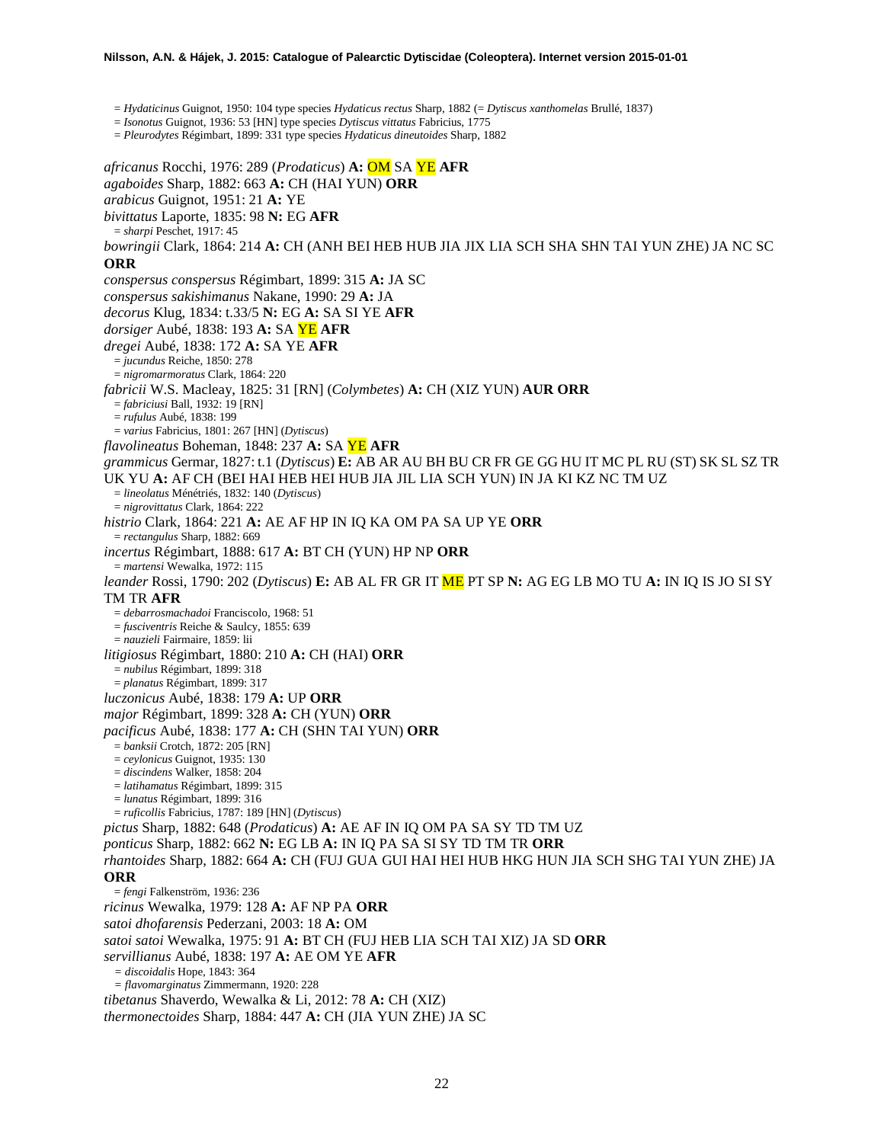#### **Nilsson, A.N. & Hájek, J. 2015: Catalogue of Palearctic Dytiscidae (Coleoptera). Internet version 2015-01-01**

= *Hydaticinus* Guignot, 1950: 104 type species *Hydaticus rectus* Sharp, 1882 (= *Dytiscus xanthomelas* Brullé, 1837)

= *Isonotus* Guignot, 1936: 53 [HN] type species *Dytiscus vittatus* Fabricius, 1775

= *Pleurodytes* Régimbart, 1899: 331 type species *Hydaticus dineutoides* Sharp, 1882

*africanus* Rocchi, 1976: 289 (*Prodaticus*) **A:** OM SA YE **AFR** *agaboides* Sharp, 1882: 663 **A:** CH (HAI YUN) **ORR** *arabicus* Guignot, 1951: 21 **A:** YE *bivittatus* Laporte, 1835: 98 **N:** EG **AFR** = *sharpi* Peschet, 1917: 45 *bowringii* Clark, 1864: 214 **A:** CH (ANH BEI HEB HUB JIA JIX LIA SCH SHA SHN TAI YUN ZHE) JA NC SC **ORR** *conspersus conspersus* Régimbart, 1899: 315 **A:** JA SC *conspersus sakishimanus* Nakane, 1990: 29 **A:** JA *decorus* Klug, 1834: t.33/5 **N:** EG **A:** SA SI YE **AFR** *dorsiger* Aubé, 1838: 193 **A:** SA YE **AFR** *dregei* Aubé, 1838: 172 **A:** SA YE **AFR** = *jucundus* Reiche, 1850: 278 = *nigromarmoratus* Clark, 1864: 220 *fabricii* W.S. Macleay, 1825: 31 [RN] (*Colymbetes*) **A:** CH (XIZ YUN) **AUR ORR** = *fabriciusi* Ball, 1932: 19 [RN] = *rufulus* Aubé, 1838: 199 = *varius* Fabricius, 1801: 267 [HN] (*Dytiscus*) *flavolineatus* Boheman, 1848: 237 **A:** SA YE **AFR** *grammicus* Germar, 1827: t.1 (*Dytiscus*) **E:** AB AR AU BH BU CR FR GE GG HU IT MC PL RU (ST) SK SL SZ TR UK YU **A:** AF CH (BEI HAI HEB HEI HUB JIA JIL LIA SCH YUN) IN JA KI KZ NC TM UZ = *lineolatus* Ménétriés, 1832: 140 (*Dytiscus*) = *nigrovittatus* Clark, 1864: 222 *histrio* Clark, 1864: 221 **A:** AE AF HP IN IQ KA OM PA SA UP YE **ORR** = *rectangulus* Sharp, 1882: 669 *incertus* Régimbart, 1888: 617 **A:** BT CH (YUN) HP NP **ORR** = *martensi* Wewalka, 1972: 115 *leander* Rossi, 1790: 202 (*Dytiscus*) **E:** AB AL FR GR IT ME PT SP **N:** AG EG LB MO TU **A:** IN IQ IS JO SI SY TM TR **AFR** = *debarrosmachadoi* Franciscolo, 1968: 51 = *fusciventris* Reiche & Saulcy, 1855: 639 = *nauzieli* Fairmaire, 1859: lii *litigiosus* Régimbart, 1880: 210 **A:** CH (HAI) **ORR** = *nubilus* Régimbart, 1899: 318 = *planatus* Régimbart, 1899: 317 *luczonicus* Aubé, 1838: 179 **A:** UP **ORR** *major* Régimbart, 1899: 328 **A:** CH (YUN) **ORR** *pacificus* Aubé, 1838: 177 **A:** CH (SHN TAI YUN) **ORR** = *banksii* Crotch, 1872: 205 [RN] = *ceylonicus* Guignot, 1935: 130 = *discindens* Walker, 1858: 204 = *latihamatus* Régimbart, 1899: 315 = *lunatus* Régimbart, 1899: 316 = *ruficollis* Fabricius, 1787: 189 [HN] (*Dytiscus*) *pictus* Sharp, 1882: 648 (*Prodaticus*) **A:** AE AF IN IQ OM PA SA SY TD TM UZ *ponticus* Sharp, 1882: 662 **N:** EG LB **A:** IN IQ PA SA SI SY TD TM TR **ORR** *rhantoides* Sharp, 1882: 664 **A:** CH (FUJ GUA GUI HAI HEI HUB HKG HUN JIA SCH SHG TAI YUN ZHE) JA **ORR** = *fengi* Falkenström, 1936: 236 *ricinus* Wewalka, 1979: 128 **A:** AF NP PA **ORR** *satoi dhofarensis* Pederzani, 2003: 18 **A:** OM *satoi satoi* Wewalka, 1975: 91 **A:** BT CH (FUJ HEB LIA SCH TAI XIZ) JA SD **ORR** *servillianus* Aubé, 1838: 197 **A:** AE OM YE **AFR** *= discoidalis* Hope, 1843: 364 *= flavomarginatus* Zimmermann, 1920: 228 *tibetanus* Shaverdo, Wewalka & Li, 2012: 78 **A:** CH (XIZ) *thermonectoides* Sharp, 1884: 447 **A:** CH (JIA YUN ZHE) JA SC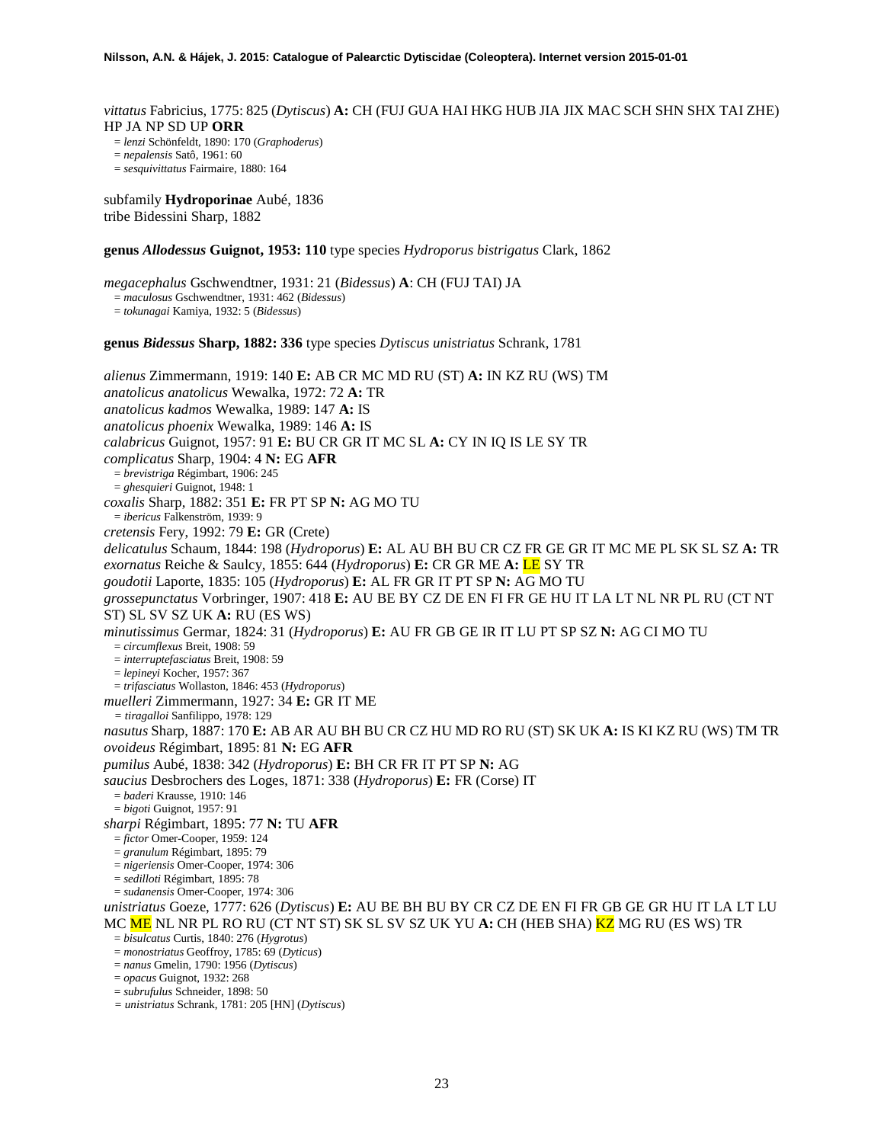*vittatus* Fabricius, 1775: 825 (*Dytiscus*) **A:** CH (FUJ GUA HAI HKG HUB JIA JIX MAC SCH SHN SHX TAI ZHE) HP JA NP SD UP **ORR**

= *lenzi* Schönfeldt, 1890: 170 (*Graphoderus*)

= *nepalensis* Satô, 1961: 60

= *sesquivittatus* Fairmaire, 1880: 164

subfamily **Hydroporinae** Aubé, 1836 tribe Bidessini Sharp, 1882

**genus** *Allodessus* **Guignot, 1953: 110** type species *Hydroporus bistrigatus* Clark, 1862

*megacephalus* Gschwendtner, 1931: 21 (*Bidessus*) **A**: CH (FUJ TAI) JA = *maculosus* Gschwendtner, 1931: 462 (*Bidessus*) = *tokunagai* Kamiya, 1932: 5 (*Bidessus*)

**genus** *Bidessus* **Sharp, 1882: 336** type species *Dytiscus unistriatus* Schrank, 1781

*alienus* Zimmermann, 1919: 140 **E:** AB CR MC MD RU (ST) **A:** IN KZ RU (WS) TM *anatolicus anatolicus* Wewalka, 1972: 72 **A:** TR *anatolicus kadmos* Wewalka, 1989: 147 **A:** IS *anatolicus phoenix* Wewalka, 1989: 146 **A:** IS *calabricus* Guignot, 1957: 91 **E:** BU CR GR IT MC SL **A:** CY IN IQ IS LE SY TR *complicatus* Sharp, 1904: 4 **N:** EG **AFR** = *brevistriga* Régimbart, 1906: 245 = *ghesquieri* Guignot, 1948: 1 *coxalis* Sharp, 1882: 351 **E:** FR PT SP **N:** AG MO TU = *ibericus* Falkenström, 1939: 9 *cretensis* Fery, 1992: 79 **E:** GR (Crete) *delicatulus* Schaum, 1844: 198 (*Hydroporus*) **E:** AL AU BH BU CR CZ FR GE GR IT MC ME PL SK SL SZ **A:** TR *exornatus* Reiche & Saulcy, 1855: 644 (*Hydroporus*) **E:** CR GR ME **A:** LE SY TR *goudotii* Laporte, 1835: 105 (*Hydroporus*) **E:** AL FR GR IT PT SP **N:** AG MO TU *grossepunctatus* Vorbringer, 1907: 418 **E:** AU BE BY CZ DE EN FI FR GE HU IT LA LT NL NR PL RU (CT NT ST) SL SV SZ UK **A:** RU (ES WS) *minutissimus* Germar, 1824: 31 (*Hydroporus*) **E:** AU FR GB GE IR IT LU PT SP SZ **N:** AG CI MO TU = *circumflexus* Breit, 1908: 59 = *interruptefasciatus* Breit, 1908: 59 = *lepineyi* Kocher, 1957: 367 = *trifasciatus* Wollaston, 1846: 453 (*Hydroporus*) *muelleri* Zimmermann, 1927: 34 **E:** GR IT ME *= tiragalloi* Sanfilippo, 1978: 129 *nasutus* Sharp, 1887: 170 **E:** AB AR AU BH BU CR CZ HU MD RO RU (ST) SK UK **A:** IS KI KZ RU (WS) TM TR *ovoideus* Régimbart, 1895: 81 **N:** EG **AFR** *pumilus* Aubé, 1838: 342 (*Hydroporus*) **E:** BH CR FR IT PT SP **N:** AG *saucius* Desbrochers des Loges, 1871: 338 (*Hydroporus*) **E:** FR (Corse) IT = *baderi* Krausse, 1910: 146 = *bigoti* Guignot, 1957: 91 *sharpi* Régimbart, 1895: 77 **N:** TU **AFR** = *fictor* Omer-Cooper, 1959: 124 = *granulum* Régimbart, 1895: 79 = *nigeriensis* Omer-Cooper, 1974: 306 = *sedilloti* Régimbart, 1895: 78 = *sudanensis* Omer-Cooper, 1974: 306 *unistriatus* Goeze, 1777: 626 (*Dytiscus*) **E:** AU BE BH BU BY CR CZ DE EN FI FR GB GE GR HU IT LA LT LU MC ME NL NR PL RO RU (CT NT ST) SK SL SV SZ UK YU **A:** CH (HEB SHA) KZ MG RU (ES WS) TR = *bisulcatus* Curtis, 1840: 276 (*Hygrotus*) = *monostriatus* Geoffroy, 1785: 69 (*Dyticus*) = *nanus* Gmelin, 1790: 1956 (*Dytiscus*) = *opacus* Guignot, 1932: 268 = *subrufulus* Schneider, 1898: 50

*= unistriatus* Schrank, 1781: 205 [HN] (*Dytiscus*)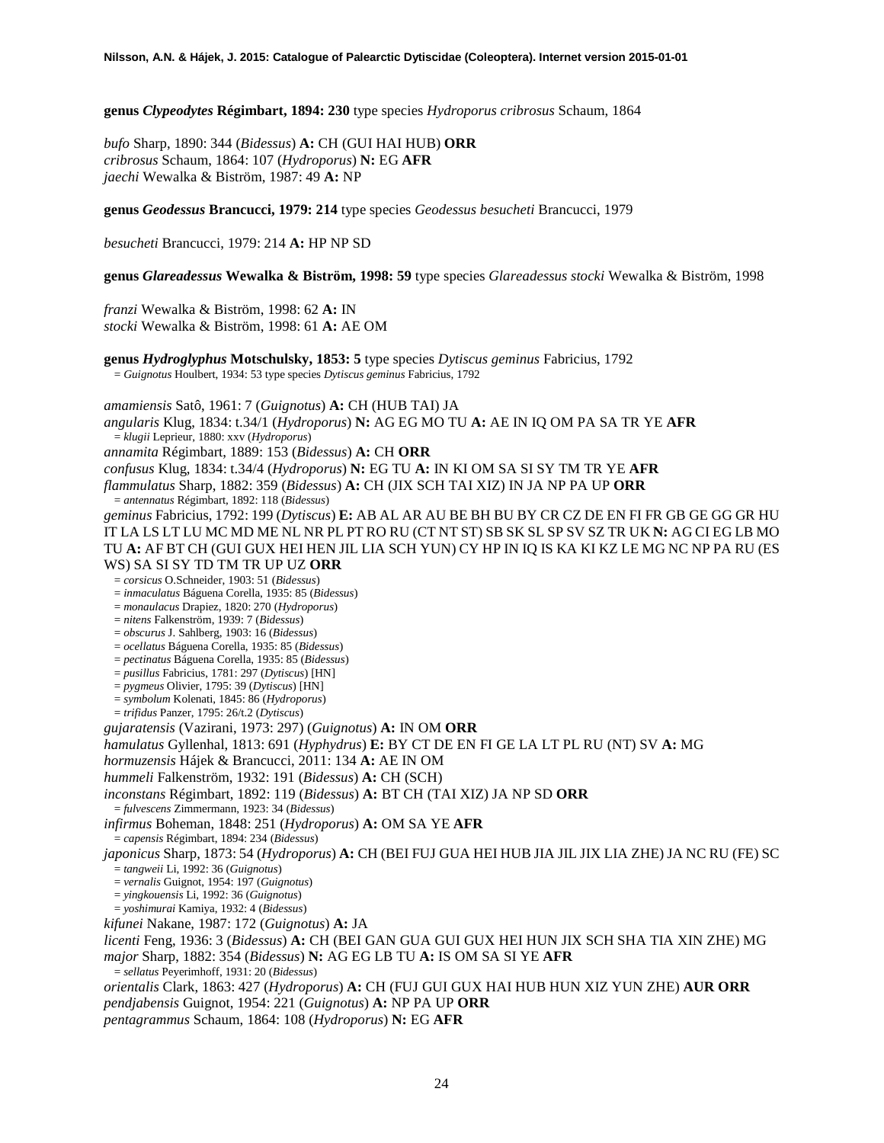**genus** *Clypeodytes* **Régimbart, 1894: 230** type species *Hydroporus cribrosus* Schaum, 1864

*bufo* Sharp, 1890: 344 (*Bidessus*) **A:** CH (GUI HAI HUB) **ORR** *cribrosus* Schaum, 1864: 107 (*Hydroporus*) **N:** EG **AFR** *jaechi* Wewalka & Biström, 1987: 49 **A:** NP

**genus** *Geodessus* **Brancucci, 1979: 214** type species *Geodessus besucheti* Brancucci, 1979

*besucheti* Brancucci, 1979: 214 **A:** HP NP SD

**genus** *Glareadessus* **Wewalka & Biström, 1998: 59** type species *Glareadessus stocki* Wewalka & Biström, 1998

*franzi* Wewalka & Biström, 1998: 62 **A:** IN *stocki* Wewalka & Biström, 1998: 61 **A:** AE OM

**genus** *Hydroglyphus* **Motschulsky, 1853: 5** type species *Dytiscus geminus* Fabricius, 1792 = *Guignotus* Houlbert, 1934: 53 type species *Dytiscus geminus* Fabricius, 1792

*amamiensis* Satô, 1961: 7 (*Guignotus*) **A:** CH (HUB TAI) JA *angularis* Klug, 1834: t.34/1 (*Hydroporus*) **N:** AG EG MO TU **A:** AE IN IQ OM PA SA TR YE **AFR** = *klugii* Leprieur, 1880: xxv (*Hydroporus*) *annamita* Régimbart, 1889: 153 (*Bidessus*) **A:** CH **ORR** *confusus* Klug, 1834: t.34/4 (*Hydroporus*) **N:** EG TU **A:** IN KI OM SA SI SY TM TR YE **AFR** *flammulatus* Sharp, 1882: 359 (*Bidessus*) **A:** CH (JIX SCH TAI XIZ) IN JA NP PA UP **ORR** = *antennatus* Régimbart, 1892: 118 (*Bidessus*) *geminus* Fabricius, 1792: 199 (*Dytiscus*) **E:** AB AL AR AU BE BH BU BY CR CZ DE EN FI FR GB GE GG GR HU IT LA LS LT LU MC MD ME NL NR PL PT RO RU (CT NT ST) SB SK SL SP SV SZ TR UK **N:** AG CI EG LB MO TU **A:** AF BT CH (GUI GUX HEI HEN JIL LIA SCH YUN) CY HP IN IQ IS KA KI KZ LE MG NC NP PA RU (ES WS) SA SI SY TD TM TR UP UZ **ORR** = *corsicus* O.Schneider, 1903: 51 (*Bidessus*) = *inmaculatus* Báguena Corella, 1935: 85 (*Bidessus*) = *monaulacus* Drapiez, 1820: 270 (*Hydroporus*) = *nitens* Falkenström, 1939: 7 (*Bidessus*) = *obscurus* J. Sahlberg, 1903: 16 (*Bidessus*) = *ocellatus* Báguena Corella, 1935: 85 (*Bidessus*) = *pectinatus* Báguena Corella, 1935: 85 (*Bidessus*) = *pusillus* Fabricius, 1781: 297 (*Dytiscus*) [HN] = *pygmeus* Olivier, 1795: 39 (*Dytiscus*) [HN] = *symbolum* Kolenati, 1845: 86 (*Hydroporus*) = *trifidus* Panzer, 1795: 26/t.2 (*Dytiscus*) *gujaratensis* (Vazirani, 1973: 297) (*Guignotus*) **A:** IN OM **ORR** *hamulatus* Gyllenhal, 1813: 691 (*Hyphydrus*) **E:** BY CT DE EN FI GE LA LT PL RU (NT) SV **A:** MG *hormuzensis* Hájek & Brancucci, 2011: 134 **A:** AE IN OM *hummeli* Falkenström, 1932: 191 (*Bidessus*) **A:** CH (SCH) *inconstans* Régimbart, 1892: 119 (*Bidessus*) **A:** BT CH (TAI XIZ) JA NP SD **ORR** = *fulvescens* Zimmermann, 1923: 34 (*Bidessus*) *infirmus* Boheman, 1848: 251 (*Hydroporus*) **A:** OM SA YE **AFR** = *capensis* Régimbart, 1894: 234 (*Bidessus*) *japonicus* Sharp, 1873: 54 (*Hydroporus*) **A:** CH (BEI FUJ GUA HEI HUB JIA JIL JIX LIA ZHE) JA NC RU (FE) SC = *tangweii* Li, 1992: 36 (*Guignotus*) = *vernalis* Guignot, 1954: 197 (*Guignotus*) = *yingkouensis* Li, 1992: 36 (*Guignotus*) = *yoshimurai* Kamiya, 1932: 4 (*Bidessus*) *kifunei* Nakane, 1987: 172 (*Guignotus*) **A:** JA *licenti* Feng, 1936: 3 (*Bidessus*) **A:** CH (BEI GAN GUA GUI GUX HEI HUN JIX SCH SHA TIA XIN ZHE) MG *major* Sharp, 1882: 354 (*Bidessus*) **N:** AG EG LB TU **A:** IS OM SA SI YE **AFR** = *sellatus* Peyerimhoff, 1931: 20 (*Bidessus*) *orientalis* Clark, 1863: 427 (*Hydroporus*) **A:** CH (FUJ GUI GUX HAI HUB HUN XIZ YUN ZHE) **AUR ORR** *pendjabensis* Guignot, 1954: 221 (*Guignotus*) **A:** NP PA UP **ORR** *pentagrammus* Schaum, 1864: 108 (*Hydroporus*) **N:** EG **AFR**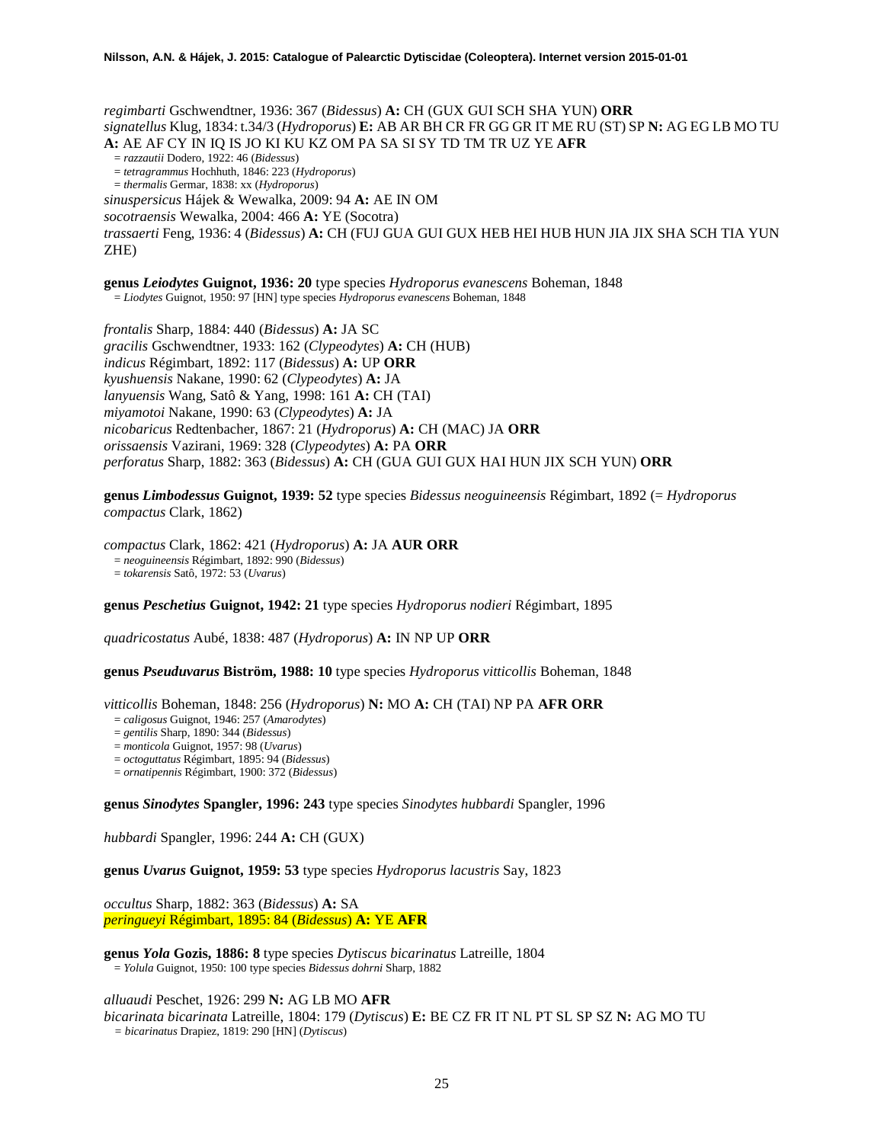*regimbarti* Gschwendtner, 1936: 367 (*Bidessus*) **A:** CH (GUX GUI SCH SHA YUN) **ORR** *signatellus* Klug, 1834: t.34/3 (*Hydroporus*) **E:** AB AR BH CR FR GG GR IT ME RU (ST) SP **N:** AG EG LB MO TU **A:** AE AF CY IN IQ IS JO KI KU KZ OM PA SA SI SY TD TM TR UZ YE **AFR** = *razzautii* Dodero, 1922: 46 (*Bidessus*) = *tetragrammus* Hochhuth, 1846: 223 (*Hydroporus*) = *thermalis* Germar, 1838: xx (*Hydroporus*) *sinuspersicus* Hájek & Wewalka, 2009: 94 **A:** AE IN OM *socotraensis* Wewalka, 2004: 466 **A:** YE (Socotra) *trassaerti* Feng, 1936: 4 (*Bidessus*) **A:** CH (FUJ GUA GUI GUX HEB HEI HUB HUN JIA JIX SHA SCH TIA YUN ZHE) **genus** *Leiodytes* **Guignot, 1936: 20** type species *Hydroporus evanescens* Boheman, 1848

= *Liodytes* Guignot, 1950: 97 [HN] type species *Hydroporus evanescens* Boheman, 1848

*frontalis* Sharp, 1884: 440 (*Bidessus*) **A:** JA SC *gracilis* Gschwendtner, 1933: 162 (*Clypeodytes*) **A:** CH (HUB) *indicus* Régimbart, 1892: 117 (*Bidessus*) **A:** UP **ORR** *kyushuensis* Nakane, 1990: 62 (*Clypeodytes*) **A:** JA *lanyuensis* Wang, Satô & Yang, 1998: 161 **A:** CH (TAI) *miyamotoi* Nakane, 1990: 63 (*Clypeodytes*) **A:** JA *nicobaricus* Redtenbacher, 1867: 21 (*Hydroporus*) **A:** CH (MAC) JA **ORR** *orissaensis* Vazirani, 1969: 328 (*Clypeodytes*) **A:** PA **ORR** *perforatus* Sharp, 1882: 363 (*Bidessus*) **A:** CH (GUA GUI GUX HAI HUN JIX SCH YUN) **ORR**

**genus** *Limbodessus* **Guignot, 1939: 52** type species *Bidessus neoguineensis* Régimbart, 1892 (= *Hydroporus compactus* Clark, 1862)

*compactus* Clark, 1862: 421 (*Hydroporus*) **A:** JA **AUR ORR** = *neoguineensis* Régimbart, 1892: 990 (*Bidessus*) = *tokarensis* Satô, 1972: 53 (*Uvarus*)

**genus** *Peschetius* **Guignot, 1942: 21** type species *Hydroporus nodieri* Régimbart, 1895

*quadricostatus* Aubé, 1838: 487 (*Hydroporus*) **A:** IN NP UP **ORR**

**genus** *Pseuduvarus* **Biström, 1988: 10** type species *Hydroporus vitticollis* Boheman, 1848

*vitticollis* Boheman, 1848: 256 (*Hydroporus*) **N:** MO **A:** CH (TAI) NP PA **AFR ORR**

= *caligosus* Guignot, 1946: 257 (*Amarodytes*)

= *gentilis* Sharp, 1890: 344 (*Bidessus*)

= *monticola* Guignot, 1957: 98 (*Uvarus*)

= *octoguttatus* Régimbart, 1895: 94 (*Bidessus*)

= *ornatipennis* Régimbart, 1900: 372 (*Bidessus*)

**genus** *Sinodytes* **Spangler, 1996: 243** type species *Sinodytes hubbardi* Spangler, 1996

*hubbardi* Spangler, 1996: 244 **A:** CH (GUX)

**genus** *Uvarus* **Guignot, 1959: 53** type species *Hydroporus lacustris* Say, 1823

*occultus* Sharp, 1882: 363 (*Bidessus*) **A:** SA *peringueyi* Régimbart, 1895: 84 (*Bidessus*) **A:** YE **AFR**

**genus** *Yola* **Gozis, 1886: 8** type species *Dytiscus bicarinatus* Latreille, 1804 = *Yolula* Guignot, 1950: 100 type species *Bidessus dohrni* Sharp, 1882

*alluaudi* Peschet, 1926: 299 **N:** AG LB MO **AFR** *bicarinata bicarinata* Latreille, 1804: 179 (*Dytiscus*) **E:** BE CZ FR IT NL PT SL SP SZ **N:** AG MO TU *= bicarinatus* Drapiez, 1819: 290 [HN] (*Dytiscus*)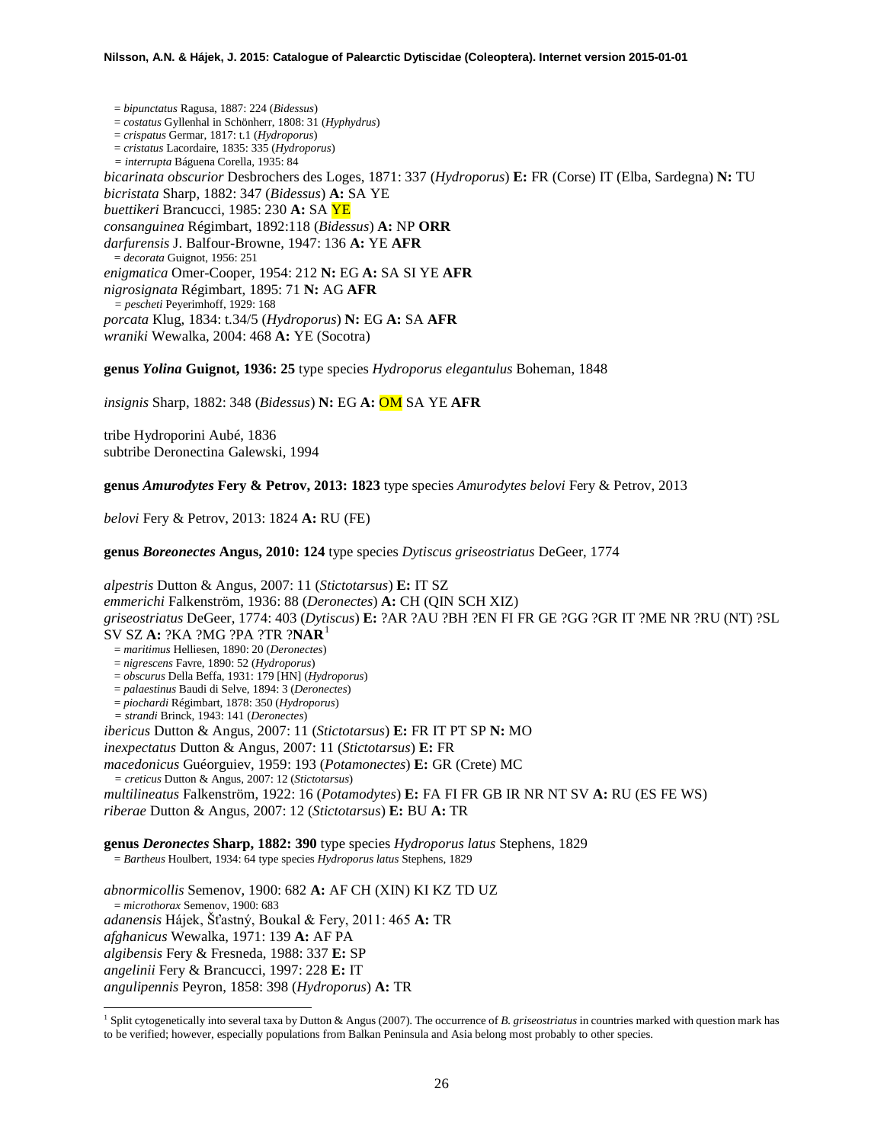= *bipunctatus* Ragusa, 1887: 224 (*Bidessus*) = *costatus* Gyllenhal in Schönherr, 1808: 31 (*Hyphydrus*) = *crispatus* Germar, 1817: t.1 (*Hydroporus*) = *cristatus* Lacordaire, 1835: 335 (*Hydroporus*) *= interrupta* Báguena Corella, 1935: 84 *bicarinata obscurior* Desbrochers des Loges, 1871: 337 (*Hydroporus*) **E:** FR (Corse) IT (Elba, Sardegna) **N:** TU *bicristata* Sharp, 1882: 347 (*Bidessus*) **A:** SA YE *buettikeri* Brancucci, 1985: 230 **A:** SA YE *consanguinea* Régimbart, 1892:118 (*Bidessus*) **A:** NP **ORR** *darfurensis* J. Balfour-Browne, 1947: 136 **A:** YE **AFR** = *decorata* Guignot, 1956: 251 *enigmatica* Omer-Cooper, 1954: 212 **N:** EG **A:** SA SI YE **AFR** *nigrosignata* Régimbart, 1895: 71 **N:** AG **AFR** *= pescheti* Peyerimhoff, 1929: 168 *porcata* Klug, 1834: t.34/5 (*Hydroporus*) **N:** EG **A:** SA **AFR** *wraniki* Wewalka, 2004: 468 **A:** YE (Socotra)

**genus** *Yolina* **Guignot, 1936: 25** type species *Hydroporus elegantulus* Boheman, 1848

*insignis* Sharp, 1882: 348 (*Bidessus*) **N:** EG **A:** OM SA YE **AFR**

tribe Hydroporini Aubé, 1836 subtribe Deronectina Galewski, 1994

**genus** *Amurodytes* **Fery & Petrov, 2013: 1823** type species *Amurodytes belovi* Fery & Petrov, 2013

*belovi* Fery & Petrov, 2013: 1824 **A:** RU (FE)

**genus** *Boreonectes* **Angus, 2010: 124** type species *Dytiscus griseostriatus* DeGeer, 1774

*alpestris* Dutton & Angus, 2007: 11 (*Stictotarsus*) **E:** IT SZ *emmerichi* Falkenström, 1936: 88 (*Deronectes*) **A:** CH (QIN SCH XIZ) *griseostriatus* DeGeer, 1774: 403 (*Dytiscus*) **E:** ?AR ?AU ?BH ?EN FI FR GE ?GG ?GR IT ?ME NR ?RU (NT) ?SL SV SZ **A:** ?KA ?MG ?PA ?TR ?**NAR**[1](#page-25-0) = *maritimus* Helliesen, 1890: 20 (*Deronectes*) = *nigrescens* Favre, 1890: 52 (*Hydroporus*) = *obscurus* Della Beffa, 1931: 179 [HN] (*Hydroporus*) = *palaestinus* Baudi di Selve, 1894: 3 (*Deronectes*) = *piochardi* Régimbart, 1878: 350 (*Hydroporus*) *= strandi* Brinck, 1943: 141 (*Deronectes*) *ibericus* Dutton & Angus, 2007: 11 (*Stictotarsus*) **E:** FR IT PT SP **N:** MO *inexpectatus* Dutton & Angus, 2007: 11 (*Stictotarsus*) **E:** FR *macedonicus* Guéorguiev, 1959: 193 (*Potamonectes*) **E:** GR (Crete) MC *= creticus* Dutton & Angus, 2007: 12 (*Stictotarsus*) *multilineatus* Falkenström, 1922: 16 (*Potamodytes*) **E:** FA FI FR GB IR NR NT SV **A:** RU (ES FE WS) *riberae* Dutton & Angus, 2007: 12 (*Stictotarsus*) **E:** BU **A:** TR

**genus** *Deronectes* **Sharp, 1882: 390** type species *Hydroporus latus* Stephens, 1829 = *Bartheus* Houlbert, 1934: 64 type species *Hydroporus latus* Stephens, 1829

*abnormicollis* Semenov, 1900: 682 **A:** AF CH (XIN) KI KZ TD UZ = *microthorax* Semenov, 1900: 683 *adanensis* Hájek, Šťastný, Boukal & Fery, 2011: 465 **A:** TR *afghanicus* Wewalka, 1971: 139 **A:** AF PA *algibensis* Fery & Fresneda, 1988: 337 **E:** SP *angelinii* Fery & Brancucci, 1997: 228 **E:** IT *angulipennis* Peyron, 1858: 398 (*Hydroporus*) **A:** TR

 $\overline{a}$ 

<span id="page-25-0"></span><sup>1</sup> Split cytogenetically into several taxa by Dutton & Angus (2007). The occurrence of *B. griseostriatus* in countries marked with question mark has to be verified; however, especially populations from Balkan Peninsula and Asia belong most probably to other species.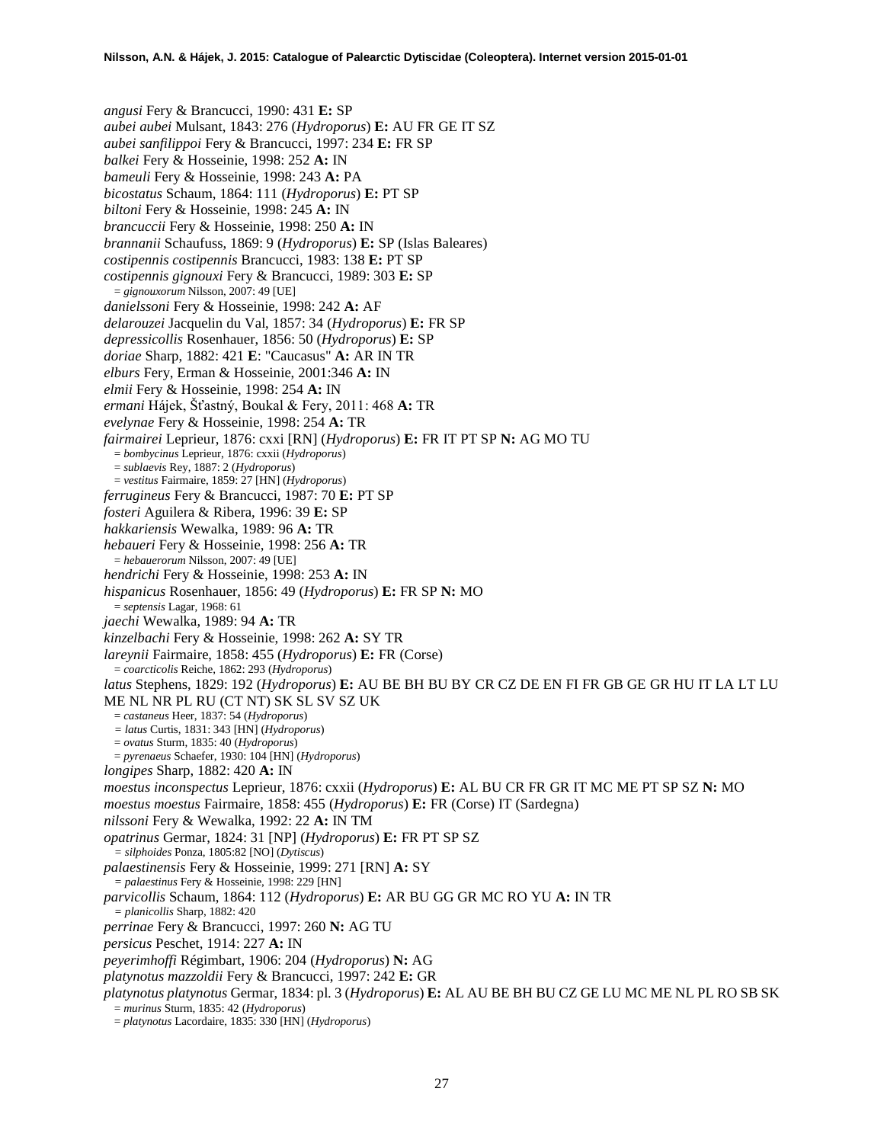*angusi* Fery & Brancucci, 1990: 431 **E:** SP *aubei aubei* Mulsant, 1843: 276 (*Hydroporus*) **E:** AU FR GE IT SZ *aubei sanfilippoi* Fery & Brancucci, 1997: 234 **E:** FR SP *balkei* Fery & Hosseinie, 1998: 252 **A:** IN *bameuli* Fery & Hosseinie, 1998: 243 **A:** PA *bicostatus* Schaum, 1864: 111 (*Hydroporus*) **E:** PT SP *biltoni* Fery & Hosseinie, 1998: 245 **A:** IN *brancuccii* Fery & Hosseinie, 1998: 250 **A:** IN *brannanii* Schaufuss, 1869: 9 (*Hydroporus*) **E:** SP (Islas Baleares) *costipennis costipennis* Brancucci, 1983: 138 **E:** PT SP *costipennis gignouxi* Fery & Brancucci, 1989: 303 **E:** SP = *gignouxorum* Nilsson, 2007: 49 [UE] *danielssoni* Fery & Hosseinie, 1998: 242 **A:** AF *delarouzei* Jacquelin du Val, 1857: 34 (*Hydroporus*) **E:** FR SP *depressicollis* Rosenhauer, 1856: 50 (*Hydroporus*) **E:** SP *doriae* Sharp, 1882: 421 **E**: "Caucasus" **A:** AR IN TR *elburs* Fery, Erman & Hosseinie, 2001:346 **A:** IN *elmii* Fery & Hosseinie, 1998: 254 **A:** IN *ermani* Hájek, Šťastný, Boukal & Fery, 2011: 468 **A:** TR *evelynae* Fery & Hosseinie, 1998: 254 **A:** TR *fairmairei* Leprieur, 1876: cxxi [RN] (*Hydroporus*) **E:** FR IT PT SP **N:** AG MO TU = *bombycinus* Leprieur, 1876: cxxii (*Hydroporus*) = *sublaevis* Rey, 1887: 2 (*Hydroporus*) = *vestitus* Fairmaire, 1859: 27 [HN] (*Hydroporus*) *ferrugineus* Fery & Brancucci, 1987: 70 **E:** PT SP *fosteri* Aguilera & Ribera, 1996: 39 **E:** SP *hakkariensis* Wewalka, 1989: 96 **A:** TR *hebaueri* Fery & Hosseinie, 1998: 256 **A:** TR = *hebauerorum* Nilsson, 2007: 49 [UE] *hendrichi* Fery & Hosseinie, 1998: 253 **A:** IN *hispanicus* Rosenhauer, 1856: 49 (*Hydroporus*) **E:** FR SP **N:** MO = *septensis* Lagar, 1968: 61 *jaechi* Wewalka, 1989: 94 **A:** TR *kinzelbachi* Fery & Hosseinie, 1998: 262 **A:** SY TR *lareynii* Fairmaire, 1858: 455 (*Hydroporus*) **E:** FR (Corse) = *coarcticolis* Reiche, 1862: 293 (*Hydroporus*) *latus* Stephens, 1829: 192 (*Hydroporus*) **E:** AU BE BH BU BY CR CZ DE EN FI FR GB GE GR HU IT LA LT LU ME NL NR PL RU (CT NT) SK SL SV SZ UK = *castaneus* Heer, 1837: 54 (*Hydroporus*) *= latus* Curtis, 1831: 343 [HN] (*Hydroporus*) = *ovatus* Sturm, 1835: 40 (*Hydroporus*) = *pyrenaeus* Schaefer, 1930: 104 [HN] (*Hydroporus*) *longipes* Sharp, 1882: 420 **A:** IN *moestus inconspectus* Leprieur, 1876: cxxii (*Hydroporus*) **E:** AL BU CR FR GR IT MC ME PT SP SZ **N:** MO *moestus moestus* Fairmaire, 1858: 455 (*Hydroporus*) **E:** FR (Corse) IT (Sardegna) *nilssoni* Fery & Wewalka, 1992: 22 **A:** IN TM *opatrinus* Germar, 1824: 31 [NP] (*Hydroporus*) **E:** FR PT SP SZ *= silphoides* Ponza, 1805:82 [NO] (*Dytiscus*) *palaestinensis* Fery & Hosseinie, 1999: 271 [RN] **A:** SY *= palaestinus* Fery & Hosseinie, 1998: 229 [HN] *parvicollis* Schaum, 1864: 112 (*Hydroporus*) **E:** AR BU GG GR MC RO YU **A:** IN TR *= planicollis* Sharp, 1882: 420 *perrinae* Fery & Brancucci, 1997: 260 **N:** AG TU *persicus* Peschet, 1914: 227 **A:** IN *peyerimhoffi* Régimbart, 1906: 204 (*Hydroporus*) **N:** AG *platynotus mazzoldii* Fery & Brancucci, 1997: 242 **E:** GR *platynotus platynotus* Germar, 1834: pl. 3 (*Hydroporus*) **E:** AL AU BE BH BU CZ GE LU MC ME NL PL RO SB SK = *murinus* Sturm, 1835: 42 (*Hydroporus*) = *platynotus* Lacordaire, 1835: 330 [HN] (*Hydroporus*)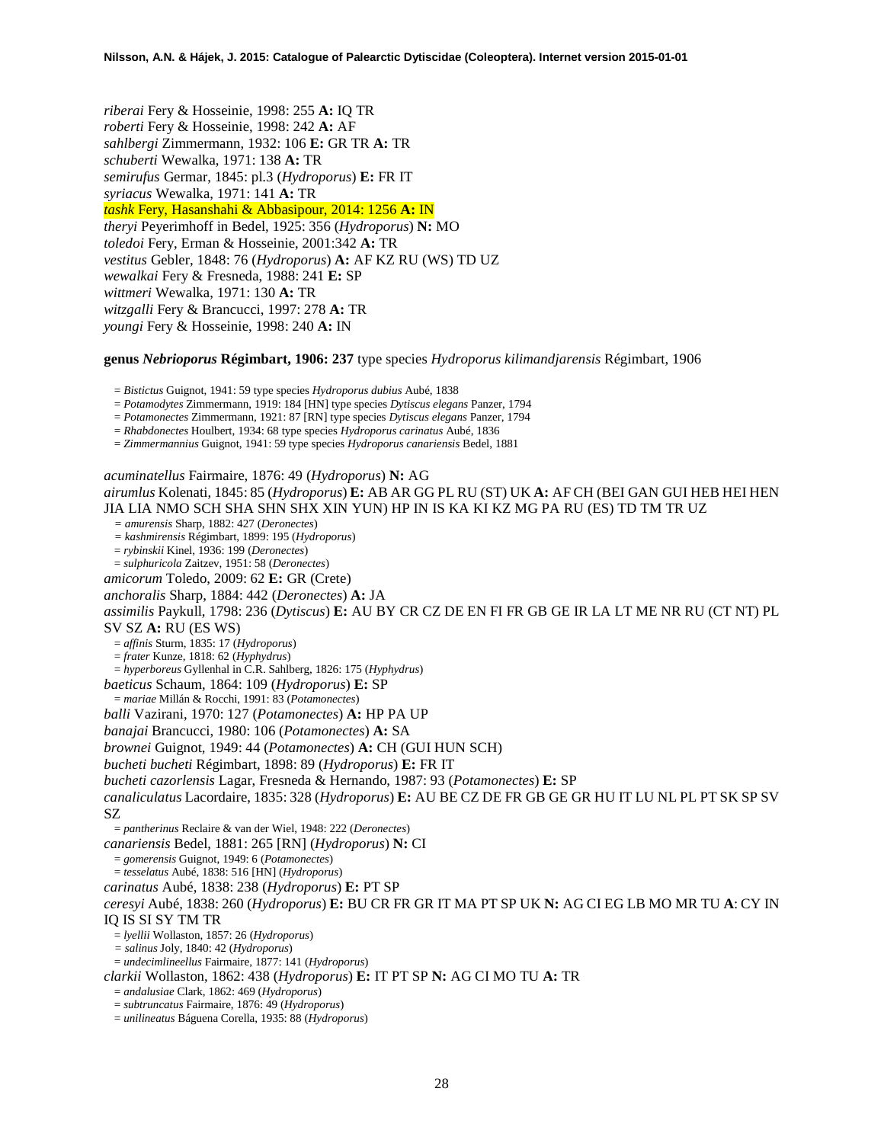*riberai* Fery & Hosseinie, 1998: 255 **A:** IQ TR *roberti* Fery & Hosseinie, 1998: 242 **A:** AF *sahlbergi* Zimmermann, 1932: 106 **E:** GR TR **A:** TR *schuberti* Wewalka, 1971: 138 **A:** TR *semirufus* Germar, 1845: pl.3 (*Hydroporus*) **E:** FR IT *syriacus* Wewalka, 1971: 141 **A:** TR *tashk* Fery, Hasanshahi & Abbasipour, 2014: 1256 **A:** IN *theryi* Peyerimhoff in Bedel, 1925: 356 (*Hydroporus*) **N:** MO *toledoi* Fery, Erman & Hosseinie, 2001:342 **A:** TR *vestitus* Gebler, 1848: 76 (*Hydroporus*) **A:** AF KZ RU (WS) TD UZ *wewalkai* Fery & Fresneda, 1988: 241 **E:** SP *wittmeri* Wewalka, 1971: 130 **A:** TR *witzgalli* Fery & Brancucci, 1997: 278 **A:** TR *youngi* Fery & Hosseinie, 1998: 240 **A:** IN

### **genus** *Nebrioporus* **Régimbart, 1906: 237** type species *Hydroporus kilimandjarensis* Régimbart, 1906

= *Bistictus* Guignot, 1941: 59 type species *Hydroporus dubius* Aubé, 1838

= *Potamodytes* Zimmermann, 1919: 184 [HN] type species *Dytiscus elegans* Panzer, 1794

= *Potamonectes* Zimmermann, 1921: 87 [RN] type species *Dytiscus elegans* Panzer, 1794

= *Rhabdonectes* Houlbert, 1934: 68 type species *Hydroporus carinatus* Aubé, 1836

= *Zimmermannius* Guignot, 1941: 59 type species *Hydroporus canariensis* Bedel, 1881

*acuminatellus* Fairmaire, 1876: 49 (*Hydroporus*) **N:** AG *airumlus* Kolenati, 1845: 85 (*Hydroporus*) **E:** AB AR GG PL RU (ST) UK **A:** AF CH (BEI GAN GUI HEB HEI HEN JIA LIA NMO SCH SHA SHN SHX XIN YUN) HP IN IS KA KI KZ MG PA RU (ES) TD TM TR UZ *= amurensis* Sharp, 1882: 427 (*Deronectes*) *= kashmirensis* Régimbart, 1899: 195 (*Hydroporus*) = *rybinskii* Kinel, 1936: 199 (*Deronectes*) = *sulphuricola* Zaitzev, 1951: 58 (*Deronectes*) *amicorum* Toledo, 2009: 62 **E:** GR (Crete) *anchoralis* Sharp, 1884: 442 (*Deronectes*) **A:** JA *assimilis* Paykull, 1798: 236 (*Dytiscus*) **E:** AU BY CR CZ DE EN FI FR GB GE IR LA LT ME NR RU (CT NT) PL SV SZ **A:** RU (ES WS) = *affinis* Sturm, 1835: 17 (*Hydroporus*) = *frater* Kunze, 1818: 62 (*Hyphydrus*) = *hyperboreus* Gyllenhal in C.R. Sahlberg, 1826: 175 (*Hyphydrus*) *baeticus* Schaum, 1864: 109 (*Hydroporus*) **E:** SP = *mariae* Millán & Rocchi, 1991: 83 (*Potamonectes*) *balli* Vazirani, 1970: 127 (*Potamonectes*) **A:** HP PA UP *banajai* Brancucci, 1980: 106 (*Potamonectes*) **A:** SA *brownei* Guignot, 1949: 44 (*Potamonectes*) **A:** CH (GUI HUN SCH) *bucheti bucheti* Régimbart, 1898: 89 (*Hydroporus*) **E:** FR IT *bucheti cazorlensis* Lagar, Fresneda & Hernando, 1987: 93 (*Potamonectes*) **E:** SP *canaliculatus* Lacordaire, 1835: 328 (*Hydroporus*) **E:** AU BE CZ DE FR GB GE GR HU IT LU NL PL PT SK SP SV SZ = *pantherinus* Reclaire & van der Wiel, 1948: 222 (*Deronectes*) *canariensis* Bedel, 1881: 265 [RN] (*Hydroporus*) **N:** CI = *gomerensis* Guignot, 1949: 6 (*Potamonectes*) = *tesselatus* Aubé, 1838: 516 [HN] (*Hydroporus*) *carinatus* Aubé, 1838: 238 (*Hydroporus*) **E:** PT SP *ceresyi* Aubé, 1838: 260 (*Hydroporus*) **E:** BU CR FR GR IT MA PT SP UK **N:** AG CI EG LB MO MR TU **A**: CY IN IQ IS SI SY TM TR = *lyellii* Wollaston, 1857: 26 (*Hydroporus*) *= salinus* Joly, 1840: 42 (*Hydroporus*) = *undecimlineellus* Fairmaire, 1877: 141 (*Hydroporus*) *clarkii* Wollaston, 1862: 438 (*Hydroporus*) **E:** IT PT SP **N:** AG CI MO TU **A:** TR = *andalusiae* Clark, 1862: 469 (*Hydroporus*) = *subtruncatus* Fairmaire, 1876: 49 (*Hydroporus*)

= *unilineatus* Báguena Corella, 1935: 88 (*Hydroporus*)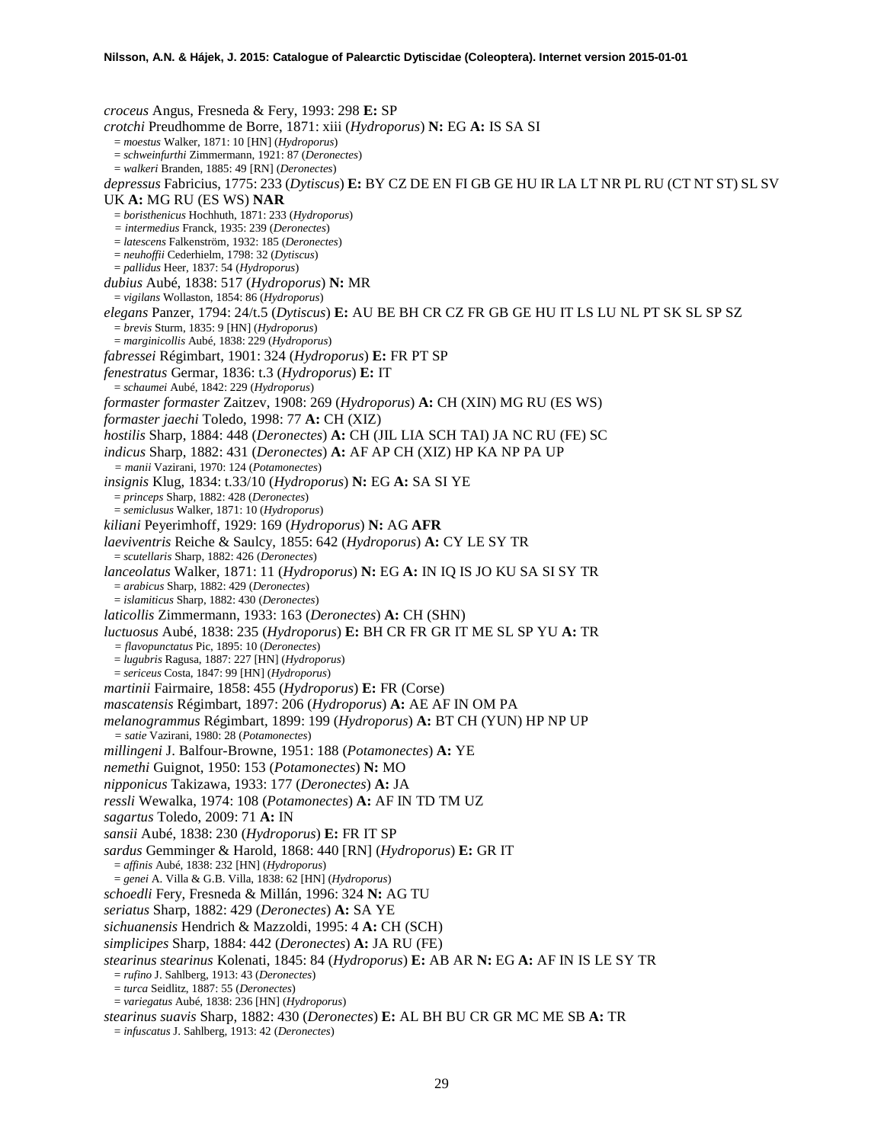*croceus* Angus, Fresneda & Fery, 1993: 298 **E:** SP *crotchi* Preudhomme de Borre, 1871: xiii (*Hydroporus*) **N:** EG **A:** IS SA SI = *moestus* Walker, 1871: 10 [HN] (*Hydroporus*) = *schweinfurthi* Zimmermann, 1921: 87 (*Deronectes*) = *walkeri* Branden, 1885: 49 [RN] (*Deronectes*) *depressus* Fabricius, 1775: 233 (*Dytiscus*) **E:** BY CZ DE EN FI GB GE HU IR LA LT NR PL RU (CT NT ST) SL SV UK **A:** MG RU (ES WS) **NAR** = *boristhenicus* Hochhuth, 1871: 233 (*Hydroporus*) *= intermedius* Franck, 1935: 239 (*Deronectes*) = *latescens* Falkenström, 1932: 185 (*Deronectes*) = *neuhoffii* Cederhielm, 1798: 32 (*Dytiscus*) = *pallidus* Heer, 1837: 54 (*Hydroporus*) *dubius* Aubé, 1838: 517 (*Hydroporus*) **N:** MR = *vigilans* Wollaston, 1854: 86 (*Hydroporus*) *elegans* Panzer, 1794: 24/t.5 (*Dytiscus*) **E:** AU BE BH CR CZ FR GB GE HU IT LS LU NL PT SK SL SP SZ = *brevis* Sturm, 1835: 9 [HN] (*Hydroporus*) = *marginicollis* Aubé, 1838: 229 (*Hydroporus*) *fabressei* Régimbart, 1901: 324 (*Hydroporus*) **E:** FR PT SP *fenestratus* Germar, 1836: t.3 (*Hydroporus*) **E:** IT = *schaumei* Aubé, 1842: 229 (*Hydroporus*) *formaster formaster* Zaitzev, 1908: 269 (*Hydroporus*) **A:** CH (XIN) MG RU (ES WS) *formaster jaechi* Toledo, 1998: 77 **A:** CH (XIZ) *hostilis* Sharp, 1884: 448 (*Deronectes*) **A:** CH (JIL LIA SCH TAI) JA NC RU (FE) SC *indicus* Sharp, 1882: 431 (*Deronectes*) **A:** AF AP CH (XIZ) HP KA NP PA UP *= manii* Vazirani, 1970: 124 (*Potamonectes*) *insignis* Klug, 1834: t.33/10 (*Hydroporus*) **N:** EG **A:** SA SI YE = *princeps* Sharp, 1882: 428 (*Deronectes*) = *semiclusus* Walker, 1871: 10 (*Hydroporus*) *kiliani* Peyerimhoff, 1929: 169 (*Hydroporus*) **N:** AG **AFR** *laeviventris* Reiche & Saulcy, 1855: 642 (*Hydroporus*) **A:** CY LE SY TR = *scutellaris* Sharp, 1882: 426 (*Deronectes*) *lanceolatus* Walker, 1871: 11 (*Hydroporus*) **N:** EG **A:** IN IQ IS JO KU SA SI SY TR = *arabicus* Sharp, 1882: 429 (*Deronectes*) = *islamiticus* Sharp, 1882: 430 (*Deronectes*) *laticollis* Zimmermann, 1933: 163 (*Deronectes*) **A:** CH (SHN) *luctuosus* Aubé, 1838: 235 (*Hydroporus*) **E:** BH CR FR GR IT ME SL SP YU **A:** TR *= flavopunctatus* Pic, 1895: 10 (*Deronectes*) = *lugubris* Ragusa, 1887: 227 [HN] (*Hydroporus*) = *sericeus* Costa, 1847: 99 [HN] (*Hydroporus*) *martinii* Fairmaire, 1858: 455 (*Hydroporus*) **E:** FR (Corse) *mascatensis* Régimbart, 1897: 206 (*Hydroporus*) **A:** AE AF IN OM PA *melanogrammus* Régimbart, 1899: 199 (*Hydroporus*) **A:** BT CH (YUN) HP NP UP *= satie* Vazirani, 1980: 28 (*Potamonectes*) *millingeni* J. Balfour-Browne, 1951: 188 (*Potamonectes*) **A:** YE *nemethi* Guignot, 1950: 153 (*Potamonectes*) **N:** MO *nipponicus* Takizawa, 1933: 177 (*Deronectes*) **A:** JA *ressli* Wewalka, 1974: 108 (*Potamonectes*) **A:** AF IN TD TM UZ *sagartus* Toledo, 2009: 71 **A:** IN *sansii* Aubé, 1838: 230 (*Hydroporus*) **E:** FR IT SP *sardus* Gemminger & Harold, 1868: 440 [RN] (*Hydroporus*) **E:** GR IT = *affinis* Aubé, 1838: 232 [HN] (*Hydroporus*) = *genei* A. Villa & G.B. Villa, 1838: 62 [HN] (*Hydroporus*) *schoedli* Fery, Fresneda & Millán, 1996: 324 **N:** AG TU *seriatus* Sharp, 1882: 429 (*Deronectes*) **A:** SA YE *sichuanensis* Hendrich & Mazzoldi, 1995: 4 **A:** CH (SCH) *simplicipes* Sharp, 1884: 442 (*Deronectes*) **A:** JA RU (FE) *stearinus stearinus* Kolenati, 1845: 84 (*Hydroporus*) **E:** AB AR **N:** EG **A:** AF IN IS LE SY TR = *rufino* J. Sahlberg, 1913: 43 (*Deronectes*) = *turca* Seidlitz, 1887: 55 (*Deronectes*) = *variegatus* Aubé, 1838: 236 [HN] (*Hydroporus*) *stearinus suavis* Sharp, 1882: 430 (*Deronectes*) **E:** AL BH BU CR GR MC ME SB **A:** TR = *infuscatus* J. Sahlberg, 1913: 42 (*Deronectes*)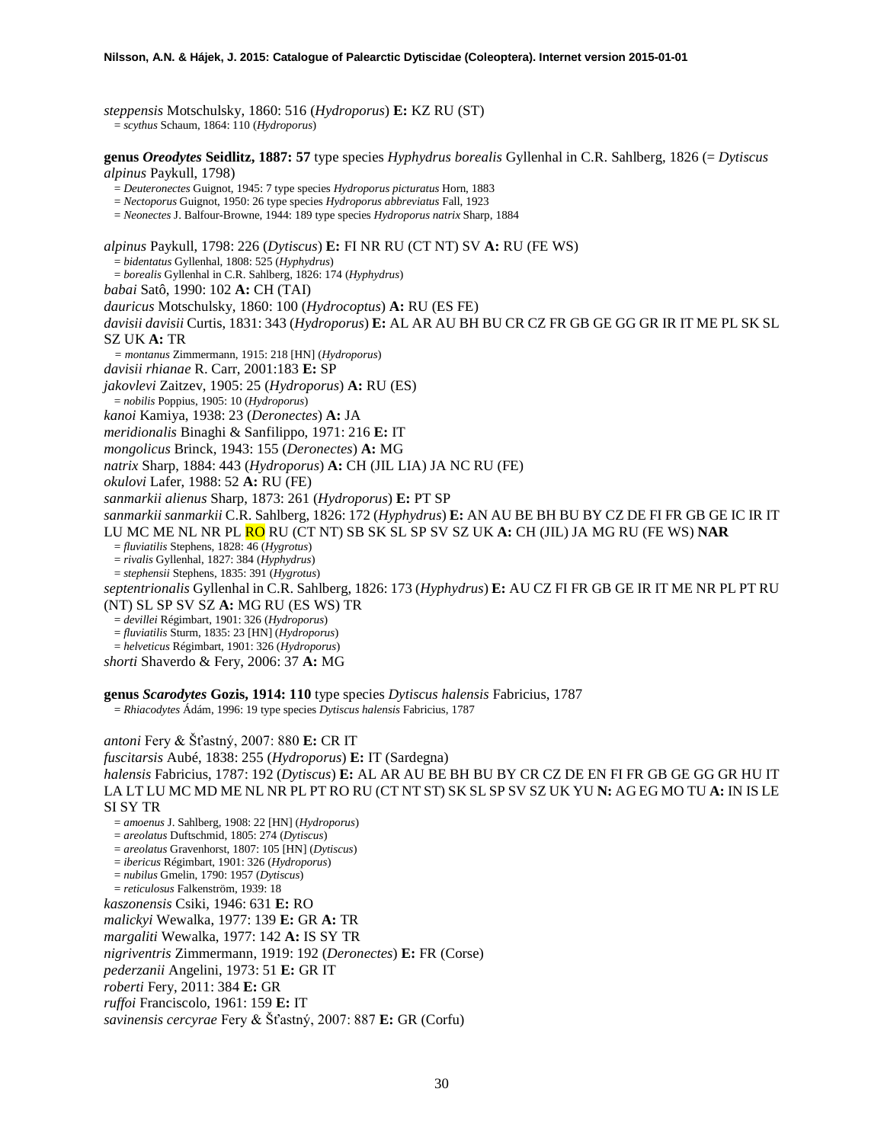*steppensis* Motschulsky, 1860: 516 (*Hydroporus*) **E:** KZ RU (ST) = *scythus* Schaum, 1864: 110 (*Hydroporus*)

**genus** *Oreodytes* **Seidlitz, 1887: 57** type species *Hyphydrus borealis* Gyllenhal in C.R. Sahlberg, 1826 (= *Dytiscus alpinus* Paykull, 1798)

= *Deuteronectes* Guignot, 1945: 7 type species *Hydroporus picturatus* Horn, 1883

= *Nectoporus* Guignot, 1950: 26 type species *Hydroporus abbreviatus* Fall, 1923

= *Neonectes* J. Balfour-Browne, 1944: 189 type species *Hydroporus natrix* Sharp, 1884

*alpinus* Paykull, 1798: 226 (*Dytiscus*) **E:** FI NR RU (CT NT) SV **A:** RU (FE WS) = *bidentatus* Gyllenhal, 1808: 525 (*Hyphydrus*) = *borealis* Gyllenhal in C.R. Sahlberg, 1826: 174 (*Hyphydrus*) *babai* Satô, 1990: 102 **A:** CH (TAI) *dauricus* Motschulsky, 1860: 100 (*Hydrocoptus*) **A:** RU (ES FE) *davisii davisii* Curtis, 1831: 343 (*Hydroporus*) **E:** AL AR AU BH BU CR CZ FR GB GE GG GR IR IT ME PL SK SL SZ UK **A:** TR *= montanus* Zimmermann, 1915: 218 [HN] (*Hydroporus*) *davisii rhianae* R. Carr, 2001:183 **E:** SP *jakovlevi* Zaitzev, 1905: 25 (*Hydroporus*) **A:** RU (ES) = *nobilis* Poppius, 1905: 10 (*Hydroporus*) *kanoi* Kamiya, 1938: 23 (*Deronectes*) **A:** JA *meridionalis* Binaghi & Sanfilippo, 1971: 216 **E:** IT *mongolicus* Brinck, 1943: 155 (*Deronectes*) **A:** MG *natrix* Sharp, 1884: 443 (*Hydroporus*) **A:** CH (JIL LIA) JA NC RU (FE) *okulovi* Lafer, 1988: 52 **A:** RU (FE) *sanmarkii alienus* Sharp, 1873: 261 (*Hydroporus*) **E:** PT SP *sanmarkii sanmarkii* C.R. Sahlberg, 1826: 172 (*Hyphydrus*) **E:** AN AU BE BH BU BY CZ DE FI FR GB GE IC IR IT LU MC ME NL NR PL RO RU (CT NT) SB SK SL SP SV SZ UK **A:** CH (JIL) JA MG RU (FE WS) **NAR** = *fluviatilis* Stephens, 1828: 46 (*Hygrotus*) = *rivalis* Gyllenhal, 1827: 384 (*Hyphydrus*) = *stephensii* Stephens, 1835: 391 (*Hygrotus*) *septentrionalis* Gyllenhal in C.R. Sahlberg, 1826: 173 (*Hyphydrus*) **E:** AU CZ FI FR GB GE IR IT ME NR PL PT RU (NT) SL SP SV SZ **A:** MG RU (ES WS) TR = *devillei* Régimbart, 1901: 326 (*Hydroporus*) = *fluviatilis* Sturm, 1835: 23 [HN] (*Hydroporus*)

= *helveticus* Régimbart, 1901: 326 (*Hydroporus*)

*shorti* Shaverdo & Fery, 2006: 37 **A:** MG

**genus** *Scarodytes* **Gozis, 1914: 110** type species *Dytiscus halensis* Fabricius, 1787

= *Rhiacodytes* Ádám, 1996: 19 type species *Dytiscus halensis* Fabricius, 1787

*antoni* Fery & Šťastný, 2007: 880 **E:** CR IT

*fuscitarsis* Aubé, 1838: 255 (*Hydroporus*) **E:** IT (Sardegna)

*halensis* Fabricius, 1787: 192 (*Dytiscus*) **E:** AL AR AU BE BH BU BY CR CZ DE EN FI FR GB GE GG GR HU IT LA LT LU MC MD ME NL NR PL PT RO RU (CT NT ST) SK SL SP SV SZ UK YU **N:** AG EG MO TU **A:** IN IS LE SI SY TR

= *amoenus* J. Sahlberg, 1908: 22 [HN] (*Hydroporus*)

= *areolatus* Duftschmid, 1805: 274 (*Dytiscus*)

= *areolatus* Gravenhorst, 1807: 105 [HN] (*Dytiscus*)

= *ibericus* Régimbart, 1901: 326 (*Hydroporus*)

= *nubilus* Gmelin, 1790: 1957 (*Dytiscus*)

= *reticulosus* Falkenström, 1939: 18

*kaszonensis* Csiki, 1946: 631 **E:** RO

*malickyi* Wewalka, 1977: 139 **E:** GR **A:** TR

*margaliti* Wewalka, 1977: 142 **A:** IS SY TR

*nigriventris* Zimmermann, 1919: 192 (*Deronectes*) **E:** FR (Corse)

*pederzanii* Angelini, 1973: 51 **E:** GR IT

*roberti* Fery, 2011: 384 **E:** GR

*ruffoi* Franciscolo, 1961: 159 **E:** IT

*savinensis cercyrae* Fery & Šťastný, 2007: 887 **E:** GR (Corfu)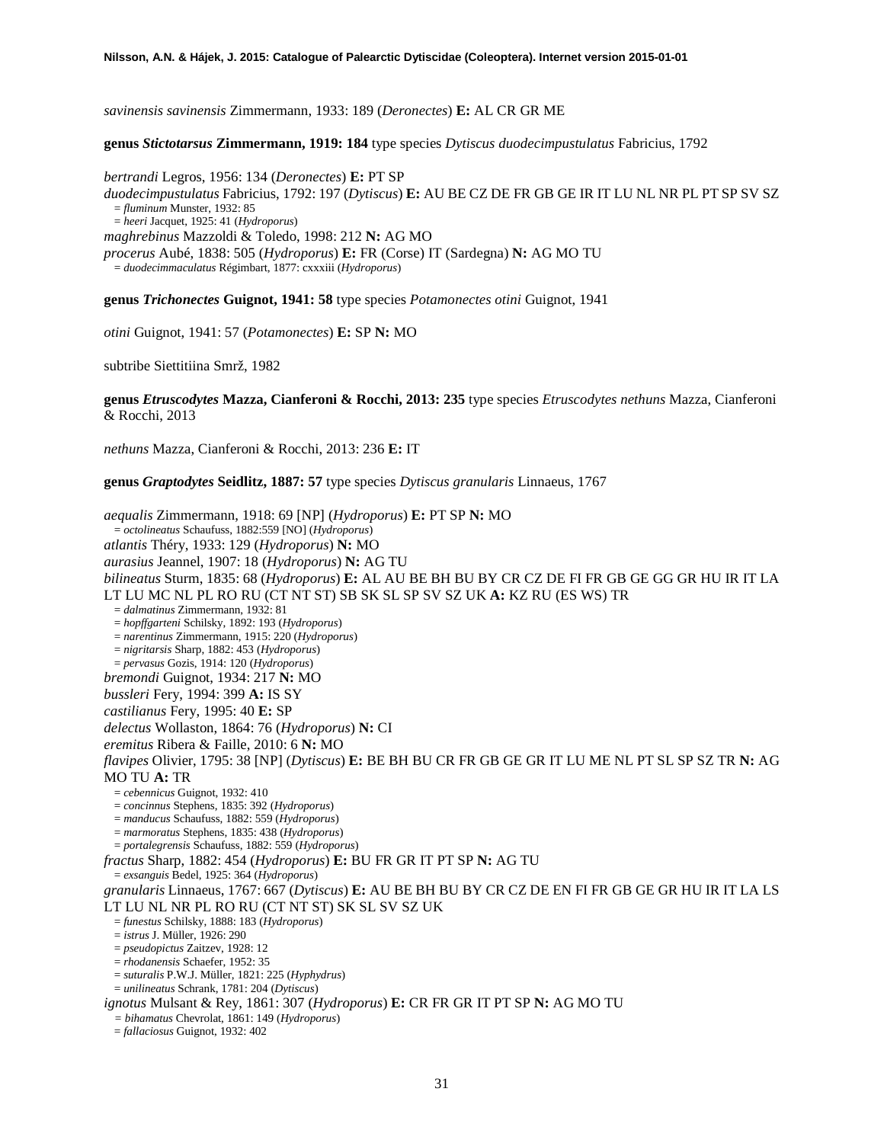*savinensis savinensis* Zimmermann, 1933: 189 (*Deronectes*) **E:** AL CR GR ME

**genus** *Stictotarsus* **Zimmermann, 1919: 184** type species *Dytiscus duodecimpustulatus* Fabricius, 1792

*bertrandi* Legros, 1956: 134 (*Deronectes*) **E:** PT SP *duodecimpustulatus* Fabricius, 1792: 197 (*Dytiscus*) **E:** AU BE CZ DE FR GB GE IR IT LU NL NR PL PT SP SV SZ = *fluminum* Munster, 1932: 85 = *heeri* Jacquet, 1925: 41 (*Hydroporus*) *maghrebinus* Mazzoldi & Toledo, 1998: 212 **N:** AG MO *procerus* Aubé, 1838: 505 (*Hydroporus*) **E:** FR (Corse) IT (Sardegna) **N:** AG MO TU = *duodecimmaculatus* Régimbart, 1877: cxxxiii (*Hydroporus*)

**genus** *Trichonectes* **Guignot, 1941: 58** type species *Potamonectes otini* Guignot, 1941

*otini* Guignot, 1941: 57 (*Potamonectes*) **E:** SP **N:** MO

subtribe Siettitiina Smrž, 1982

**genus** *Etruscodytes* **Mazza, Cianferoni & Rocchi, 2013: 235** type species *Etruscodytes nethuns* Mazza, Cianferoni & Rocchi, 2013

*nethuns* Mazza, Cianferoni & Rocchi, 2013: 236 **E:** IT

**genus** *Graptodytes* **Seidlitz, 1887: 57** type species *Dytiscus granularis* Linnaeus, 1767

*aequalis* Zimmermann, 1918: 69 [NP] (*Hydroporus*) **E:** PT SP **N:** MO = *octolineatus* Schaufuss, 1882:559 [NO] (*Hydroporus*) *atlantis* Théry, 1933: 129 (*Hydroporus*) **N:** MO *aurasius* Jeannel, 1907: 18 (*Hydroporus*) **N:** AG TU *bilineatus* Sturm, 1835: 68 (*Hydroporus*) **E:** AL AU BE BH BU BY CR CZ DE FI FR GB GE GG GR HU IR IT LA LT LU MC NL PL RO RU (CT NT ST) SB SK SL SP SV SZ UK **A:** KZ RU (ES WS) TR = *dalmatinus* Zimmermann, 1932: 81 = *hopffgarteni* Schilsky, 1892: 193 (*Hydroporus*) = *narentinus* Zimmermann, 1915: 220 (*Hydroporus*) = *nigritarsis* Sharp, 1882: 453 (*Hydroporus*) = *pervasus* Gozis, 1914: 120 (*Hydroporus*) *bremondi* Guignot, 1934: 217 **N:** MO *bussleri* Fery, 1994: 399 **A:** IS SY *castilianus* Fery, 1995: 40 **E:** SP *delectus* Wollaston, 1864: 76 (*Hydroporus*) **N:** CI *eremitus* Ribera & Faille, 2010: 6 **N:** MO *flavipes* Olivier, 1795: 38 [NP] (*Dytiscus*) **E:** BE BH BU CR FR GB GE GR IT LU ME NL PT SL SP SZ TR **N:** AG MO TU **A:** TR = *cebennicus* Guignot, 1932: 410 = *concinnus* Stephens, 1835: 392 (*Hydroporus*) = *manducus* Schaufuss, 1882: 559 (*Hydroporus*) = *marmoratus* Stephens, 1835: 438 (*Hydroporus*) = *portalegrensis* Schaufuss, 1882: 559 (*Hydroporus*) *fractus* Sharp, 1882: 454 (*Hydroporus*) **E:** BU FR GR IT PT SP **N:** AG TU = *exsanguis* Bedel, 1925: 364 (*Hydroporus*) *granularis* Linnaeus, 1767: 667 (*Dytiscus*) **E:** AU BE BH BU BY CR CZ DE EN FI FR GB GE GR HU IR IT LA LS LT LU NL NR PL RO RU (CT NT ST) SK SL SV SZ UK = *funestus* Schilsky, 1888: 183 (*Hydroporus*) = *istrus* J. Müller, 1926: 290 = *pseudopictus* Zaitzev, 1928: 12 = *rhodanensis* Schaefer, 1952: 35 = *suturalis* P.W.J. Müller, 1821: 225 (*Hyphydrus*) = *unilineatus* Schrank, 1781: 204 (*Dytiscus*) *ignotus* Mulsant & Rey, 1861: 307 (*Hydroporus*) **E:** CR FR GR IT PT SP **N:** AG MO TU *= bihamatus* Chevrolat, 1861: 149 (*Hydroporus*) = *fallaciosus* Guignot, 1932: 402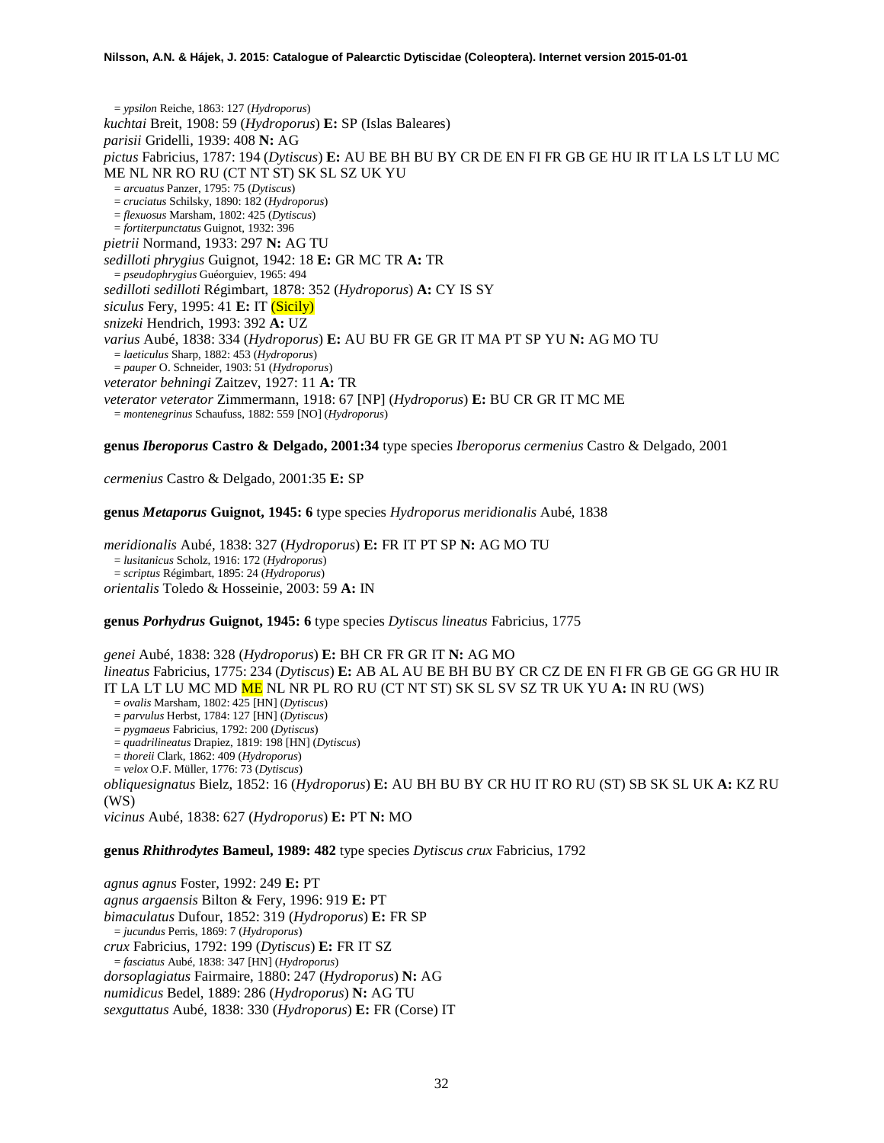= *ypsilon* Reiche, 1863: 127 (*Hydroporus*) *kuchtai* Breit, 1908: 59 (*Hydroporus*) **E:** SP (Islas Baleares) *parisii* Gridelli, 1939: 408 **N:** AG *pictus* Fabricius, 1787: 194 (*Dytiscus*) **E:** AU BE BH BU BY CR DE EN FI FR GB GE HU IR IT LA LS LT LU MC ME NL NR RO RU (CT NT ST) SK SL SZ UK YU = *arcuatus* Panzer, 1795: 75 (*Dytiscus*) = *cruciatus* Schilsky, 1890: 182 (*Hydroporus*) = *flexuosus* Marsham, 1802: 425 (*Dytiscus*) = *fortiterpunctatus* Guignot, 1932: 396 *pietrii* Normand, 1933: 297 **N:** AG TU *sedilloti phrygius* Guignot, 1942: 18 **E:** GR MC TR **A:** TR = *pseudophrygius* Guéorguiev, 1965: 494 *sedilloti sedilloti* Régimbart, 1878: 352 (*Hydroporus*) **A:** CY IS SY *siculus* Fery, 1995: 41 **E:** IT (Sicily) *snizeki* Hendrich, 1993: 392 **A:** UZ *varius* Aubé, 1838: 334 (*Hydroporus*) **E:** AU BU FR GE GR IT MA PT SP YU **N:** AG MO TU = *laeticulus* Sharp, 1882: 453 (*Hydroporus*) = *pauper* O. Schneider, 1903: 51 (*Hydroporus*) *veterator behningi* Zaitzev, 1927: 11 **A:** TR *veterator veterator* Zimmermann, 1918: 67 [NP] (*Hydroporus*) **E:** BU CR GR IT MC ME = *montenegrinus* Schaufuss, 1882: 559 [NO] (*Hydroporus*)

**genus** *Iberoporus* **Castro & Delgado, 2001:34** type species *Iberoporus cermenius* Castro & Delgado, 2001

*cermenius* Castro & Delgado, 2001:35 **E:** SP

**genus** *Metaporus* **Guignot, 1945: 6** type species *Hydroporus meridionalis* Aubé, 1838

*meridionalis* Aubé, 1838: 327 (*Hydroporus*) **E:** FR IT PT SP **N:** AG MO TU = *lusitanicus* Scholz, 1916: 172 (*Hydroporus*) = *scriptus* Régimbart, 1895: 24 (*Hydroporus*) *orientalis* Toledo & Hosseinie, 2003: 59 **A:** IN

**genus** *Porhydrus* **Guignot, 1945: 6** type species *Dytiscus lineatus* Fabricius, 1775

*genei* Aubé, 1838: 328 (*Hydroporus*) **E:** BH CR FR GR IT **N:** AG MO *lineatus* Fabricius, 1775: 234 (*Dytiscus*) **E:** AB AL AU BE BH BU BY CR CZ DE EN FI FR GB GE GG GR HU IR IT LA LT LU MC MD ME NL NR PL RO RU (CT NT ST) SK SL SV SZ TR UK YU **A:** IN RU (WS) = *ovalis* Marsham, 1802: 425 [HN] (*Dytiscus*)

= *parvulus* Herbst, 1784: 127 [HN] (*Dytiscus*)

= *pygmaeus* Fabricius, 1792: 200 (*Dytiscus*)

= *quadrilineatus* Drapiez, 1819: 198 [HN] (*Dytiscus*)

= *thoreii* Clark, 1862: 409 (*Hydroporus*)

= *velox* O.F. Müller, 1776: 73 (*Dytiscus*)

*obliquesignatus* Bielz, 1852: 16 (*Hydroporus*) **E:** AU BH BU BY CR HU IT RO RU (ST) SB SK SL UK **A:** KZ RU (WS)

*vicinus* Aubé, 1838: 627 (*Hydroporus*) **E:** PT **N:** MO

## **genus** *Rhithrodytes* **Bameul, 1989: 482** type species *Dytiscus crux* Fabricius, 1792

*agnus agnus* Foster, 1992: 249 **E:** PT *agnus argaensis* Bilton & Fery, 1996: 919 **E:** PT *bimaculatus* Dufour, 1852: 319 (*Hydroporus*) **E:** FR SP = *jucundus* Perris, 1869: 7 (*Hydroporus*) *crux* Fabricius, 1792: 199 (*Dytiscus*) **E:** FR IT SZ = *fasciatus* Aubé, 1838: 347 [HN] (*Hydroporus*) *dorsoplagiatus* Fairmaire, 1880: 247 (*Hydroporus*) **N:** AG *numidicus* Bedel, 1889: 286 (*Hydroporus*) **N:** AG TU *sexguttatus* Aubé, 1838: 330 (*Hydroporus*) **E:** FR (Corse) IT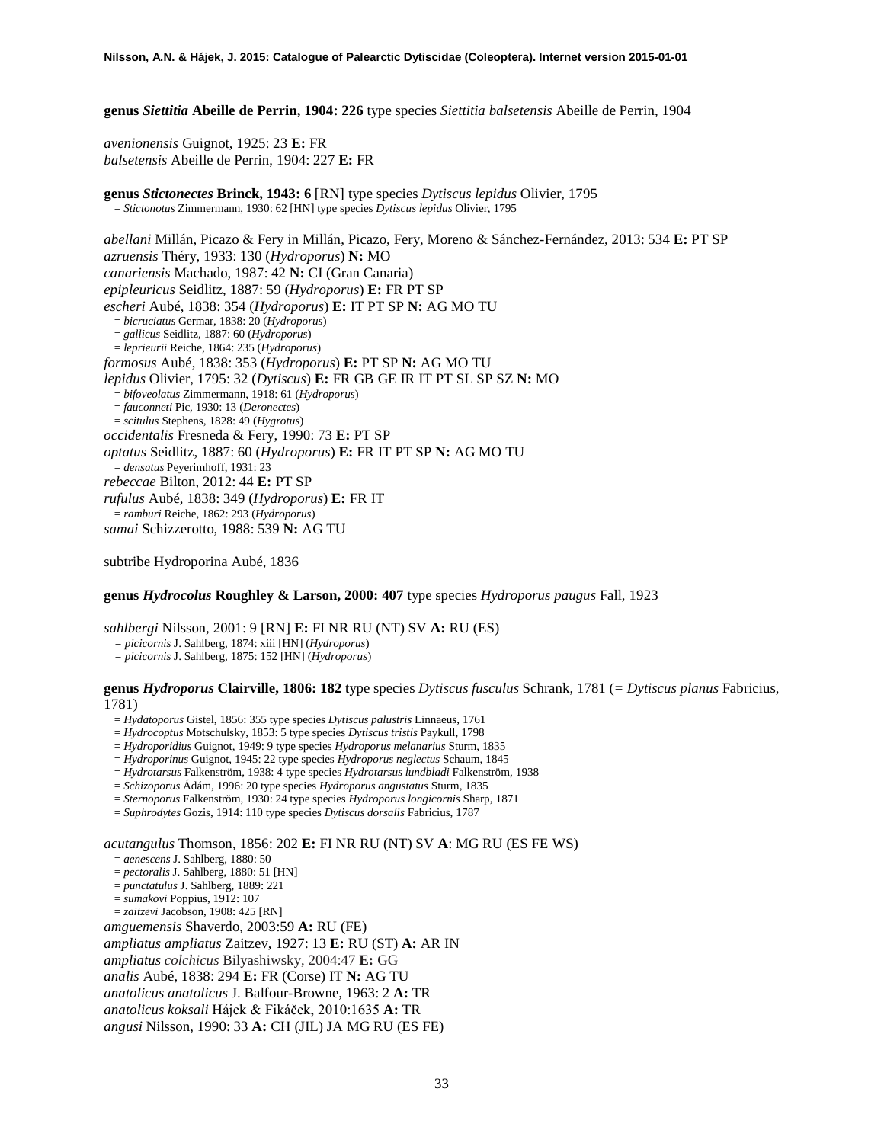**genus** *Siettitia* **Abeille de Perrin, 1904: 226** type species *Siettitia balsetensis* Abeille de Perrin, 1904

*avenionensis* Guignot, 1925: 23 **E:** FR *balsetensis* Abeille de Perrin, 1904: 227 **E:** FR

**genus** *Stictonectes* **Brinck, 1943: 6** [RN] type species *Dytiscus lepidus* Olivier, 1795 = *Stictonotus* Zimmermann, 1930: 62 [HN] type species *Dytiscus lepidus* Olivier, 1795

*abellani* Millán, Picazo & Fery in Millán, Picazo, Fery, Moreno & Sánchez-Fernández, 2013: 534 **E:** PT SP *azruensis* Théry, 1933: 130 (*Hydroporus*) **N:** MO *canariensis* Machado, 1987: 42 **N:** CI (Gran Canaria) *epipleuricus* Seidlitz, 1887: 59 (*Hydroporus*) **E:** FR PT SP *escheri* Aubé, 1838: 354 (*Hydroporus*) **E:** IT PT SP **N:** AG MO TU = *bicruciatus* Germar, 1838: 20 (*Hydroporus*) = *gallicus* Seidlitz, 1887: 60 (*Hydroporus*) = *leprieurii* Reiche, 1864: 235 (*Hydroporus*) *formosus* Aubé, 1838: 353 (*Hydroporus*) **E:** PT SP **N:** AG MO TU *lepidus* Olivier, 1795: 32 (*Dytiscus*) **E:** FR GB GE IR IT PT SL SP SZ **N:** MO = *bifoveolatus* Zimmermann, 1918: 61 (*Hydroporus*) = *fauconneti* Pic, 1930: 13 (*Deronectes*) = *scitulus* Stephens, 1828: 49 (*Hygrotus*) *occidentalis* Fresneda & Fery, 1990: 73 **E:** PT SP *optatus* Seidlitz, 1887: 60 (*Hydroporus*) **E:** FR IT PT SP **N:** AG MO TU = *densatus* Peyerimhoff, 1931: 23 *rebeccae* Bilton, 2012: 44 **E:** PT SP *rufulus* Aubé, 1838: 349 (*Hydroporus*) **E:** FR IT = *ramburi* Reiche, 1862: 293 (*Hydroporus*) *samai* Schizzerotto, 1988: 539 **N:** AG TU

subtribe Hydroporina Aubé, 1836

## **genus** *Hydrocolus* **Roughley & Larson, 2000: 407** type species *Hydroporus paugus* Fall, 1923

*sahlbergi* Nilsson, 2001: 9 [RN] **E:** FI NR RU (NT) SV **A:** RU (ES)

*= picicornis* J. Sahlberg, 1874: xiii [HN] (*Hydroporus*)

*= picicornis* J. Sahlberg, 1875: 152 [HN] (*Hydroporus*)

**genus** *Hydroporus* **Clairville, 1806: 182** type species *Dytiscus fusculus* Schrank, 1781 (*= Dytiscus planus* Fabricius, 1781)

= *Hydatoporus* Gistel, 1856: 355 type species *Dytiscus palustris* Linnaeus, 1761

= *Hydrocoptus* Motschulsky, 1853: 5 type species *Dytiscus tristis* Paykull, 1798

= *Hydroporidius* Guignot, 1949: 9 type species *Hydroporus melanarius* Sturm, 1835

= *Hydroporinus* Guignot, 1945: 22 type species *Hydroporus neglectus* Schaum, 1845

= *Hydrotarsus* Falkenström, 1938: 4 type species *Hydrotarsus lundbladi* Falkenström, 1938

= *Schizoporus* Ádám, 1996: 20 type species *Hydroporus angustatus* Sturm, 1835

= *Sternoporus* Falkenström, 1930: 24 type species *Hydroporus longicornis* Sharp, 1871

= *Suphrodytes* Gozis, 1914: 110 type species *Dytiscus dorsalis* Fabricius, 1787

*acutangulus* Thomson, 1856: 202 **E:** FI NR RU (NT) SV **A**: MG RU (ES FE WS)

= *aenescens* J. Sahlberg, 1880: 50

= *pectoralis* J. Sahlberg, 1880: 51 [HN]

- = *punctatulus* J. Sahlberg, 1889: 221
- = *sumakovi* Poppius, 1912: 107 = *zaitzevi* Jacobson, 1908: 425 [RN]
- 

*amguemensis* Shaverdo, 2003:59 **A:** RU (FE) *ampliatus ampliatus* Zaitzev, 1927: 13 **E:** RU (ST) **A:** AR IN *ampliatus colchicus* Bilyashiwsky, 2004:47 **E:** GG *analis* Aubé, 1838: 294 **E:** FR (Corse) IT **N:** AG TU *anatolicus anatolicus* J. Balfour-Browne, 1963: 2 **A:** TR *anatolicus koksali* Hájek & Fikáček, 2010:1635 **A:** TR *angusi* Nilsson, 1990: 33 **A:** CH (JIL) JA MG RU (ES FE)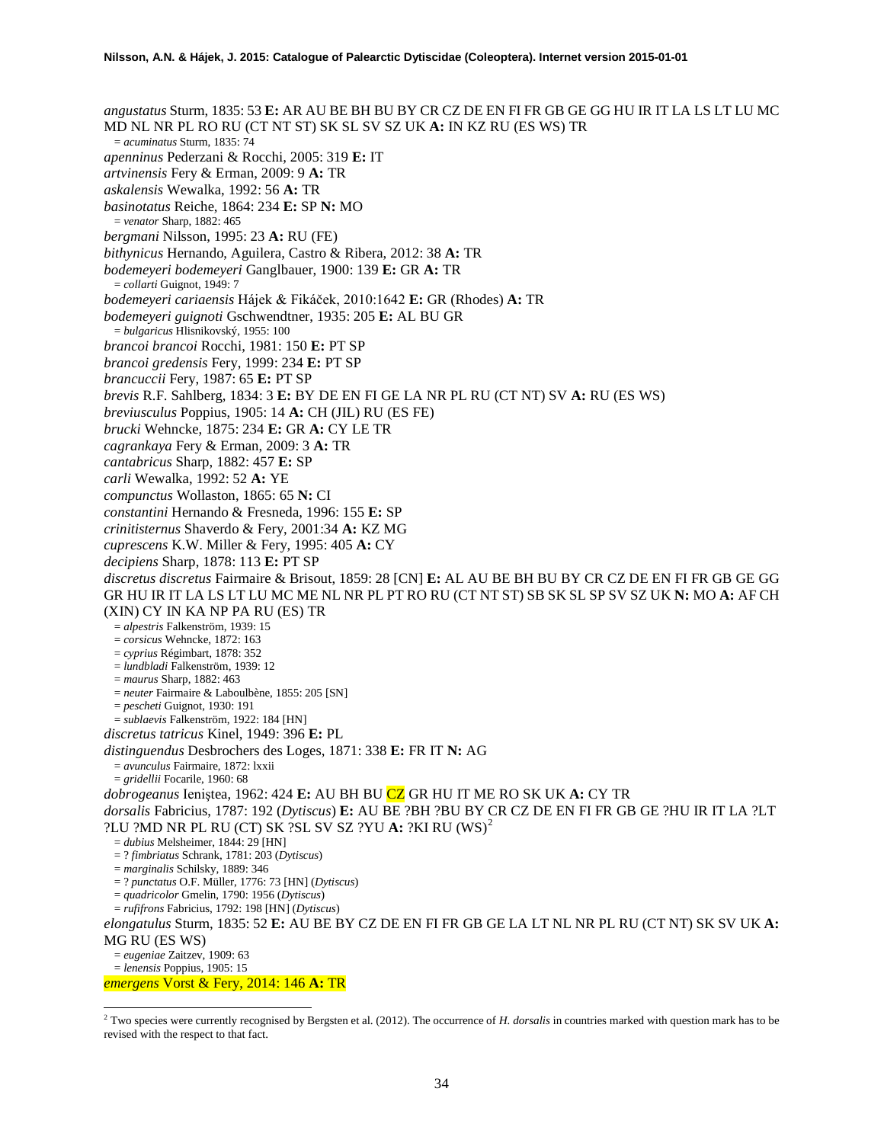*angustatus* Sturm, 1835: 53 **E:** AR AU BE BH BU BY CR CZ DE EN FI FR GB GE GG HU IR IT LA LS LT LU MC MD NL NR PL RO RU (CT NT ST) SK SL SV SZ UK **A:** IN KZ RU (ES WS) TR = *acuminatus* Sturm, 1835: 74 *apenninus* Pederzani & Rocchi, 2005: 319 **E:** IT *artvinensis* Fery & Erman, 2009: 9 **A:** TR *askalensis* Wewalka, 1992: 56 **A:** TR *basinotatus* Reiche, 1864: 234 **E:** SP **N:** MO = *venator* Sharp, 1882: 465 *bergmani* Nilsson, 1995: 23 **A:** RU (FE) *bithynicus* Hernando, Aguilera, Castro & Ribera, 2012: 38 **A:** TR *bodemeyeri bodemeyeri* Ganglbauer, 1900: 139 **E:** GR **A:** TR = *collarti* Guignot, 1949: 7 *bodemeyeri cariaensis* Hájek & Fikáček, 2010:1642 **E:** GR (Rhodes) **A:** TR *bodemeyeri guignoti* Gschwendtner, 1935: 205 **E:** AL BU GR = *bulgaricus* Hlisnikovský, 1955: 100 *brancoi brancoi* Rocchi, 1981: 150 **E:** PT SP *brancoi gredensis* Fery, 1999: 234 **E:** PT SP *brancuccii* Fery, 1987: 65 **E:** PT SP *brevis* R.F. Sahlberg, 1834: 3 **E:** BY DE EN FI GE LA NR PL RU (CT NT) SV **A:** RU (ES WS) *breviusculus* Poppius, 1905: 14 **A:** CH (JIL) RU (ES FE) *brucki* Wehncke, 1875: 234 **E:** GR **A:** CY LE TR *cagrankaya* Fery & Erman, 2009: 3 **A:** TR *cantabricus* Sharp, 1882: 457 **E:** SP *carli* Wewalka, 1992: 52 **A:** YE *compunctus* Wollaston, 1865: 65 **N:** CI *constantini* Hernando & Fresneda, 1996: 155 **E:** SP *crinitisternus* Shaverdo & Fery, 2001:34 **A:** KZ MG *cuprescens* K.W. Miller & Fery, 1995: 405 **A:** CY *decipiens* Sharp, 1878: 113 **E:** PT SP *discretus discretus* Fairmaire & Brisout, 1859: 28 [CN] **E:** AL AU BE BH BU BY CR CZ DE EN FI FR GB GE GG GR HU IR IT LA LS LT LU MC ME NL NR PL PT RO RU (CT NT ST) SB SK SL SP SV SZ UK **N:** MO **A:** AF CH (XIN) CY IN KA NP PA RU (ES) TR = *alpestris* Falkenström, 1939: 15 = *corsicus* Wehncke, 1872: 163 = *cyprius* Régimbart, 1878: 352 = *lundbladi* Falkenström, 1939: 12 = *maurus* Sharp, 1882: 463 = *neuter* Fairmaire & Laboulbène, 1855: 205 [SN] = *pescheti* Guignot, 1930: 191 = *sublaevis* Falkenström, 1922: 184 [HN] *discretus tatricus* Kinel, 1949: 396 **E:** PL *distinguendus* Desbrochers des Loges, 1871: 338 **E:** FR IT **N:** AG = *avunculus* Fairmaire, 1872: lxxii = *gridellii* Focarile, 1960: 68 *dobrogeanus* Ieniştea, 1962: 424 **E:** AU BH BU CZ GR HU IT ME RO SK UK **A:** CY TR *dorsalis* Fabricius, 1787: 192 (*Dytiscus*) **E:** AU BE ?BH ?BU BY CR CZ DE EN FI FR GB GE ?HU IR IT LA ?LT ?LU ?MD NR PL RU (CT) SK ?SL SV SZ ?YU **A:** ?KI RU (WS)[2](#page-33-0) = *dubius* Melsheimer, 1844: 29 [HN] = ? *fimbriatus* Schrank, 1781: 203 (*Dytiscus*) = *marginalis* Schilsky, 1889: 346 = ? *punctatus* O.F. Müller, 1776: 73 [HN] (*Dytiscus*) = *quadricolor* Gmelin, 1790: 1956 (*Dytiscus*) = *rufifrons* Fabricius, 1792: 198 [HN] (*Dytiscus*) *elongatulus* Sturm, 1835: 52 **E:** AU BE BY CZ DE EN FI FR GB GE LA LT NL NR PL RU (CT NT) SK SV UK **A:**  MG RU (ES WS) = *eugeniae* Zaitzev, 1909: 63 = *lenensis* Poppius, 1905: 15

*emergens* Vorst & Fery, 2014: 146 **A:** TR

 $\overline{a}$ 

<span id="page-33-0"></span><sup>2</sup> Two species were currently recognised by Bergsten et al. (2012). The occurrence of *H. dorsalis* in countries marked with question mark has to be revised with the respect to that fact.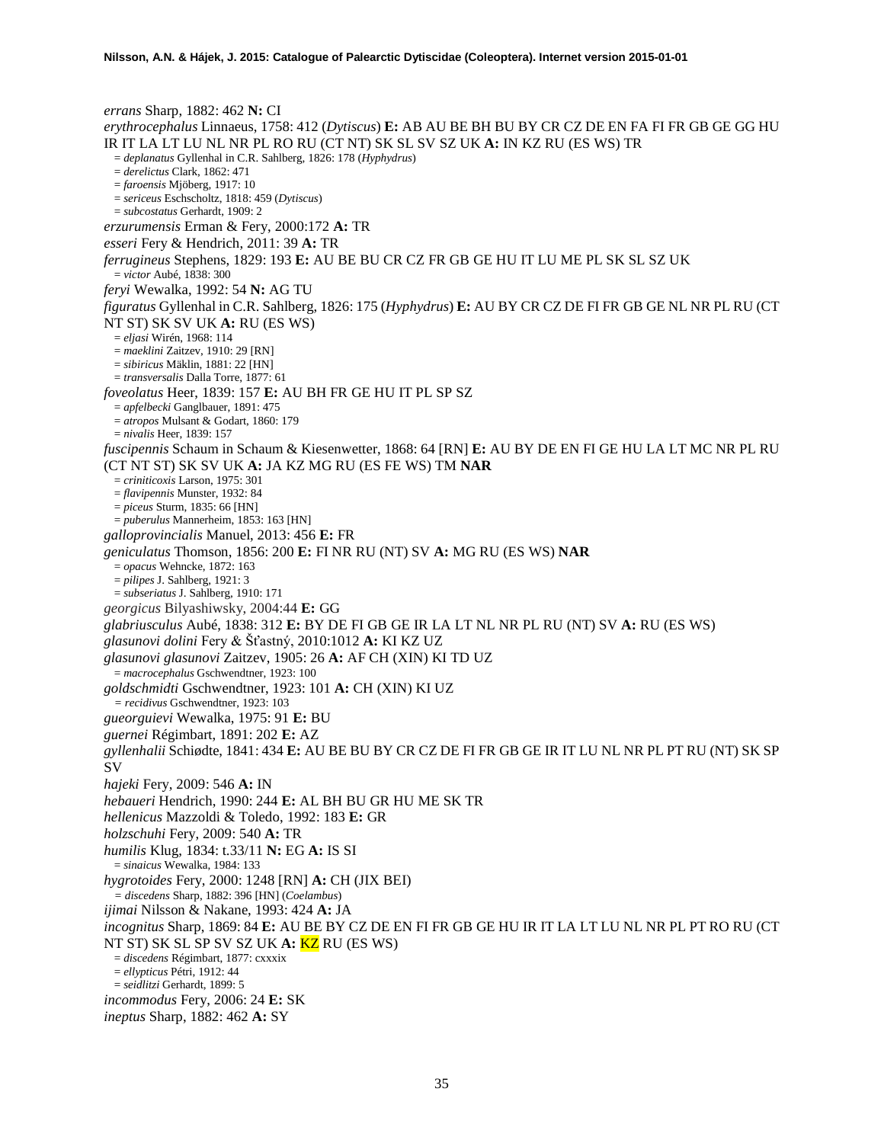*errans* Sharp, 1882: 462 **N:** CI *erythrocephalus* Linnaeus, 1758: 412 (*Dytiscus*) **E:** AB AU BE BH BU BY CR CZ DE EN FA FI FR GB GE GG HU IR IT LA LT LU NL NR PL RO RU (CT NT) SK SL SV SZ UK **A:** IN KZ RU (ES WS) TR = *deplanatus* Gyllenhal in C.R. Sahlberg, 1826: 178 (*Hyphydrus*) = *derelictus* Clark, 1862: 471 = *faroensis* Mjöberg, 1917: 10 = *sericeus* Eschscholtz, 1818: 459 (*Dytiscus*) = *subcostatus* Gerhardt, 1909: 2 *erzurumensis* Erman & Fery, 2000:172 **A:** TR *esseri* Fery & Hendrich, 2011: 39 **A:** TR *ferrugineus* Stephens, 1829: 193 **E:** AU BE BU CR CZ FR GB GE HU IT LU ME PL SK SL SZ UK = *victor* Aubé, 1838: 300 *feryi* Wewalka, 1992: 54 **N:** AG TU *figuratus* Gyllenhal in C.R. Sahlberg, 1826: 175 (*Hyphydrus*) **E:** AU BY CR CZ DE FI FR GB GE NL NR PL RU (CT NT ST) SK SV UK **A:** RU (ES WS) = *eljasi* Wirén, 1968: 114 = *maeklini* Zaitzev, 1910: 29 [RN] = *sibiricus* Mäklin, 1881: 22 [HN] = *transversalis* Dalla Torre, 1877: 61 *foveolatus* Heer, 1839: 157 **E:** AU BH FR GE HU IT PL SP SZ = *apfelbecki* Ganglbauer, 1891: 475 = *atropos* Mulsant & Godart, 1860: 179 = *nivalis* Heer, 1839: 157 *fuscipennis* Schaum in Schaum & Kiesenwetter, 1868: 64 [RN] **E:** AU BY DE EN FI GE HU LA LT MC NR PL RU (CT NT ST) SK SV UK **A:** JA KZ MG RU (ES FE WS) TM **NAR** = *criniticoxis* Larson, 1975: 301 = *flavipennis* Munster, 1932: 84 = *piceus* Sturm, 1835: 66 [HN] = *puberulus* Mannerheim, 1853: 163 [HN] *galloprovincialis* Manuel, 2013: 456 **E:** FR *geniculatus* Thomson, 1856: 200 **E:** FI NR RU (NT) SV **A:** MG RU (ES WS) **NAR** = *opacus* Wehncke, 1872: 163 = *pilipes* J. Sahlberg, 1921: 3 = *subseriatus* J. Sahlberg, 1910: 171 *georgicus* Bilyashiwsky, 2004:44 **E:** GG *glabriusculus* Aubé, 1838: 312 **E:** BY DE FI GB GE IR LA LT NL NR PL RU (NT) SV **A:** RU (ES WS) *glasunovi dolini* Fery & Šťastný, 2010:1012 **A:** KI KZ UZ *glasunovi glasunovi* Zaitzev, 1905: 26 **A:** AF CH (XIN) KI TD UZ = *macrocephalus* Gschwendtner, 1923: 100 *goldschmidti* Gschwendtner, 1923: 101 **A:** CH (XIN) KI UZ *= recidivus* Gschwendtner, 1923: 103 *gueorguievi* Wewalka, 1975: 91 **E:** BU *guernei* Régimbart, 1891: 202 **E:** AZ *gyllenhalii* Schiødte, 1841: 434 **E:** AU BE BU BY CR CZ DE FI FR GB GE IR IT LU NL NR PL PT RU (NT) SK SP SV *hajeki* Fery, 2009: 546 **A:** IN *hebaueri* Hendrich, 1990: 244 **E:** AL BH BU GR HU ME SK TR *hellenicus* Mazzoldi & Toledo, 1992: 183 **E:** GR *holzschuhi* Fery, 2009: 540 **A:** TR *humilis* Klug, 1834: t.33/11 **N:** EG **A:** IS SI = *sinaicus* Wewalka, 1984: 133 *hygrotoides* Fery, 2000: 1248 [RN] **A:** CH (JIX BEI) *= discedens* Sharp, 1882: 396 [HN] (*Coelambus*) *ijimai* Nilsson & Nakane, 1993: 424 **A:** JA *incognitus* Sharp, 1869: 84 **E:** AU BE BY CZ DE EN FI FR GB GE HU IR IT LA LT LU NL NR PL PT RO RU (CT NT ST) SK SL SP SV SZ UK **A:** KZ RU (ES WS) = *discedens* Régimbart, 1877: cxxxix = *ellypticus* Pétri, 1912: 44 = *seidlitzi* Gerhardt, 1899: 5 *incommodus* Fery, 2006: 24 **E:** SK *ineptus* Sharp, 1882: 462 **A:** SY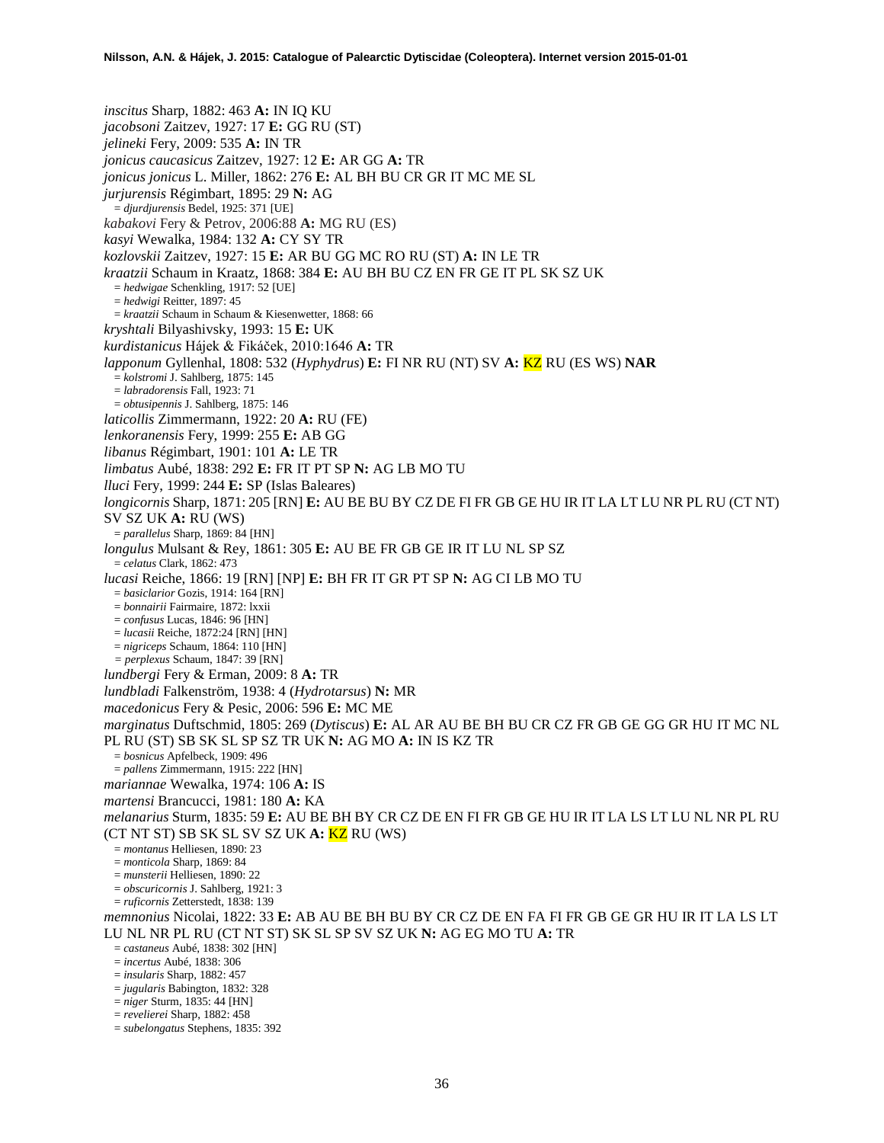*inscitus* Sharp, 1882: 463 **A:** IN IQ KU *jacobsoni* Zaitzev, 1927: 17 **E:** GG RU (ST) *jelineki* Fery, 2009: 535 **A:** IN TR *jonicus caucasicus* Zaitzev, 1927: 12 **E:** AR GG **A:** TR *jonicus jonicus* L. Miller, 1862: 276 **E:** AL BH BU CR GR IT MC ME SL *jurjurensis* Régimbart, 1895: 29 **N:** AG = *djurdjurensis* Bedel, 1925: 371 [UE] *kabakovi* Fery & Petrov, 2006:88 **A:** MG RU (ES) *kasyi* Wewalka, 1984: 132 **A:** CY SY TR *kozlovskii* Zaitzev, 1927: 15 **E:** AR BU GG MC RO RU (ST) **A:** IN LE TR *kraatzii* Schaum in Kraatz, 1868: 384 **E:** AU BH BU CZ EN FR GE IT PL SK SZ UK = *hedwigae* Schenkling, 1917: 52 [UE] = *hedwigi* Reitter, 1897: 45 = *kraatzii* Schaum in Schaum & Kiesenwetter, 1868: 66 *kryshtali* Bilyashivsky, 1993: 15 **E:** UK *kurdistanicus* Hájek & Fikáček, 2010:1646 **A:** TR *lapponum* Gyllenhal, 1808: 532 (*Hyphydrus*) **E:** FI NR RU (NT) SV **A:** KZ RU (ES WS) **NAR** = *kolstromi* J. Sahlberg, 1875: 145 = *labradorensis* Fall, 1923: 71 = *obtusipennis* J. Sahlberg, 1875: 146 *laticollis* Zimmermann, 1922: 20 **A:** RU (FE) *lenkoranensis* Fery, 1999: 255 **E:** AB GG *libanus* Régimbart, 1901: 101 **A:** LE TR *limbatus* Aubé, 1838: 292 **E:** FR IT PT SP **N:** AG LB MO TU *lluci* Fery, 1999: 244 **E:** SP (Islas Baleares) *longicornis* Sharp, 1871: 205 [RN] **E:** AU BE BU BY CZ DE FI FR GB GE HU IR IT LA LT LU NR PL RU (CT NT) SV SZ UK **A:** RU (WS) = *parallelus* Sharp, 1869: 84 [HN] *longulus* Mulsant & Rey, 1861: 305 **E:** AU BE FR GB GE IR IT LU NL SP SZ = *celatus* Clark, 1862: 473 *lucasi* Reiche, 1866: 19 [RN] [NP] **E:** BH FR IT GR PT SP **N:** AG CI LB MO TU = *basiclarior* Gozis, 1914: 164 [RN] = *bonnairii* Fairmaire, 1872: lxxii = *confusus* Lucas, 1846: 96 [HN] = *lucasii* Reiche, 1872:24 [RN] [HN] = *nigriceps* Schaum, 1864: 110 [HN] *= perplexus* Schaum, 1847: 39 [RN] *lundbergi* Fery & Erman, 2009: 8 **A:** TR *lundbladi* Falkenström, 1938: 4 (*Hydrotarsus*) **N:** MR *macedonicus* Fery & Pesic, 2006: 596 **E:** MC ME *marginatus* Duftschmid, 1805: 269 (*Dytiscus*) **E:** AL AR AU BE BH BU CR CZ FR GB GE GG GR HU IT MC NL PL RU (ST) SB SK SL SP SZ TR UK **N:** AG MO **A:** IN IS KZ TR = *bosnicus* Apfelbeck, 1909: 496 = *pallens* Zimmermann, 1915: 222 [HN] *mariannae* Wewalka, 1974: 106 **A:** IS *martensi* Brancucci, 1981: 180 **A:** KA *melanarius* Sturm, 1835: 59 **E:** AU BE BH BY CR CZ DE EN FI FR GB GE HU IR IT LA LS LT LU NL NR PL RU (CT NT ST) SB SK SL SV SZ UK **A:** KZ RU (WS) = *montanus* Helliesen, 1890: 23 = *monticola* Sharp, 1869: 84 = *munsterii* Helliesen, 1890: 22 = *obscuricornis* J. Sahlberg, 1921: 3 = *ruficornis* Zetterstedt, 1838: 139 *memnonius* Nicolai, 1822: 33 **E:** AB AU BE BH BU BY CR CZ DE EN FA FI FR GB GE GR HU IR IT LA LS LT LU NL NR PL RU (CT NT ST) SK SL SP SV SZ UK **N:** AG EG MO TU **A:** TR = *castaneus* Aubé, 1838: 302 [HN] = *incertus* Aubé, 1838: 306 = *insularis* Sharp, 1882: 457 = *jugularis* Babington, 1832: 328 = *niger* Sturm, 1835: 44 [HN] = *revelierei* Sharp, 1882: 458

<sup>=</sup> *subelongatus* Stephens, 1835: 392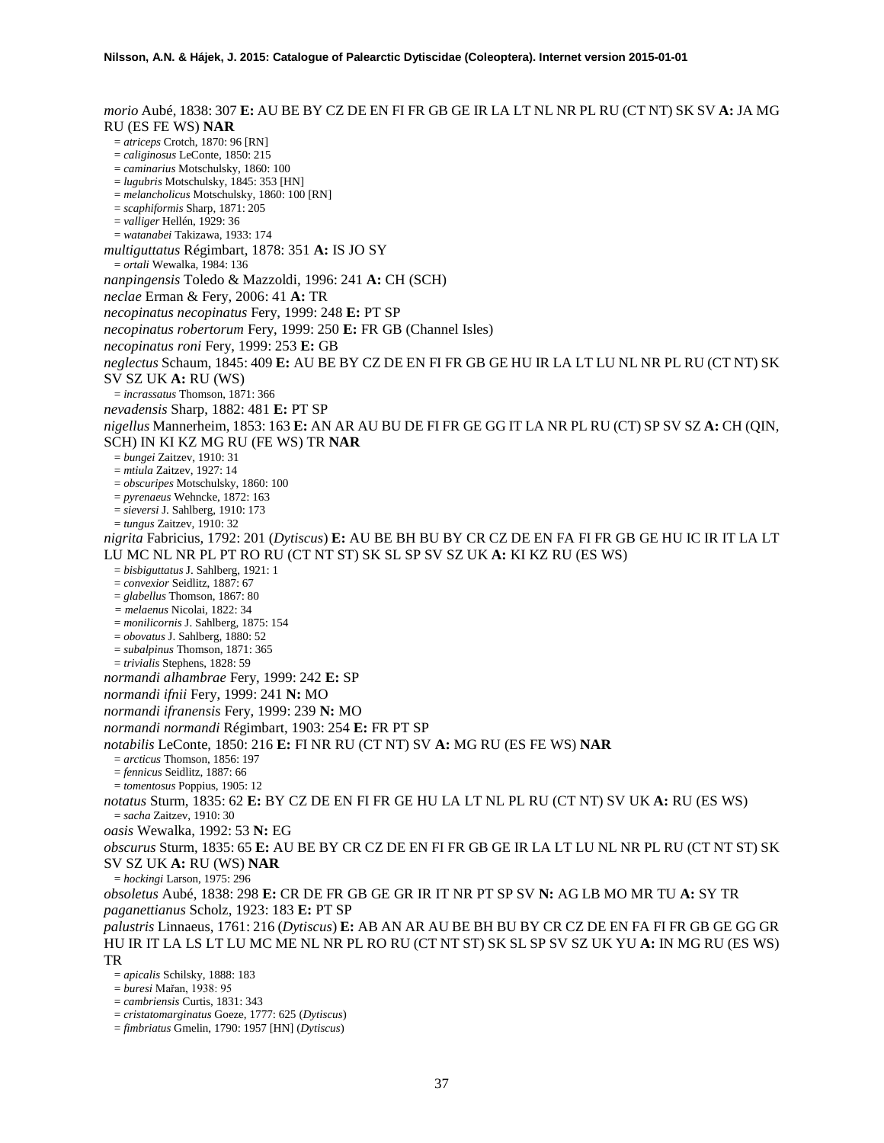*morio* Aubé, 1838: 307 **E:** AU BE BY CZ DE EN FI FR GB GE IR LA LT NL NR PL RU (CT NT) SK SV **A:** JA MG RU (ES FE WS) **NAR** = *atriceps* Crotch, 1870: 96 [RN] = *caliginosus* LeConte, 1850: 215 = *caminarius* Motschulsky, 1860: 100 = *lugubris* Motschulsky, 1845: 353 [HN] = *melancholicus* Motschulsky, 1860: 100 [RN] = *scaphiformis* Sharp, 1871: 205 = *valliger* Hellén, 1929: 36 = *watanabei* Takizawa, 1933: 174 *multiguttatus* Régimbart, 1878: 351 **A:** IS JO SY = *ortali* Wewalka, 1984: 136 *nanpingensis* Toledo & Mazzoldi, 1996: 241 **A:** CH (SCH) *neclae* Erman & Fery, 2006: 41 **A:** TR *necopinatus necopinatus* Fery, 1999: 248 **E:** PT SP *necopinatus robertorum* Fery, 1999: 250 **E:** FR GB (Channel Isles) *necopinatus roni* Fery, 1999: 253 **E:** GB *neglectus* Schaum, 1845: 409 **E:** AU BE BY CZ DE EN FI FR GB GE HU IR LA LT LU NL NR PL RU (CT NT) SK SV SZ UK **A:** RU (WS) = *incrassatus* Thomson, 1871: 366 *nevadensis* Sharp, 1882: 481 **E:** PT SP *nigellus* Mannerheim, 1853: 163 **E:** AN AR AU BU DE FI FR GE GG IT LA NR PL RU (CT) SP SV SZ **A:** CH (QIN, SCH) IN KI KZ MG RU (FE WS) TR **NAR** = *bungei* Zaitzev, 1910: 31 = *mtiula* Zaitzev, 1927: 14 = *obscuripes* Motschulsky, 1860: 100 = *pyrenaeus* Wehncke, 1872: 163 = *sieversi* J. Sahlberg, 1910: 173 = *tungus* Zaitzev, 1910: 32 *nigrita* Fabricius, 1792: 201 (*Dytiscus*) **E:** AU BE BH BU BY CR CZ DE EN FA FI FR GB GE HU IC IR IT LA LT LU MC NL NR PL PT RO RU (CT NT ST) SK SL SP SV SZ UK **A:** KI KZ RU (ES WS) = *bisbiguttatus* J. Sahlberg, 1921: 1 = *convexior* Seidlitz, 1887: 67 = *glabellus* Thomson, 1867: 80 *= melaenus* Nicolai, 1822: 34 = *monilicornis* J. Sahlberg, 1875: 154 = *obovatus* J. Sahlberg, 1880: 52 = *subalpinus* Thomson, 1871: 365 = *trivialis* Stephens, 1828: 59 *normandi alhambrae* Fery, 1999: 242 **E:** SP *normandi ifnii* Fery, 1999: 241 **N:** MO *normandi ifranensis* Fery, 1999: 239 **N:** MO *normandi normandi* Régimbart, 1903: 254 **E:** FR PT SP *notabilis* LeConte, 1850: 216 **E:** FI NR RU (CT NT) SV **A:** MG RU (ES FE WS) **NAR** = *arcticus* Thomson, 1856: 197 = *fennicus* Seidlitz, 1887: 66 = *tomentosus* Poppius, 1905: 12 *notatus* Sturm, 1835: 62 **E:** BY CZ DE EN FI FR GE HU LA LT NL PL RU (CT NT) SV UK **A:** RU (ES WS) = *sacha* Zaitzev, 1910: 30 *oasis* Wewalka, 1992: 53 **N:** EG *obscurus* Sturm, 1835: 65 **E:** AU BE BY CR CZ DE EN FI FR GB GE IR LA LT LU NL NR PL RU (CT NT ST) SK SV SZ UK **A:** RU (WS) **NAR** = *hockingi* Larson, 1975: 296 *obsoletus* Aubé, 1838: 298 **E:** CR DE FR GB GE GR IR IT NR PT SP SV **N:** AG LB MO MR TU **A:** SY TR *paganettianus* Scholz, 1923: 183 **E:** PT SP *palustris* Linnaeus, 1761: 216 (*Dytiscus*) **E:** AB AN AR AU BE BH BU BY CR CZ DE EN FA FI FR GB GE GG GR HU IR IT LA LS LT LU MC ME NL NR PL RO RU (CT NT ST) SK SL SP SV SZ UK YU **A:** IN MG RU (ES WS) TR = *apicalis* Schilsky, 1888: 183

- = *buresi* Mařan, 1938: 95
- = *cambriensis* Curtis, 1831: 343
- = *cristatomarginatus* Goeze, 1777: 625 (*Dytiscus*)
- = *fimbriatus* Gmelin, 1790: 1957 [HN] (*Dytiscus*)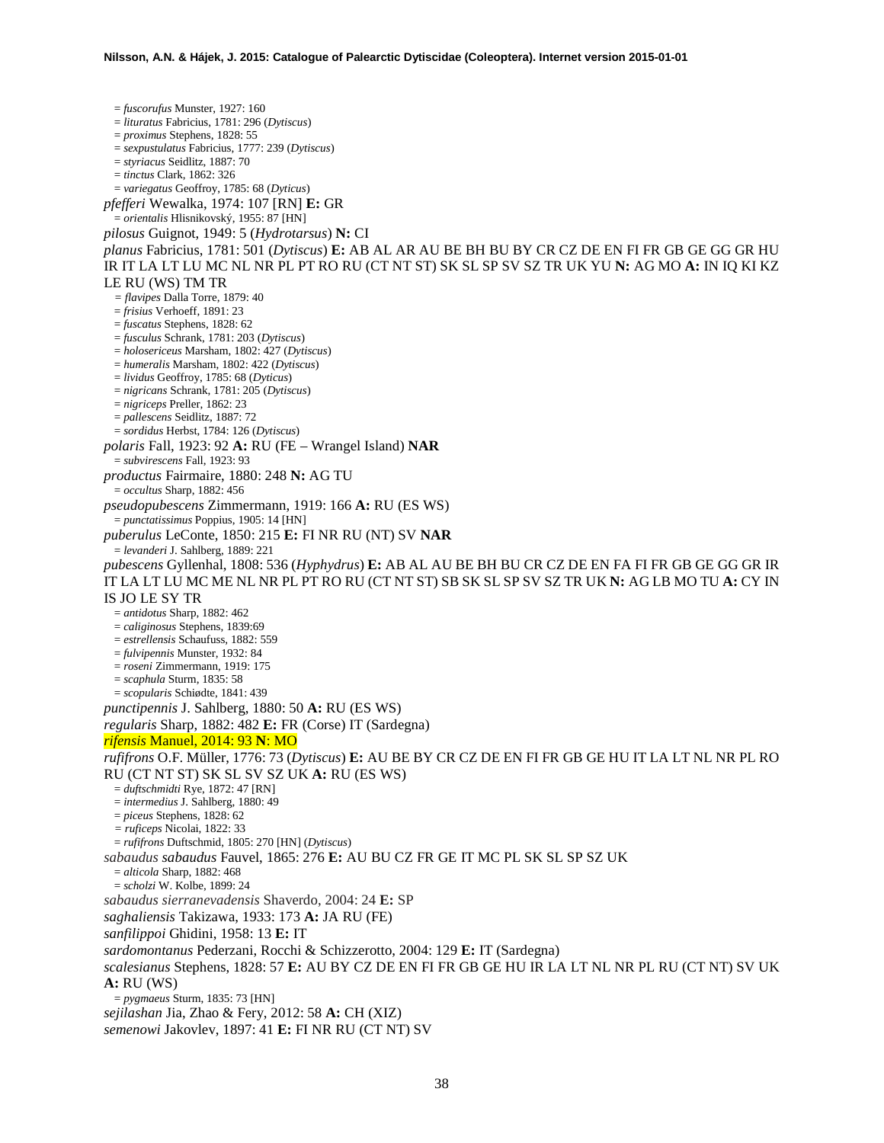= *fuscorufus* Munster, 1927: 160 = *lituratus* Fabricius, 1781: 296 (*Dytiscus*) = *proximus* Stephens, 1828: 55 = *sexpustulatus* Fabricius, 1777: 239 (*Dytiscus*) = *styriacus* Seidlitz, 1887: 70 = *tinctus* Clark, 1862: 326 = *variegatus* Geoffroy, 1785: 68 (*Dyticus*) *pfefferi* Wewalka, 1974: 107 [RN] **E:** GR = *orientalis* Hlisnikovský, 1955: 87 [HN] *pilosus* Guignot, 1949: 5 (*Hydrotarsus*) **N:** CI *planus* Fabricius, 1781: 501 (*Dytiscus*) **E:** AB AL AR AU BE BH BU BY CR CZ DE EN FI FR GB GE GG GR HU IR IT LA LT LU MC NL NR PL PT RO RU (CT NT ST) SK SL SP SV SZ TR UK YU **N:** AG MO **A:** IN IQ KI KZ LE RU (WS) TM TR *= flavipes* Dalla Torre, 1879: 40 = *frisius* Verhoeff, 1891: 23 = *fuscatus* Stephens, 1828: 62 = *fusculus* Schrank, 1781: 203 (*Dytiscus*) = *holosericeus* Marsham, 1802: 427 (*Dytiscus*) = *humeralis* Marsham, 1802: 422 (*Dytiscus*) = *lividus* Geoffroy, 1785: 68 (*Dyticus*) = *nigricans* Schrank, 1781: 205 (*Dytiscus*) = *nigriceps* Preller, 1862: 23 = *pallescens* Seidlitz, 1887: 72 = *sordidus* Herbst, 1784: 126 (*Dytiscus*) *polaris* Fall, 1923: 92 **A:** RU (FE – Wrangel Island) **NAR** = *subvirescens* Fall, 1923: 93 *productus* Fairmaire, 1880: 248 **N:** AG TU = *occultus* Sharp, 1882: 456 *pseudopubescens* Zimmermann, 1919: 166 **A:** RU (ES WS) = *punctatissimus* Poppius, 1905: 14 [HN] *puberulus* LeConte, 1850: 215 **E:** FI NR RU (NT) SV **NAR** = *levanderi* J. Sahlberg, 1889: 221 *pubescens* Gyllenhal, 1808: 536 (*Hyphydrus*) **E:** AB AL AU BE BH BU CR CZ DE EN FA FI FR GB GE GG GR IR IT LA LT LU MC ME NL NR PL PT RO RU (CT NT ST) SB SK SL SP SV SZ TR UK **N:** AG LB MO TU **A:** CY IN IS JO LE SY TR = *antidotus* Sharp, 1882: 462 = *caliginosus* Stephens, 1839:69 = *estrellensis* Schaufuss, 1882: 559 = *fulvipennis* Munster, 1932: 84 = *roseni* Zimmermann, 1919: 175 = *scaphula* Sturm, 1835: 58 = *scopularis* Schiødte, 1841: 439 *punctipennis* J. Sahlberg, 1880: 50 **A:** RU (ES WS) *regularis* Sharp, 1882: 482 **E:** FR (Corse) IT (Sardegna) *rifensis* Manuel, 2014: 93 **N**: MO *rufifrons* O.F. Müller, 1776: 73 (*Dytiscus*) **E:** AU BE BY CR CZ DE EN FI FR GB GE HU IT LA LT NL NR PL RO RU (CT NT ST) SK SL SV SZ UK **A:** RU (ES WS) = *duftschmidti* Rye, 1872: 47 [RN] = *intermedius* J. Sahlberg, 1880: 49 = *piceus* Stephens, 1828: 62 *= ruficeps* Nicolai, 1822: 33 = *rufifrons* Duftschmid, 1805: 270 [HN] (*Dytiscus*) *sabaudus sabaudus* Fauvel, 1865: 276 **E:** AU BU CZ FR GE IT MC PL SK SL SP SZ UK = *alticola* Sharp, 1882: 468 = *scholzi* W. Kolbe, 1899: 24 *sabaudus sierranevadensis* Shaverdo, 2004: 24 **E:** SP *saghaliensis* Takizawa, 1933: 173 **A:** JA RU (FE) *sanfilippoi* Ghidini, 1958: 13 **E:** IT *sardomontanus* Pederzani, Rocchi & Schizzerotto, 2004: 129 **E:** IT (Sardegna) *scalesianus* Stephens, 1828: 57 **E:** AU BY CZ DE EN FI FR GB GE HU IR LA LT NL NR PL RU (CT NT) SV UK **A:** RU (WS) = *pygmaeus* Sturm, 1835: 73 [HN] *sejilashan* Jia, Zhao & Fery, 2012: 58 **A:** CH (XIZ) *semenowi* Jakovlev, 1897: 41 **E:** FI NR RU (CT NT) SV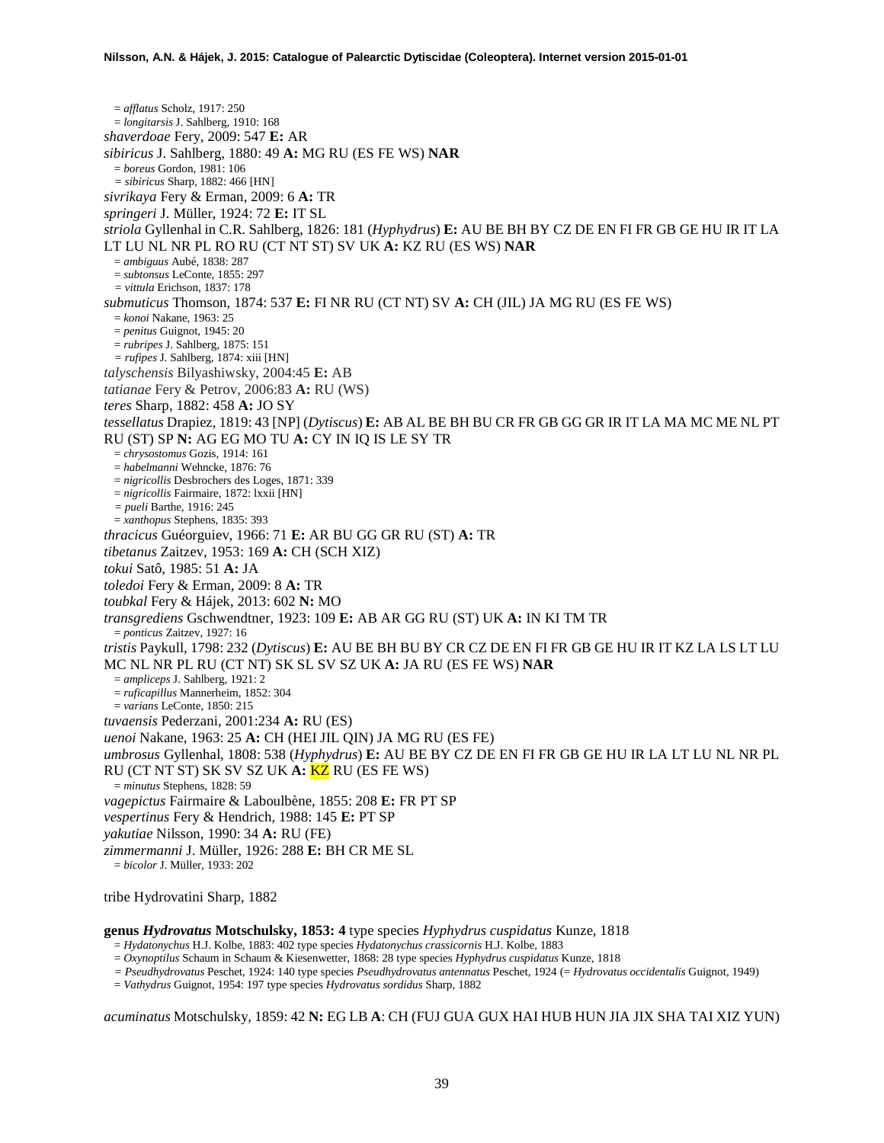= *afflatus* Scholz, 1917: 250 = *longitarsis* J. Sahlberg, 1910: 168 *shaverdoae* Fery, 2009: 547 **E:** AR *sibiricus* J. Sahlberg, 1880: 49 **A:** MG RU (ES FE WS) **NAR** = *boreus* Gordon, 1981: 106 *= sibiricus* Sharp, 1882: 466 [HN] *sivrikaya* Fery & Erman, 2009: 6 **A:** TR *springeri* J. Müller, 1924: 72 **E:** IT SL *striola* Gyllenhal in C.R. Sahlberg, 1826: 181 (*Hyphydrus*) **E:** AU BE BH BY CZ DE EN FI FR GB GE HU IR IT LA LT LU NL NR PL RO RU (CT NT ST) SV UK **A:** KZ RU (ES WS) **NAR** = *ambiguus* Aubé, 1838: 287 = *subtonsus* LeConte, 1855: 297 *= vittula* Erichson, 1837: 178 *submuticus* Thomson, 1874: 537 **E:** FI NR RU (CT NT) SV **A:** CH (JIL) JA MG RU (ES FE WS) = *konoi* Nakane, 1963: 25 = *penitus* Guignot, 1945: 20 = *rubripes* J. Sahlberg, 1875: 151 *= rufipes* J. Sahlberg, 1874: xiii [HN] *talyschensis* Bilyashiwsky, 2004:45 **E:** AB *tatianae* Fery & Petrov, 2006:83 **A:** RU (WS) *teres* Sharp, 1882: 458 **A:** JO SY *tessellatus* Drapiez, 1819: 43 [NP] (*Dytiscus*) **E:** AB AL BE BH BU CR FR GB GG GR IR IT LA MA MC ME NL PT RU (ST) SP **N:** AG EG MO TU **A:** CY IN IQ IS LE SY TR = *chrysostomus* Gozis, 1914: 161 = *habelmanni* Wehncke, 1876: 76 = *nigricollis* Desbrochers des Loges, 1871: 339 = *nigricollis* Fairmaire, 1872: lxxii [HN] *= pueli* Barthe, 1916: 245 = *xanthopus* Stephens, 1835: 393 *thracicus* Guéorguiev, 1966: 71 **E:** AR BU GG GR RU (ST) **A:** TR *tibetanus* Zaitzev, 1953: 169 **A:** CH (SCH XIZ) *tokui* Satô, 1985: 51 **A:** JA *toledoi* Fery & Erman, 2009: 8 **A:** TR *toubkal* Fery & Hájek, 2013: 602 **N:** MO *transgrediens* Gschwendtner, 1923: 109 **E:** AB AR GG RU (ST) UK **A:** IN KI TM TR = *ponticus* Zaitzev, 1927: 16 *tristis* Paykull, 1798: 232 (*Dytiscus*) **E:** AU BE BH BU BY CR CZ DE EN FI FR GB GE HU IR IT KZ LA LS LT LU MC NL NR PL RU (CT NT) SK SL SV SZ UK **A:** JA RU (ES FE WS) **NAR** = *ampliceps* J. Sahlberg, 1921: 2 = *ruficapillus* Mannerheim, 1852: 304 = *varians* LeConte, 1850: 215 *tuvaensis* Pederzani, 2001:234 **A:** RU (ES) *uenoi* Nakane, 1963: 25 **A:** CH (HEI JIL QIN) JA MG RU (ES FE) *umbrosus* Gyllenhal, 1808: 538 (*Hyphydrus*) **E:** AU BE BY CZ DE EN FI FR GB GE HU IR LA LT LU NL NR PL RU (CT NT ST) SK SV SZ UK **A:** KZ RU (ES FE WS) = *minutus* Stephens, 1828: 59 *vagepictus* Fairmaire & Laboulbène, 1855: 208 **E:** FR PT SP *vespertinus* Fery & Hendrich, 1988: 145 **E:** PT SP *yakutiae* Nilsson, 1990: 34 **A:** RU (FE) *zimmermanni* J. Müller, 1926: 288 **E:** BH CR ME SL = *bicolor* J. Müller, 1933: 202

tribe Hydrovatini Sharp, 1882

**genus** *Hydrovatus* **Motschulsky, 1853: 4** type species *Hyphydrus cuspidatus* Kunze, 1818

= *Hydatonychus* H.J. Kolbe, 1883: 402 type species *Hydatonychus crassicornis* H.J. Kolbe, 1883

= *Oxynoptilus* Schaum in Schaum & Kiesenwetter, 1868: 28 type species *Hyphydrus cuspidatus* Kunze, 1818

*= Pseudhydrovatus* Peschet, 1924: 140 type species *Pseudhydrovatus antennatus* Peschet, 1924 (= *Hydrovatus occidentalis* Guignot, 1949)

= *Vathydrus* Guignot, 1954: 197 type species *Hydrovatus sordidus* Sharp, 1882

*acuminatus* Motschulsky, 1859: 42 **N:** EG LB **A**: CH (FUJ GUA GUX HAI HUB HUN JIA JIX SHA TAI XIZ YUN)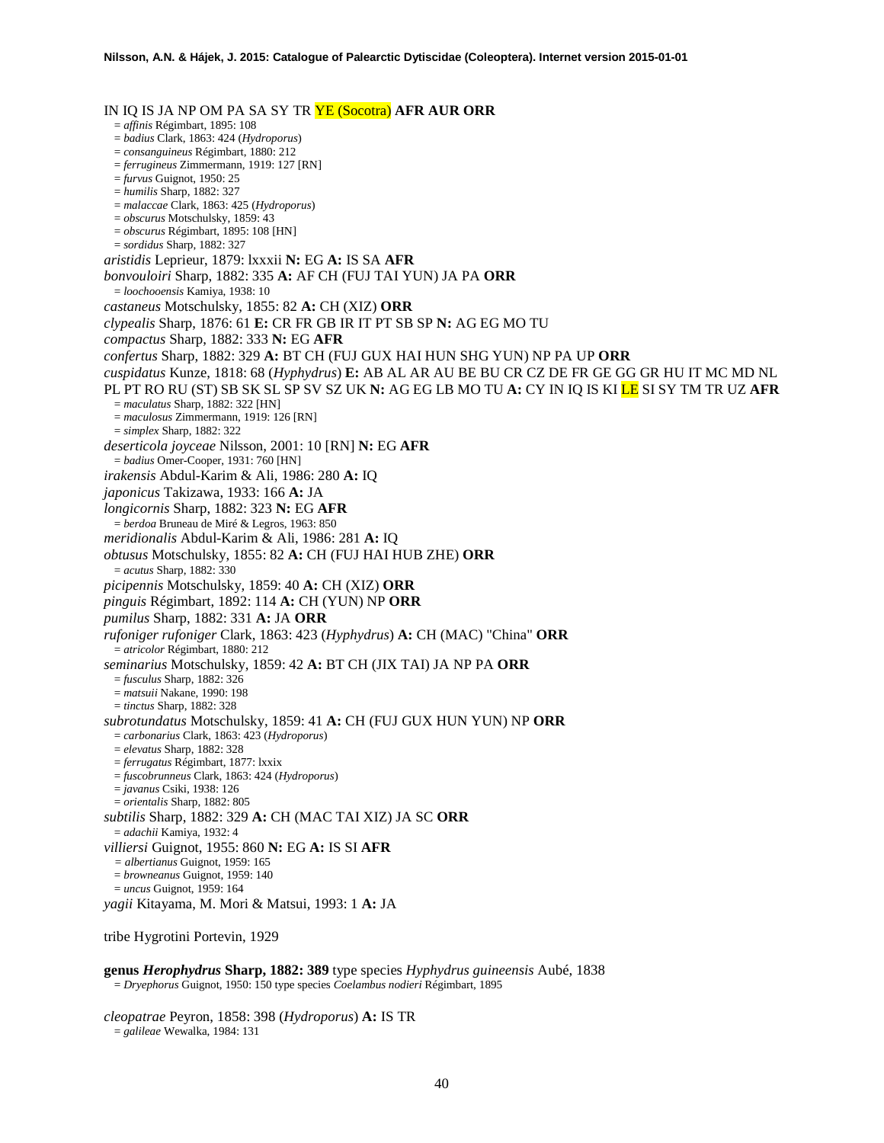IN IQ IS JA NP OM PA SA SY TR YE (Socotra) **AFR AUR ORR** = *affinis* Régimbart, 1895: 108 = *badius* Clark, 1863: 424 (*Hydroporus*) = *consanguineus* Régimbart, 1880: 212 = *ferrugineus* Zimmermann, 1919: 127 [RN] = *furvus* Guignot, 1950: 25 = *humilis* Sharp, 1882: 327 = *malaccae* Clark, 1863: 425 (*Hydroporus*) = *obscurus* Motschulsky, 1859: 43 = *obscurus* Régimbart, 1895: 108 [HN] = *sordidus* Sharp, 1882: 327 *aristidis* Leprieur, 1879: lxxxii **N:** EG **A:** IS SA **AFR** *bonvouloiri* Sharp, 1882: 335 **A:** AF CH (FUJ TAI YUN) JA PA **ORR** = *loochooensis* Kamiya, 1938: 10 *castaneus* Motschulsky, 1855: 82 **A:** CH (XIZ) **ORR** *clypealis* Sharp, 1876: 61 **E:** CR FR GB IR IT PT SB SP **N:** AG EG MO TU *compactus* Sharp, 1882: 333 **N:** EG **AFR** *confertus* Sharp, 1882: 329 **A:** BT CH (FUJ GUX HAI HUN SHG YUN) NP PA UP **ORR** *cuspidatus* Kunze, 1818: 68 (*Hyphydrus*) **E:** AB AL AR AU BE BU CR CZ DE FR GE GG GR HU IT MC MD NL PL PT RO RU (ST) SB SK SL SP SV SZ UK **N:** AG EG LB MO TU **A:** CY IN IQ IS KI LE SI SY TM TR UZ **AFR** = *maculatus* Sharp, 1882: 322 [HN] = *maculosus* Zimmermann, 1919: 126 [RN] = *simplex* Sharp, 1882: 322 *deserticola joyceae* Nilsson, 2001: 10 [RN] **N:** EG **AFR** = *badius* Omer-Cooper, 1931: 760 [HN] *irakensis* Abdul-Karim & Ali, 1986: 280 **A:** IQ *japonicus* Takizawa, 1933: 166 **A:** JA *longicornis* Sharp, 1882: 323 **N:** EG **AFR** = *berdoa* Bruneau de Miré & Legros, 1963: 850 *meridionalis* Abdul-Karim & Ali, 1986: 281 **A:** IQ *obtusus* Motschulsky, 1855: 82 **A:** CH (FUJ HAI HUB ZHE) **ORR** = *acutus* Sharp, 1882: 330 *picipennis* Motschulsky, 1859: 40 **A:** CH (XIZ) **ORR** *pinguis* Régimbart, 1892: 114 **A:** CH (YUN) NP **ORR** *pumilus* Sharp, 1882: 331 **A:** JA **ORR** *rufoniger rufoniger* Clark, 1863: 423 (*Hyphydrus*) **A:** CH (MAC) "China" **ORR** = *atricolor* Régimbart, 1880: 212 *seminarius* Motschulsky, 1859: 42 **A:** BT CH (JIX TAI) JA NP PA **ORR** = *fusculus* Sharp, 1882: 326 = *matsuii* Nakane, 1990: 198 = *tinctus* Sharp, 1882: 328 *subrotundatus* Motschulsky, 1859: 41 **A:** CH (FUJ GUX HUN YUN) NP **ORR** = *carbonarius* Clark, 1863: 423 (*Hydroporus*) = *elevatus* Sharp, 1882: 328 = *ferrugatus* Régimbart, 1877: lxxix = *fuscobrunneus* Clark, 1863: 424 (*Hydroporus*) = *javanus* Csiki, 1938: 126 = *orientalis* Sharp, 1882: 805 *subtilis* Sharp, 1882: 329 **A:** CH (MAC TAI XIZ) JA SC **ORR** = *adachii* Kamiya, 1932: 4 *villiersi* Guignot, 1955: 860 **N:** EG **A:** IS SI **AFR** *= albertianus* Guignot, 1959: 165 = *browneanus* Guignot, 1959: 140 = *uncus* Guignot, 1959: 164 *yagii* Kitayama, M. Mori & Matsui, 1993: 1 **A:** JA

tribe Hygrotini Portevin, 1929

**genus** *Herophydrus* **Sharp, 1882: 389** type species *Hyphydrus guineensis* Aubé, 1838 = *Dryephorus* Guignot, 1950: 150 type species *Coelambus nodieri* Régimbart, 1895

*cleopatrae* Peyron, 1858: 398 (*Hydroporus*) **A:** IS TR = *galileae* Wewalka, 1984: 131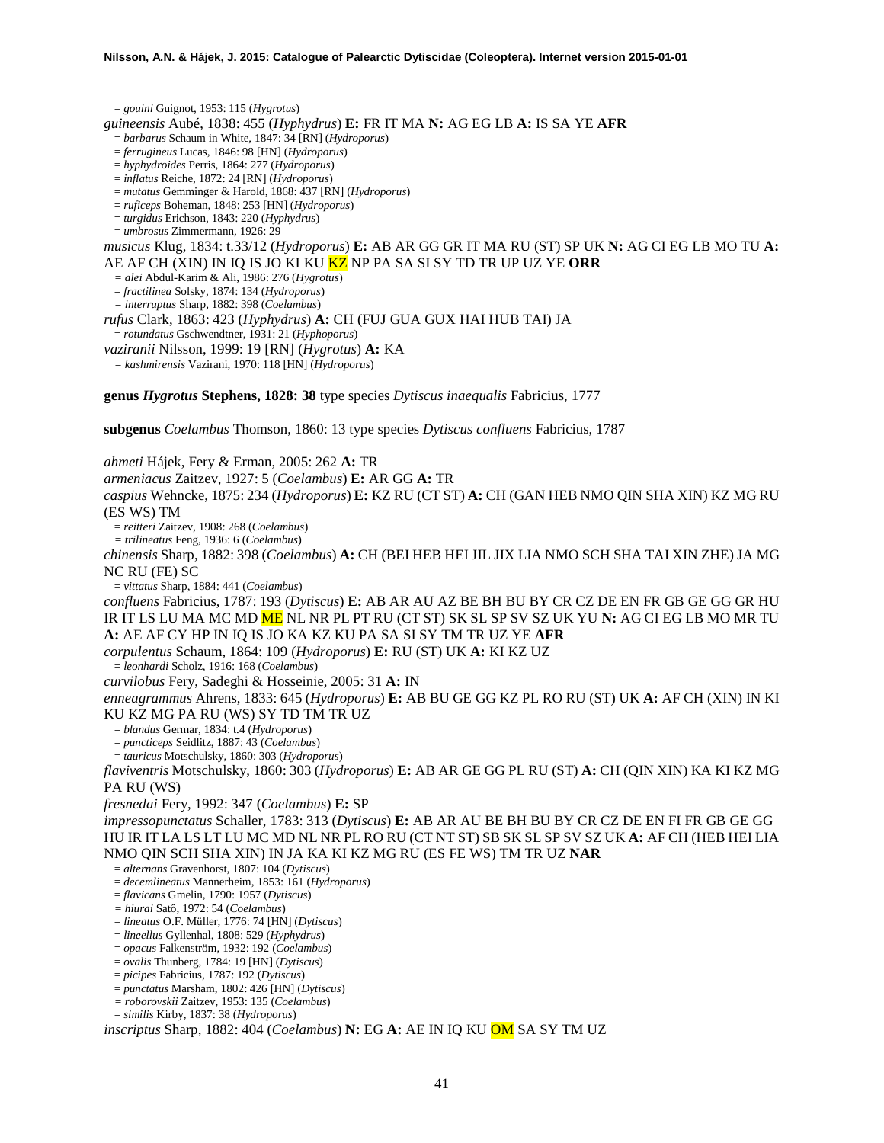= *gouini* Guignot, 1953: 115 (*Hygrotus*) *guineensis* Aubé, 1838: 455 (*Hyphydrus*) **E:** FR IT MA **N:** AG EG LB **A:** IS SA YE **AFR** = *barbarus* Schaum in White, 1847: 34 [RN] (*Hydroporus*) = *ferrugineus* Lucas, 1846: 98 [HN] (*Hydroporus*) = *hyphydroides* Perris, 1864: 277 (*Hydroporus*) = *inflatus* Reiche, 1872: 24 [RN] (*Hydroporus*) = *mutatus* Gemminger & Harold, 1868: 437 [RN] (*Hydroporus*) = *ruficeps* Boheman, 1848: 253 [HN] (*Hydroporus*) = *turgidus* Erichson, 1843: 220 (*Hyphydrus*) = *umbrosus* Zimmermann, 1926: 29 *musicus* Klug, 1834: t.33/12 (*Hydroporus*) **E:** AB AR GG GR IT MA RU (ST) SP UK **N:** AG CI EG LB MO TU **A:** AE AF CH (XIN) IN IQ IS JO KI KU KZ NP PA SA SI SY TD TR UP UZ YE **ORR** *= alei* Abdul-Karim & Ali, 1986: 276 (*Hygrotus*) = *fractilinea* Solsky, 1874: 134 (*Hydroporus*) *= interruptus* Sharp, 1882: 398 (*Coelambus*) *rufus* Clark, 1863: 423 (*Hyphydrus*) **A:** CH (FUJ GUA GUX HAI HUB TAI) JA = *rotundatus* Gschwendtner, 1931: 21 (*Hyphoporus*) *vaziranii* Nilsson, 1999: 19 [RN] (*Hygrotus*) **A:** KA *= kashmirensis* Vazirani, 1970: 118 [HN] (*Hydroporus*) **genus** *Hygrotus* **Stephens, 1828: 38** type species *Dytiscus inaequalis* Fabricius, 1777

**subgenus** *Coelambus* Thomson, 1860: 13 type species *Dytiscus confluens* Fabricius, 1787

*ahmeti* Hájek, Fery & Erman, 2005: 262 **A:** TR *armeniacus* Zaitzev, 1927: 5 (*Coelambus*) **E:** AR GG **A:** TR *caspius* Wehncke, 1875: 234 (*Hydroporus*) **E:** KZ RU (CT ST) **A:** CH (GAN HEB NMO QIN SHA XIN) KZ MG RU (ES WS) TM = *reitteri* Zaitzev, 1908: 268 (*Coelambus*) *= trilineatus* Feng, 1936: 6 (*Coelambus*) *chinensis* Sharp, 1882: 398 (*Coelambus*) **A:** CH (BEI HEB HEI JIL JIX LIA NMO SCH SHA TAI XIN ZHE) JA MG NC RU (FE) SC = *vittatus* Sharp, 1884: 441 (*Coelambus*) *confluens* Fabricius, 1787: 193 (*Dytiscus*) **E:** AB AR AU AZ BE BH BU BY CR CZ DE EN FR GB GE GG GR HU IR IT LS LU MA MC MD ME NL NR PL PT RU (CT ST) SK SL SP SV SZ UK YU **N:** AG CI EG LB MO MR TU **A:** AE AF CY HP IN IQ IS JO KA KZ KU PA SA SI SY TM TR UZ YE **AFR** *corpulentus* Schaum, 1864: 109 (*Hydroporus*) **E:** RU (ST) UK **A:** KI KZ UZ = *leonhardi* Scholz, 1916: 168 (*Coelambus*) *curvilobus* Fery, Sadeghi & Hosseinie, 2005: 31 **A:** IN *enneagrammus* Ahrens, 1833: 645 (*Hydroporus*) **E:** AB BU GE GG KZ PL RO RU (ST) UK **A:** AF CH (XIN) IN KI KU KZ MG PA RU (WS) SY TD TM TR UZ = *blandus* Germar, 1834: t.4 (*Hydroporus*) = *puncticeps* Seidlitz, 1887: 43 (*Coelambus*) = *tauricus* Motschulsky, 1860: 303 (*Hydroporus*) *flaviventris* Motschulsky, 1860: 303 (*Hydroporus*) **E:** AB AR GE GG PL RU (ST) **A:** CH (QIN XIN) KA KI KZ MG PA RU (WS) *fresnedai* Fery, 1992: 347 (*Coelambus*) **E:** SP *impressopunctatus* Schaller, 1783: 313 (*Dytiscus*) **E:** AB AR AU BE BH BU BY CR CZ DE EN FI FR GB GE GG HU IR IT LA LS LT LU MC MD NL NR PL RO RU (CT NT ST) SB SK SL SP SV SZ UK **A:** AF CH (HEB HEI LIA NMO QIN SCH SHA XIN) IN JA KA KI KZ MG RU (ES FE WS) TM TR UZ **NAR** = *alternans* Gravenhorst, 1807: 104 (*Dytiscus*) = *decemlineatus* Mannerheim, 1853: 161 (*Hydroporus*) = *flavicans* Gmelin, 1790: 1957 (*Dytiscus*) *= hiurai* Satô, 1972: 54 (*Coelambus*) = *lineatus* O.F. Müller, 1776: 74 [HN] (*Dytiscus*) = *lineellus* Gyllenhal, 1808: 529 (*Hyphydrus*) = *opacus* Falkenström, 1932: 192 (*Coelambus*) = *ovalis* Thunberg, 1784: 19 [HN] (*Dytiscus*) = *picipes* Fabricius, 1787: 192 (*Dytiscus*) = *punctatus* Marsham, 1802: 426 [HN] (*Dytiscus*) *= roborovskii* Zaitzev, 1953: 135 (*Coelambus*)

```
= similis Kirby, 1837: 38 (Hydroporus)
```
*inscriptus* Sharp, 1882: 404 (*Coelambus*) **N:** EG **A:** AE IN IQ KU OM SA SY TM UZ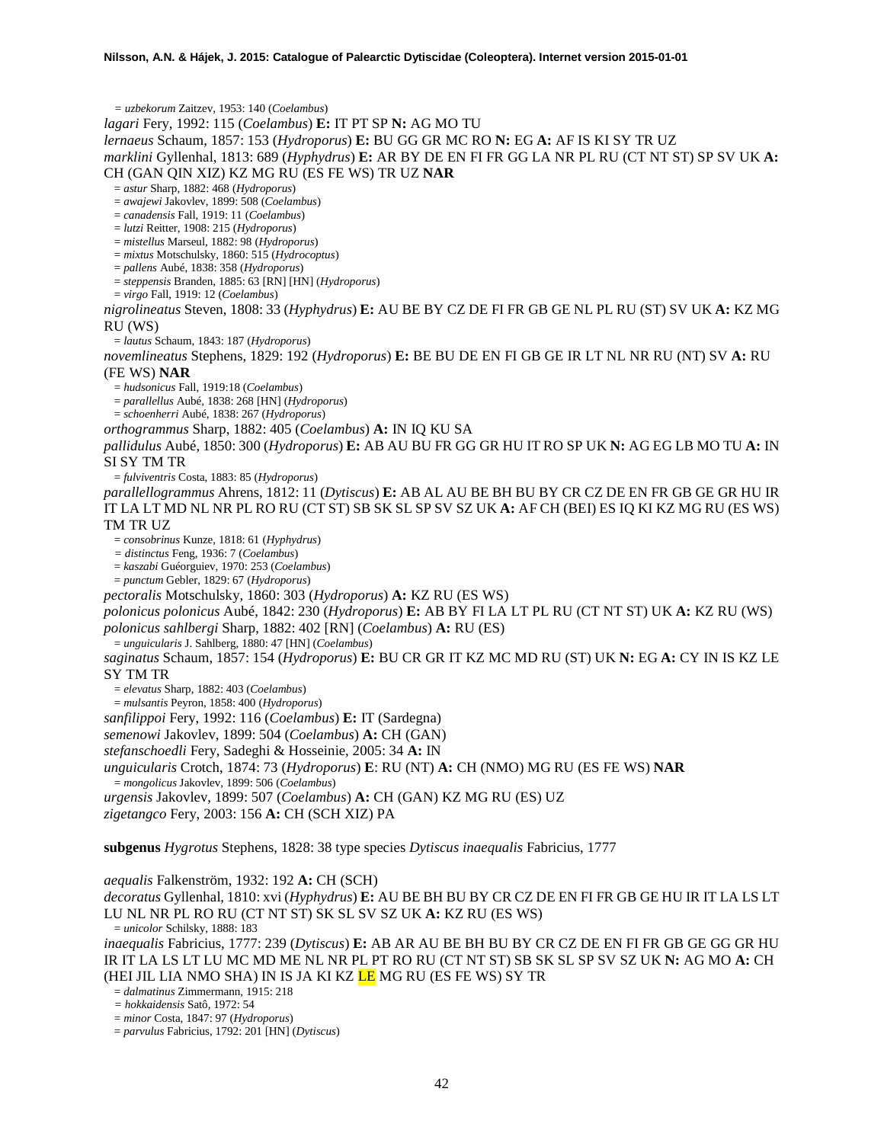*= uzbekorum* Zaitzev, 1953: 140 (*Coelambus*)

*lagari* Fery, 1992: 115 (*Coelambus*) **E:** IT PT SP **N:** AG MO TU

*lernaeus* Schaum, 1857: 153 (*Hydroporus*) **E:** BU GG GR MC RO **N:** EG **A:** AF IS KI SY TR UZ

*marklini* Gyllenhal, 1813: 689 (*Hyphydrus*) **E:** AR BY DE EN FI FR GG LA NR PL RU (CT NT ST) SP SV UK **A:** 

CH (GAN QIN XIZ) KZ MG RU (ES FE WS) TR UZ **NAR**

= *astur* Sharp, 1882: 468 (*Hydroporus*)

= *awajewi* Jakovlev, 1899: 508 (*Coelambus*) = *canadensis* Fall, 1919: 11 (*Coelambus*)

= *lutzi* Reitter, 1908: 215 (*Hydroporus*)

= *mistellus* Marseul, 1882: 98 (*Hydroporus*)

= *mixtus* Motschulsky, 1860: 515 (*Hydrocoptus*)

= *pallens* Aubé, 1838: 358 (*Hydroporus*)

= *steppensis* Branden, 1885: 63 [RN] [HN] (*Hydroporus*)

= *virgo* Fall, 1919: 12 (*Coelambus*)

*nigrolineatus* Steven, 1808: 33 (*Hyphydrus*) **E:** AU BE BY CZ DE FI FR GB GE NL PL RU (ST) SV UK **A:** KZ MG RU (WS)

= *lautus* Schaum, 1843: 187 (*Hydroporus*)

*novemlineatus* Stephens, 1829: 192 (*Hydroporus*) **E:** BE BU DE EN FI GB GE IR LT NL NR RU (NT) SV **A:** RU (FE WS) **NAR**

= *hudsonicus* Fall, 1919:18 (*Coelambus*) = *parallellus* Aubé, 1838: 268 [HN] (*Hydroporus*)

= *schoenherri* Aubé, 1838: 267 (*Hydroporus*)

*orthogrammus* Sharp, 1882: 405 (*Coelambus*) **A:** IN IQ KU SA

*pallidulus* Aubé, 1850: 300 (*Hydroporus*) **E:** AB AU BU FR GG GR HU IT RO SP UK **N:** AG EG LB MO TU **A:** IN SI SY TM TR

= *fulviventris* Costa, 1883: 85 (*Hydroporus*)

*parallellogrammus* Ahrens, 1812: 11 (*Dytiscus*) **E:** AB AL AU BE BH BU BY CR CZ DE EN FR GB GE GR HU IR IT LA LT MD NL NR PL RO RU (CT ST) SB SK SL SP SV SZ UK **A:** AF CH (BEI) ES IQ KI KZ MG RU (ES WS) TM TR UZ

= *consobrinus* Kunze, 1818: 61 (*Hyphydrus*)

*= distinctus* Feng, 1936: 7 (*Coelambus*)

= *kaszabi* Guéorguiev, 1970: 253 (*Coelambus*)

= *punctum* Gebler, 1829: 67 (*Hydroporus*)

*pectoralis* Motschulsky, 1860: 303 (*Hydroporus*) **A:** KZ RU (ES WS)

*polonicus polonicus* Aubé, 1842: 230 (*Hydroporus*) **E:** AB BY FI LA LT PL RU (CT NT ST) UK **A:** KZ RU (WS) *polonicus sahlbergi* Sharp, 1882: 402 [RN] (*Coelambus*) **A:** RU (ES)

= *unguicularis* J. Sahlberg, 1880: 47 [HN] (*Coelambus*)

*saginatus* Schaum, 1857: 154 (*Hydroporus*) **E:** BU CR GR IT KZ MC MD RU (ST) UK **N:** EG **A:** CY IN IS KZ LE SY TM TR

= *elevatus* Sharp, 1882: 403 (*Coelambus*) = *mulsantis* Peyron, 1858: 400 (*Hydroporus*)

*sanfilippoi* Fery, 1992: 116 (*Coelambus*) **E:** IT (Sardegna)

*semenowi* Jakovlev, 1899: 504 (*Coelambus*) **A:** CH (GAN)

*stefanschoedli* Fery, Sadeghi & Hosseinie, 2005: 34 **A:** IN

*unguicularis* Crotch, 1874: 73 (*Hydroporus*) **E**: RU (NT) **A:** CH (NMO) MG RU (ES FE WS) **NAR** = *mongolicus* Jakovlev, 1899: 506 (*Coelambus*)

*urgensis* Jakovlev, 1899: 507 (*Coelambus*) **A:** CH (GAN) KZ MG RU (ES) UZ

*zigetangco* Fery, 2003: 156 **A:** CH (SCH XIZ) PA

**subgenus** *Hygrotus* Stephens, 1828: 38 type species *Dytiscus inaequalis* Fabricius, 1777

*aequalis* Falkenström, 1932: 192 **A:** CH (SCH)

*decoratus* Gyllenhal, 1810: xvi (*Hyphydrus*) **E:** AU BE BH BU BY CR CZ DE EN FI FR GB GE HU IR IT LA LS LT LU NL NR PL RO RU (CT NT ST) SK SL SV SZ UK **A:** KZ RU (ES WS) = *unicolor* Schilsky, 1888: 183

*inaequalis* Fabricius, 1777: 239 (*Dytiscus*) **E:** AB AR AU BE BH BU BY CR CZ DE EN FI FR GB GE GG GR HU IR IT LA LS LT LU MC MD ME NL NR PL PT RO RU (CT NT ST) SB SK SL SP SV SZ UK **N:** AG MO **A:** CH (HEI JIL LIA NMO SHA) IN IS JA KI KZ <mark>LE</mark> MG RU (ES FE WS) SY TR

= *dalmatinus* Zimmermann, 1915: 218

*= hokkaidensis* Satô, 1972: 54

= *minor* Costa, 1847: 97 (*Hydroporus*)

= *parvulus* Fabricius, 1792: 201 [HN] (*Dytiscus*)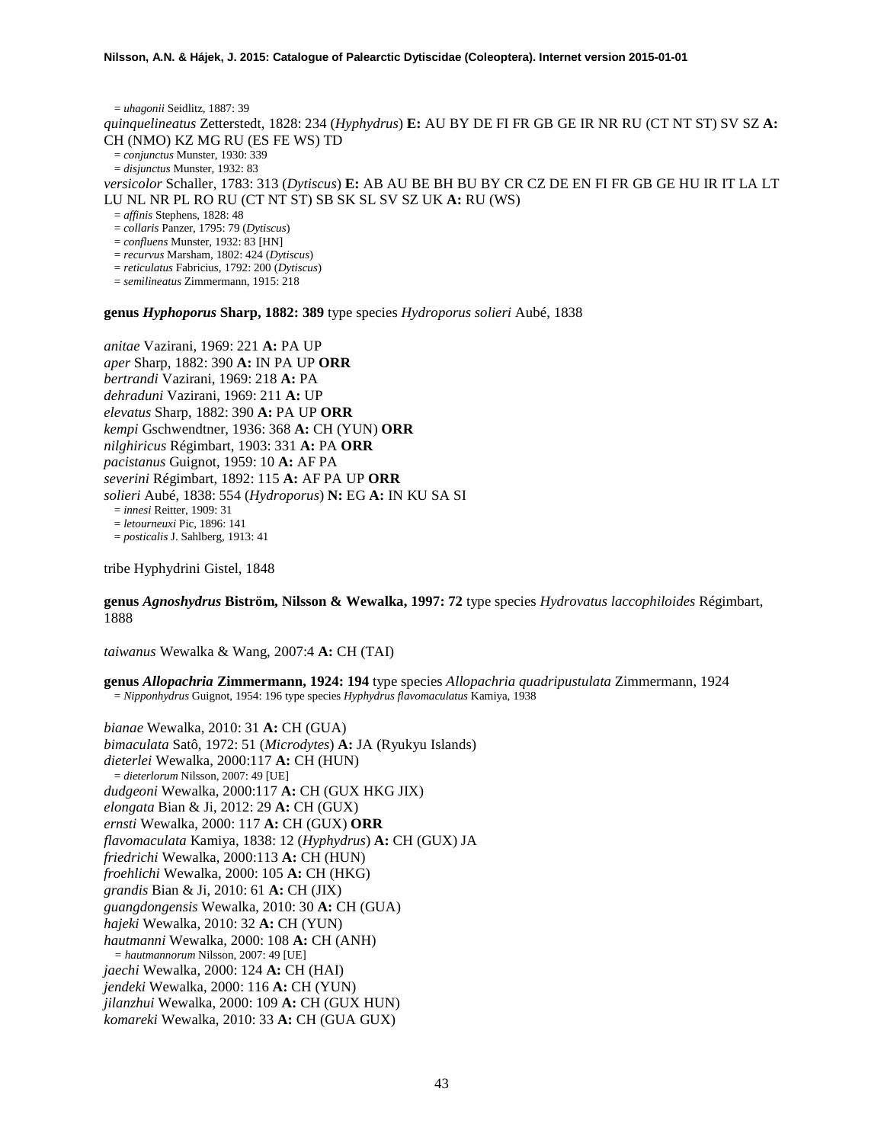= *uhagonii* Seidlitz, 1887: 39 *quinquelineatus* Zetterstedt, 1828: 234 (*Hyphydrus*) **E:** AU BY DE FI FR GB GE IR NR RU (CT NT ST) SV SZ **A:**  CH (NMO) KZ MG RU (ES FE WS) TD = *conjunctus* Munster, 1930: 339 = *disjunctus* Munster, 1932: 83 *versicolor* Schaller, 1783: 313 (*Dytiscus*) **E:** AB AU BE BH BU BY CR CZ DE EN FI FR GB GE HU IR IT LA LT LU NL NR PL RO RU (CT NT ST) SB SK SL SV SZ UK **A:** RU (WS) = *affinis* Stephens, 1828: 48 = *collaris* Panzer, 1795: 79 (*Dytiscus*) = *confluens* Munster, 1932: 83 [HN] = *recurvus* Marsham, 1802: 424 (*Dytiscus*) = *reticulatus* Fabricius, 1792: 200 (*Dytiscus*)

= *semilineatus* Zimmermann, 1915: 218

**genus** *Hyphoporus* **Sharp, 1882: 389** type species *Hydroporus solieri* Aubé, 1838

*anitae* Vazirani, 1969: 221 **A:** PA UP *aper* Sharp, 1882: 390 **A:** IN PA UP **ORR** *bertrandi* Vazirani, 1969: 218 **A:** PA *dehraduni* Vazirani, 1969: 211 **A:** UP *elevatus* Sharp, 1882: 390 **A:** PA UP **ORR** *kempi* Gschwendtner, 1936: 368 **A:** CH (YUN) **ORR** *nilghiricus* Régimbart, 1903: 331 **A:** PA **ORR** *pacistanus* Guignot, 1959: 10 **A:** AF PA *severini* Régimbart, 1892: 115 **A:** AF PA UP **ORR** *solieri* Aubé, 1838: 554 (*Hydroporus*) **N:** EG **A:** IN KU SA SI = *innesi* Reitter, 1909: 31 = *letourneuxi* Pic, 1896: 141 = *posticalis* J. Sahlberg, 1913: 41

tribe Hyphydrini Gistel, 1848

**genus** *Agnoshydrus* **Biström, Nilsson & Wewalka, 1997: 72** type species *Hydrovatus laccophiloides* Régimbart, 1888

*taiwanus* Wewalka & Wang, 2007:4 **A:** CH (TAI)

**genus** *Allopachria* **Zimmermann, 1924: 194** type species *Allopachria quadripustulata* Zimmermann, 1924 = *Nipponhydrus* Guignot, 1954: 196 type species *Hyphydrus flavomaculatus* Kamiya, 1938

*bianae* Wewalka, 2010: 31 **A:** CH (GUA) *bimaculata* Satô, 1972: 51 (*Microdytes*) **A:** JA (Ryukyu Islands) *dieterlei* Wewalka, 2000:117 **A:** CH (HUN) = *dieterlorum* Nilsson, 2007: 49 [UE] *dudgeoni* Wewalka, 2000:117 **A:** CH (GUX HKG JIX) *elongata* Bian & Ji, 2012: 29 **A:** CH (GUX) *ernsti* Wewalka, 2000: 117 **A:** CH (GUX) **ORR** *flavomaculata* Kamiya, 1838: 12 (*Hyphydrus*) **A:** CH (GUX) JA *friedrichi* Wewalka, 2000:113 **A:** CH (HUN) *froehlichi* Wewalka, 2000: 105 **A:** CH (HKG) *grandis* Bian & Ji, 2010: 61 **A:** CH (JIX) *guangdongensis* Wewalka, 2010: 30 **A:** CH (GUA) *hajeki* Wewalka, 2010: 32 **A:** CH (YUN) *hautmanni* Wewalka, 2000: 108 **A:** CH (ANH) *= hautmannorum* Nilsson, 2007: 49 [UE] *jaechi* Wewalka, 2000: 124 **A:** CH (HAI) *jendeki* Wewalka, 2000: 116 **A:** CH (YUN) *jilanzhui* Wewalka, 2000: 109 **A:** CH (GUX HUN) *komareki* Wewalka, 2010: 33 **A:** CH (GUA GUX)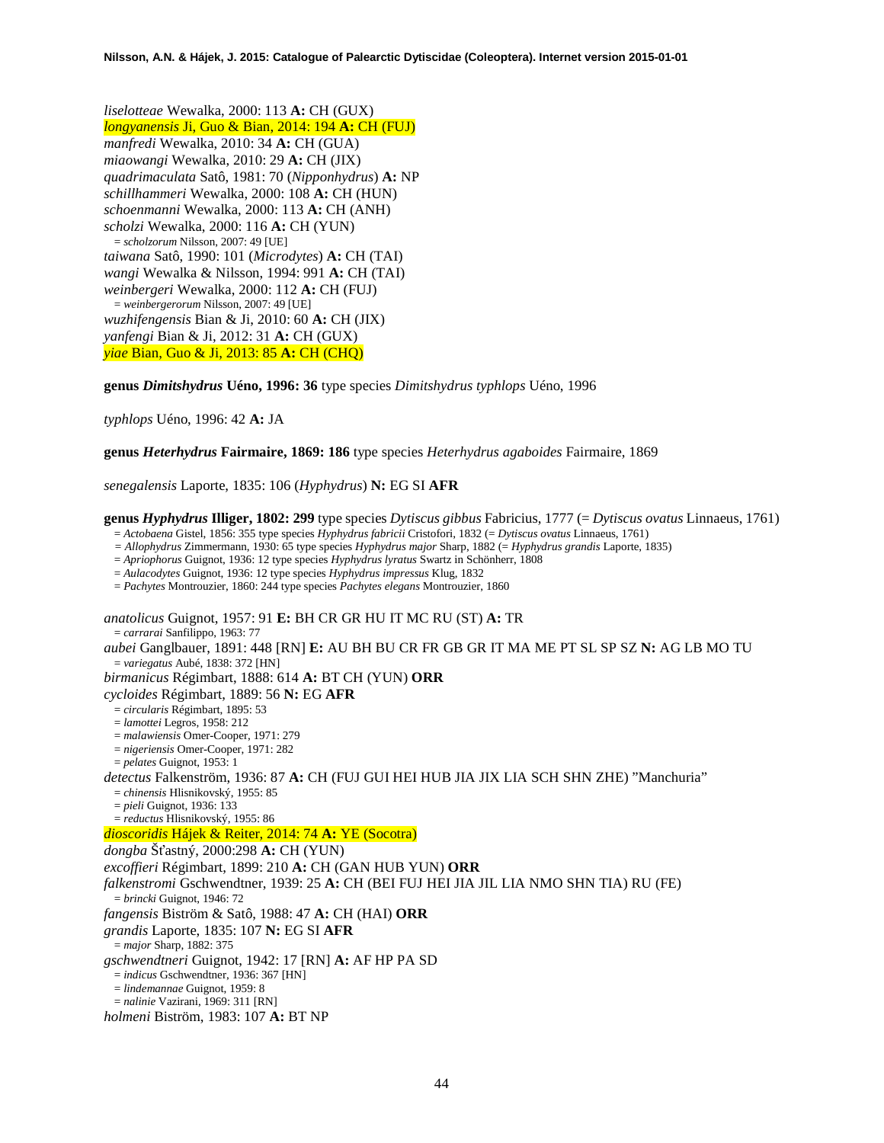*liselotteae* Wewalka, 2000: 113 **A:** CH (GUX) *longyanensis* Ji, Guo & Bian, 2014: 194 **A:** CH (FUJ) *manfredi* Wewalka, 2010: 34 **A:** CH (GUA) *miaowangi* Wewalka, 2010: 29 **A:** CH (JIX) *quadrimaculata* Satô, 1981: 70 (*Nipponhydrus*) **A:** NP *schillhammeri* Wewalka, 2000: 108 **A:** CH (HUN) *schoenmanni* Wewalka, 2000: 113 **A:** CH (ANH) *scholzi* Wewalka, 2000: 116 **A:** CH (YUN) = *scholzorum* Nilsson, 2007: 49 [UE] *taiwana* Satô, 1990: 101 (*Microdytes*) **A:** CH (TAI) *wangi* Wewalka & Nilsson, 1994: 991 **A:** CH (TAI) *weinbergeri* Wewalka, 2000: 112 **A:** CH (FUJ) = *weinbergerorum* Nilsson, 2007: 49 [UE] *wuzhifengensis* Bian & Ji, 2010: 60 **A:** CH (JIX) *yanfengi* Bian & Ji, 2012: 31 **A:** CH (GUX) *yiae* Bian, Guo & Ji, 2013: 85 **A:** CH (CHQ)

### **genus** *Dimitshydrus* **Uéno, 1996: 36** type species *Dimitshydrus typhlops* Uéno, 1996

*typhlops* Uéno, 1996: 42 **A:** JA

**genus** *Heterhydrus* **Fairmaire, 1869: 186** type species *Heterhydrus agaboides* Fairmaire, 1869

*senegalensis* Laporte, 1835: 106 (*Hyphydrus*) **N:** EG SI **AFR**

**genus** *Hyphydrus* **Illiger, 1802: 299** type species *Dytiscus gibbus* Fabricius, 1777 (= *Dytiscus ovatus* Linnaeus, 1761)

= *Actobaena* Gistel, 1856: 355 type species *Hyphydrus fabricii* Cristofori, 1832 (= *Dytiscus ovatus* Linnaeus, 1761)

*= Allophydrus* Zimmermann, 1930: 65 type species *Hyphydrus major* Sharp, 1882 (= *Hyphydrus grandis* Laporte, 1835)

= *Apriophorus* Guignot, 1936: 12 type species *Hyphydrus lyratus* Swartz in Schönherr, 1808

= *Aulacodytes* Guignot, 1936: 12 type species *Hyphydrus impressus* Klug, 1832

= *Pachytes* Montrouzier, 1860: 244 type species *Pachytes elegans* Montrouzier, 1860

*anatolicus* Guignot, 1957: 91 **E:** BH CR GR HU IT MC RU (ST) **A:** TR

= *carrarai* Sanfilippo, 1963: 77

*aubei* Ganglbauer, 1891: 448 [RN] **E:** AU BH BU CR FR GB GR IT MA ME PT SL SP SZ **N:** AG LB MO TU = *variegatus* Aubé, 1838: 372 [HN]

*birmanicus* Régimbart, 1888: 614 **A:** BT CH (YUN) **ORR**

*cycloides* Régimbart, 1889: 56 **N:** EG **AFR**

- = *circularis* Régimbart, 1895: 53
- = *lamottei* Legros, 1958: 212
- = *malawiensis* Omer-Cooper, 1971: 279
- = *nigeriensis* Omer-Cooper, 1971: 282
- = *pelates* Guignot, 1953: 1

*detectus* Falkenström, 1936: 87 **A:** CH (FUJ GUI HEI HUB JIA JIX LIA SCH SHN ZHE) "Manchuria"

= *chinensis* Hlisnikovský, 1955: 85

= *pieli* Guignot, 1936: 133

= *reductus* Hlisnikovský, 1955: 86

# *dioscoridis* Hájek & Reiter, 2014: 74 **A:** YE (Socotra)

*dongba* Šťastný, 2000:298 **A:** CH (YUN)

*excoffieri* Régimbart, 1899: 210 **A:** CH (GAN HUB YUN) **ORR**

*falkenstromi* Gschwendtner, 1939: 25 **A:** CH (BEI FUJ HEI JIA JIL LIA NMO SHN TIA) RU (FE)

= *brincki* Guignot, 1946: 72

*fangensis* Biström & Satô, 1988: 47 **A:** CH (HAI) **ORR**

*grandis* Laporte, 1835: 107 **N:** EG SI **AFR**

= *major* Sharp, 1882: 375

*gschwendtneri* Guignot, 1942: 17 [RN] **A:** AF HP PA SD

= *indicus* Gschwendtner, 1936: 367 [HN]

= *lindemannae* Guignot, 1959: 8

= *nalinie* Vazirani, 1969: 311 [RN]

*holmeni* Biström, 1983: 107 **A:** BT NP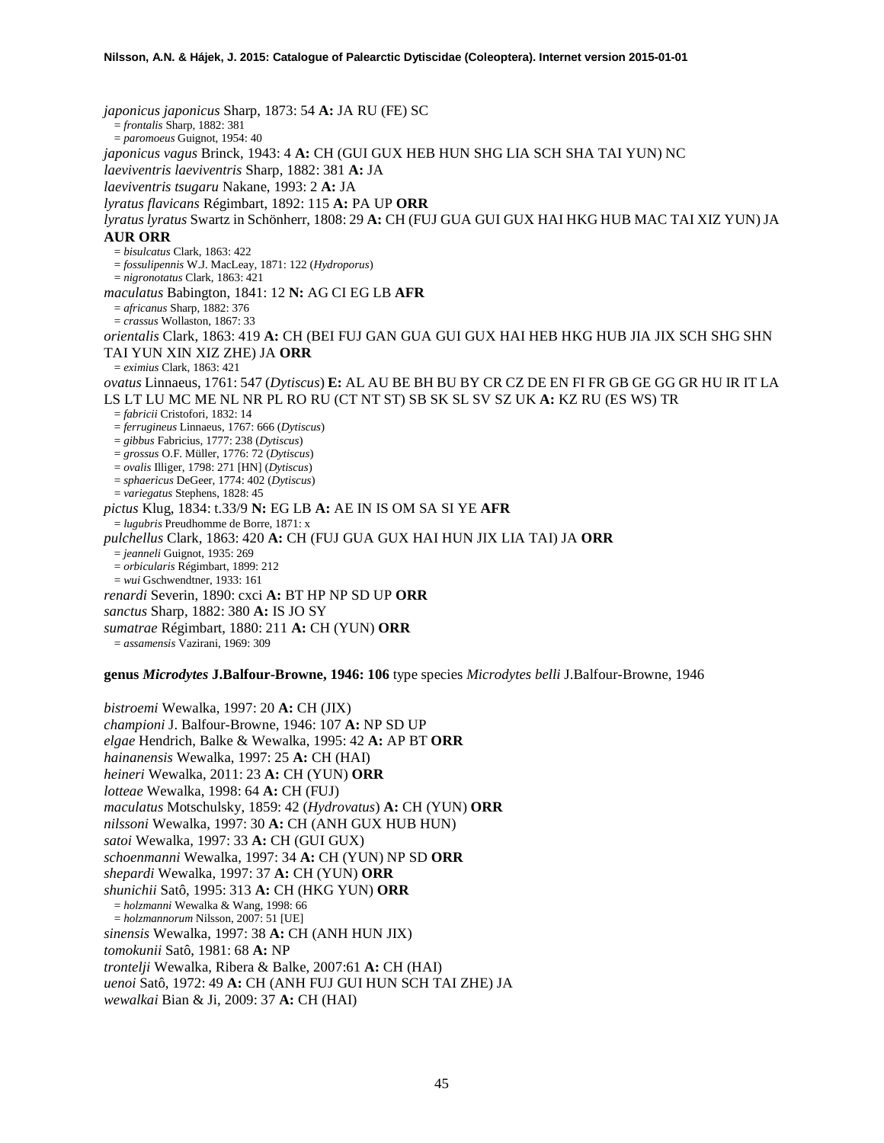*japonicus japonicus* Sharp, 1873: 54 **A:** JA RU (FE) SC = *frontalis* Sharp, 1882: 381 = *paromoeus* Guignot, 1954: 40 *japonicus vagus* Brinck, 1943: 4 **A:** CH (GUI GUX HEB HUN SHG LIA SCH SHA TAI YUN) NC *laeviventris laeviventris* Sharp, 1882: 381 **A:** JA *laeviventris tsugaru* Nakane, 1993: 2 **A:** JA *lyratus flavicans* Régimbart, 1892: 115 **A:** PA UP **ORR** *lyratus lyratus* Swartz in Schönherr, 1808: 29 **A:** CH (FUJ GUA GUI GUX HAI HKG HUB MAC TAI XIZ YUN) JA **AUR ORR** = *bisulcatus* Clark, 1863: 422 = *fossulipennis* W.J. MacLeay, 1871: 122 (*Hydroporus*) = *nigronotatus* Clark, 1863: 421 *maculatus* Babington, 1841: 12 **N:** AG CI EG LB **AFR** = *africanus* Sharp, 1882: 376 = *crassus* Wollaston, 1867: 33 *orientalis* Clark, 1863: 419 **A:** CH (BEI FUJ GAN GUA GUI GUX HAI HEB HKG HUB JIA JIX SCH SHG SHN TAI YUN XIN XIZ ZHE) JA **ORR** = *eximius* Clark, 1863: 421 *ovatus* Linnaeus, 1761: 547 (*Dytiscus*) **E:** AL AU BE BH BU BY CR CZ DE EN FI FR GB GE GG GR HU IR IT LA LS LT LU MC ME NL NR PL RO RU (CT NT ST) SB SK SL SV SZ UK **A:** KZ RU (ES WS) TR = *fabricii* Cristofori, 1832: 14 = *ferrugineus* Linnaeus, 1767: 666 (*Dytiscus*) = *gibbus* Fabricius, 1777: 238 (*Dytiscus*) = *grossus* O.F. Müller, 1776: 72 (*Dytiscus*) = *ovalis* Illiger, 1798: 271 [HN] (*Dytiscus*) = *sphaericus* DeGeer, 1774: 402 (*Dytiscus*) = *variegatus* Stephens, 1828: 45 *pictus* Klug, 1834: t.33/9 **N:** EG LB **A:** AE IN IS OM SA SI YE **AFR** = *lugubris* Preudhomme de Borre, 1871: x *pulchellus* Clark, 1863: 420 **A:** CH (FUJ GUA GUX HAI HUN JIX LIA TAI) JA **ORR** = *jeanneli* Guignot, 1935: 269 = *orbicularis* Régimbart, 1899: 212 = *wui* Gschwendtner, 1933: 161 *renardi* Severin, 1890: cxci **A:** BT HP NP SD UP **ORR** *sanctus* Sharp, 1882: 380 **A:** IS JO SY *sumatrae* Régimbart, 1880: 211 **A:** CH (YUN) **ORR** = *assamensis* Vazirani, 1969: 309

**genus** *Microdytes* **J.Balfour-Browne, 1946: 106** type species *Microdytes belli* J.Balfour-Browne, 1946

*bistroemi* Wewalka, 1997: 20 **A:** CH (JIX) *championi* J. Balfour-Browne, 1946: 107 **A:** NP SD UP *elgae* Hendrich, Balke & Wewalka, 1995: 42 **A:** AP BT **ORR** *hainanensis* Wewalka, 1997: 25 **A:** CH (HAI) *heineri* Wewalka, 2011: 23 **A:** CH (YUN) **ORR** *lotteae* Wewalka, 1998: 64 **A:** CH (FUJ) *maculatus* Motschulsky, 1859: 42 (*Hydrovatus*) **A:** CH (YUN) **ORR** *nilssoni* Wewalka, 1997: 30 **A:** CH (ANH GUX HUB HUN) *satoi* Wewalka, 1997: 33 **A:** CH (GUI GUX) *schoenmanni* Wewalka, 1997: 34 **A:** CH (YUN) NP SD **ORR** *shepardi* Wewalka, 1997: 37 **A:** CH (YUN) **ORR** *shunichii* Satô, 1995: 313 **A:** CH (HKG YUN) **ORR** = *holzmanni* Wewalka & Wang, 1998: 66 = *holzmannorum* Nilsson, 2007: 51 [UE] *sinensis* Wewalka, 1997: 38 **A:** CH (ANH HUN JIX) *tomokunii* Satô, 1981: 68 **A:** NP *trontelji* Wewalka, Ribera & Balke, 2007:61 **A:** CH (HAI) *uenoi* Satô, 1972: 49 **A:** CH (ANH FUJ GUI HUN SCH TAI ZHE) JA *wewalkai* Bian & Ji, 2009: 37 **A:** CH (HAI)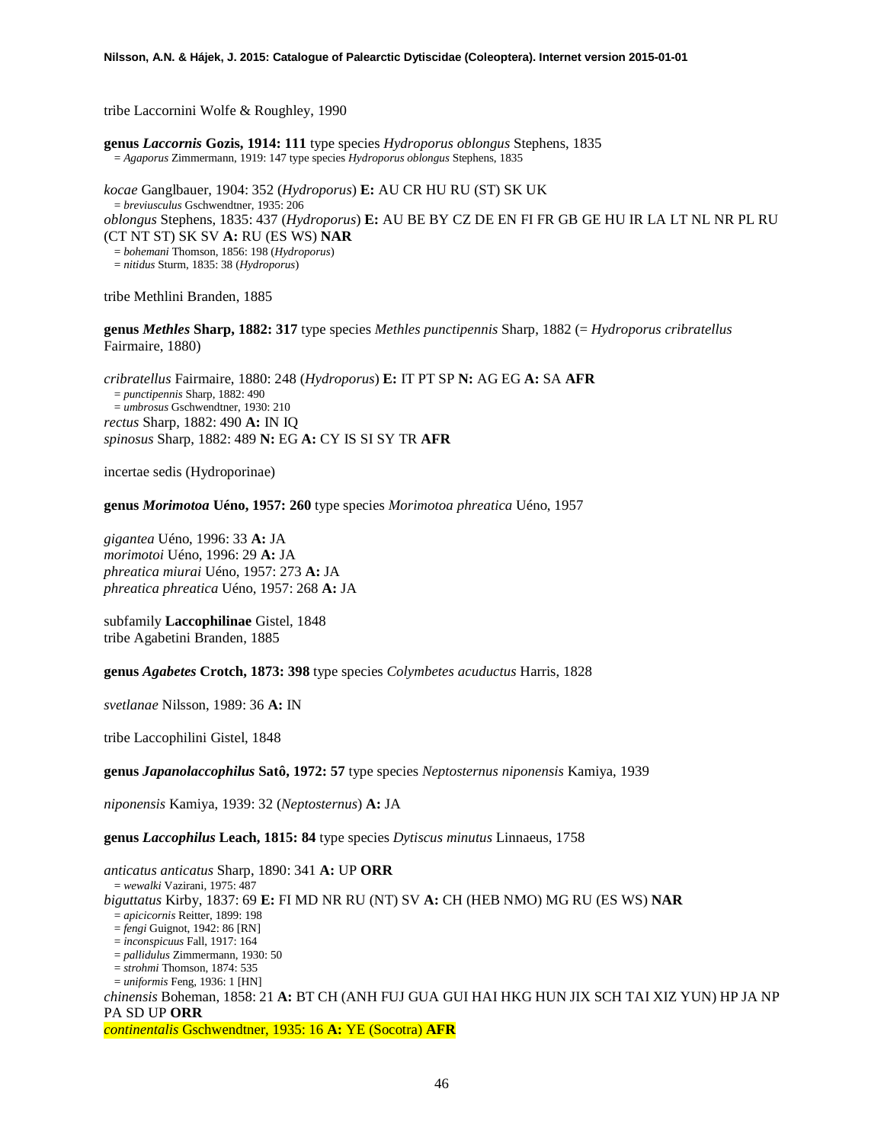tribe Laccornini Wolfe & Roughley, 1990

**genus** *Laccornis* **Gozis, 1914: 111** type species *Hydroporus oblongus* Stephens, 1835 = *Agaporus* Zimmermann, 1919: 147 type species *Hydroporus oblongus* Stephens, 1835

*kocae* Ganglbauer, 1904: 352 (*Hydroporus*) **E:** AU CR HU RU (ST) SK UK = *breviusculus* Gschwendtner, 1935: 206 *oblongus* Stephens, 1835: 437 (*Hydroporus*) **E:** AU BE BY CZ DE EN FI FR GB GE HU IR LA LT NL NR PL RU (CT NT ST) SK SV **A:** RU (ES WS) **NAR** = *bohemani* Thomson, 1856: 198 (*Hydroporus*) = *nitidus* Sturm, 1835: 38 (*Hydroporus*)

tribe Methlini Branden, 1885

**genus** *Methles* **Sharp, 1882: 317** type species *Methles punctipennis* Sharp, 1882 (= *Hydroporus cribratellus* Fairmaire, 1880)

*cribratellus* Fairmaire, 1880: 248 (*Hydroporus*) **E:** IT PT SP **N:** AG EG **A:** SA **AFR** = *punctipennis* Sharp, 1882: 490 = *umbrosus* Gschwendtner, 1930: 210 *rectus* Sharp, 1882: 490 **A:** IN IQ *spinosus* Sharp, 1882: 489 **N:** EG **A:** CY IS SI SY TR **AFR**

incertae sedis (Hydroporinae)

**genus** *Morimotoa* **Uéno, 1957: 260** type species *Morimotoa phreatica* Uéno, 1957

*gigantea* Uéno, 1996: 33 **A:** JA *morimotoi* Uéno, 1996: 29 **A:** JA *phreatica miurai* Uéno, 1957: 273 **A:** JA *phreatica phreatica* Uéno, 1957: 268 **A:** JA

subfamily **Laccophilinae** Gistel, 1848 tribe Agabetini Branden, 1885

**genus** *Agabetes* **Crotch, 1873: 398** type species *Colymbetes acuductus* Harris, 1828

*svetlanae* Nilsson, 1989: 36 **A:** IN

tribe Laccophilini Gistel, 1848

**genus** *Japanolaccophilus* **Satô, 1972: 57** type species *Neptosternus niponensis* Kamiya, 1939

*niponensis* Kamiya, 1939: 32 (*Neptosternus*) **A:** JA

**genus** *Laccophilus* **Leach, 1815: 84** type species *Dytiscus minutus* Linnaeus, 1758

*anticatus anticatus* Sharp, 1890: 341 **A:** UP **ORR** = *wewalki* Vazirani, 1975: 487 *biguttatus* Kirby, 1837: 69 **E:** FI MD NR RU (NT) SV **A:** CH (HEB NMO) MG RU (ES WS) **NAR** = *apicicornis* Reitter, 1899: 198 = *fengi* Guignot, 1942: 86 [RN] = *inconspicuus* Fall, 1917: 164 = *pallidulus* Zimmermann, 1930: 50 = *strohmi* Thomson, 1874: 535 = *uniformis* Feng, 1936: 1 [HN] *chinensis* Boheman, 1858: 21 **A:** BT CH (ANH FUJ GUA GUI HAI HKG HUN JIX SCH TAI XIZ YUN) HP JA NP PA SD UP **ORR** *continentalis* Gschwendtner, 1935: 16 **A:** YE (Socotra) **AFR**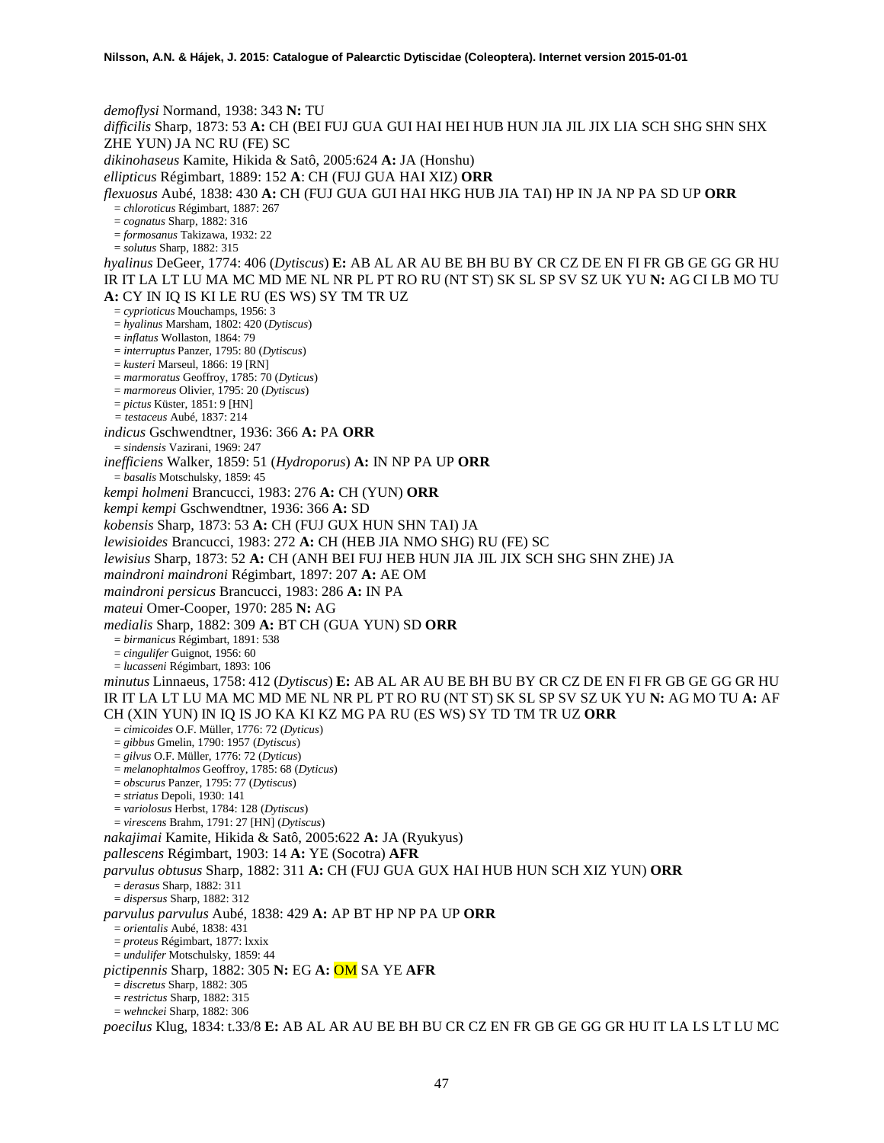*demoflysi* Normand, 1938: 343 **N:** TU *difficilis* Sharp, 1873: 53 **A:** CH (BEI FUJ GUA GUI HAI HEI HUB HUN JIA JIL JIX LIA SCH SHG SHN SHX ZHE YUN) JA NC RU (FE) SC *dikinohaseus* Kamite, Hikida & Satô, 2005:624 **A:** JA (Honshu) *ellipticus* Régimbart, 1889: 152 **A**: CH (FUJ GUA HAI XIZ) **ORR** *flexuosus* Aubé, 1838: 430 **A:** CH (FUJ GUA GUI HAI HKG HUB JIA TAI) HP IN JA NP PA SD UP **ORR** = *chloroticus* Régimbart, 1887: 267 = *cognatus* Sharp, 1882: 316 = *formosanus* Takizawa, 1932: 22 = *solutus* Sharp, 1882: 315 *hyalinus* DeGeer, 1774: 406 (*Dytiscus*) **E:** AB AL AR AU BE BH BU BY CR CZ DE EN FI FR GB GE GG GR HU IR IT LA LT LU MA MC MD ME NL NR PL PT RO RU (NT ST) SK SL SP SV SZ UK YU **N:** AG CI LB MO TU **A:** CY IN IQ IS KI LE RU (ES WS) SY TM TR UZ = *cyprioticus* Mouchamps, 1956: 3 = *hyalinus* Marsham, 1802: 420 (*Dytiscus*) = *inflatus* Wollaston, 1864: 79 = *interruptus* Panzer, 1795: 80 (*Dytiscus*) = *kusteri* Marseul, 1866: 19 [RN] = *marmoratus* Geoffroy, 1785: 70 (*Dyticus*) = *marmoreus* Olivier, 1795: 20 (*Dytiscus*) = *pictus* Küster, 1851: 9 [HN] *= testaceus* Aubé, 1837: 214 *indicus* Gschwendtner, 1936: 366 **A:** PA **ORR** = *sindensis* Vazirani, 1969: 247 *inefficiens* Walker, 1859: 51 (*Hydroporus*) **A:** IN NP PA UP **ORR** = *basalis* Motschulsky, 1859: 45 *kempi holmeni* Brancucci, 1983: 276 **A:** CH (YUN) **ORR** *kempi kempi* Gschwendtner, 1936: 366 **A:** SD *kobensis* Sharp, 1873: 53 **A:** CH (FUJ GUX HUN SHN TAI) JA *lewisioides* Brancucci, 1983: 272 **A:** CH (HEB JIA NMO SHG) RU (FE) SC *lewisius* Sharp, 1873: 52 **A:** CH (ANH BEI FUJ HEB HUN JIA JIL JIX SCH SHG SHN ZHE) JA *maindroni maindroni* Régimbart, 1897: 207 **A:** AE OM *maindroni persicus* Brancucci, 1983: 286 **A:** IN PA *mateui* Omer-Cooper, 1970: 285 **N:** AG *medialis* Sharp, 1882: 309 **A:** BT CH (GUA YUN) SD **ORR** = *birmanicus* Régimbart, 1891: 538 = *cingulifer* Guignot, 1956: 60 = *lucasseni* Régimbart, 1893: 106 *minutus* Linnaeus, 1758: 412 (*Dytiscus*) **E:** AB AL AR AU BE BH BU BY CR CZ DE EN FI FR GB GE GG GR HU IR IT LA LT LU MA MC MD ME NL NR PL PT RO RU (NT ST) SK SL SP SV SZ UK YU **N:** AG MO TU **A:** AF CH (XIN YUN) IN IQ IS JO KA KI KZ MG PA RU (ES WS) SY TD TM TR UZ **ORR** = *cimicoides* O.F. Müller, 1776: 72 (*Dyticus*) = *gibbus* Gmelin, 1790: 1957 (*Dytiscus*) = *gilvus* O.F. Müller, 1776: 72 (*Dyticus*) = *melanophtalmos* Geoffroy, 1785: 68 (*Dyticus*) = *obscurus* Panzer, 1795: 77 (*Dytiscus*) = *striatus* Depoli, 1930: 141 = *variolosus* Herbst, 1784: 128 (*Dytiscus*) = *virescens* Brahm, 1791: 27 [HN] (*Dytiscus*) *nakajimai* Kamite, Hikida & Satô, 2005:622 **A:** JA (Ryukyus) *pallescens* Régimbart, 1903: 14 **A:** YE (Socotra) **AFR** *parvulus obtusus* Sharp, 1882: 311 **A:** CH (FUJ GUA GUX HAI HUB HUN SCH XIZ YUN) **ORR** = *derasus* Sharp, 1882: 311 = *dispersus* Sharp, 1882: 312 *parvulus parvulus* Aubé, 1838: 429 **A:** AP BT HP NP PA UP **ORR** = *orientalis* Aubé, 1838: 431 = *proteus* Régimbart, 1877: lxxix = *undulifer* Motschulsky, 1859: 44 *pictipennis* Sharp, 1882: 305 **N:** EG **A:** OM SA YE **AFR** = *discretus* Sharp, 1882: 305 = *restrictus* Sharp, 1882: 315 = *wehnckei* Sharp, 1882: 306 *poecilus* Klug, 1834: t.33/8 **E:** AB AL AR AU BE BH BU CR CZ EN FR GB GE GG GR HU IT LA LS LT LU MC